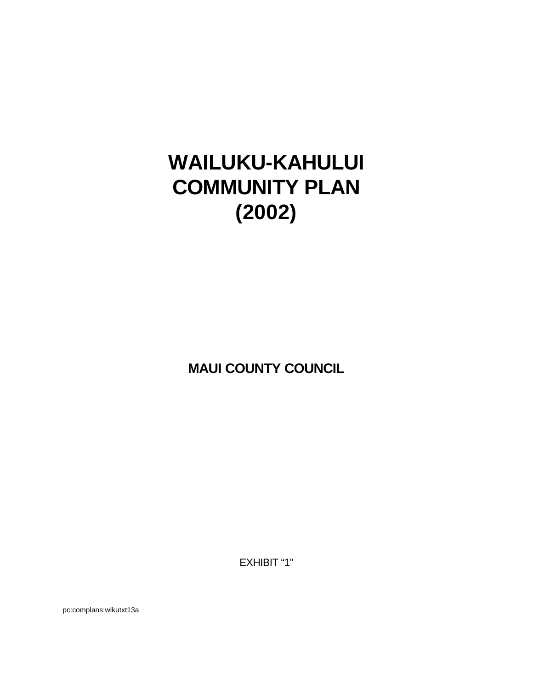# **WAILUKU-KAHULUI COMMUNITY PLAN (2002)**

**MAUI COUNTY COUNCIL**

EXHIBIT "1"

pc:complans:wlkutxt13a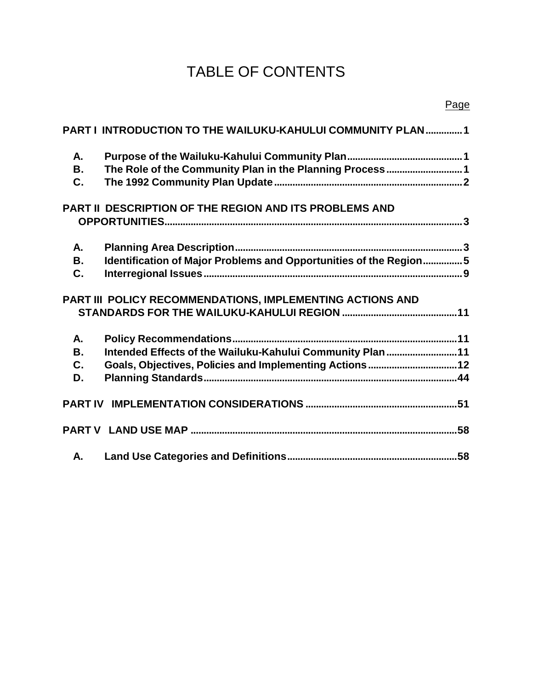# TABLE OF CONTENTS

|           | PART I INTRODUCTION TO THE WAILUKU-KAHULUI COMMUNITY PLAN  1      |
|-----------|-------------------------------------------------------------------|
| А.        |                                                                   |
| В.        | The Role of the Community Plan in the Planning Process1           |
| C.        |                                                                   |
|           | PART II DESCRIPTION OF THE REGION AND ITS PROBLEMS AND            |
|           |                                                                   |
| Α.        |                                                                   |
| <b>B.</b> | Identification of Major Problems and Opportunities of the Region5 |
| C.        |                                                                   |
|           | PART III POLICY RECOMMENDATIONS, IMPLEMENTING ACTIONS AND         |
|           |                                                                   |
| Α.        |                                                                   |
| <b>B.</b> | Intended Effects of the Wailuku-Kahului Community Plan  11        |
| C.        | Goals, Objectives, Policies and Implementing Actions 12           |
| D.        |                                                                   |
|           |                                                                   |
|           |                                                                   |
| А.        |                                                                   |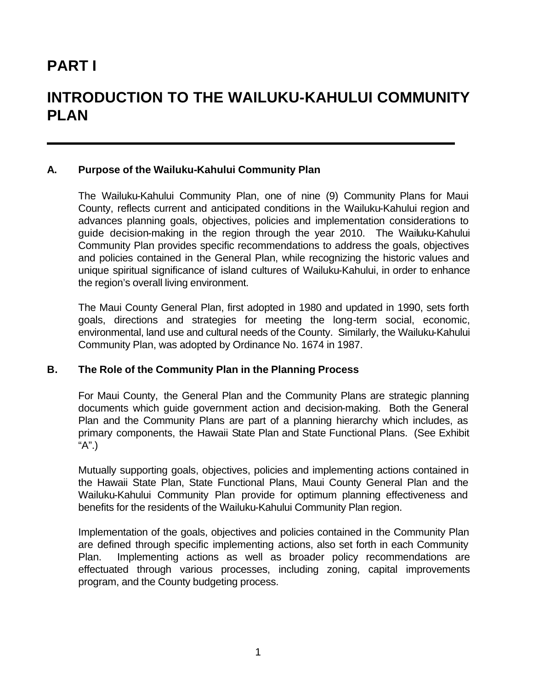# **PART I**

# **INTRODUCTION TO THE WAILUKU-KAHULUI COMMUNITY PLAN**

#### **A. Purpose of the Wailuku-Kahului Community Plan**

The Wailuku-Kahului Community Plan, one of nine (9) Community Plans for Maui County, reflects current and anticipated conditions in the Wailuku-Kahului region and advances planning goals, objectives, policies and implementation considerations to guide decision-making in the region through the year 2010. The Wailuku-Kahului Community Plan provides specific recommendations to address the goals, objectives and policies contained in the General Plan, while recognizing the historic values and unique spiritual significance of island cultures of Wailuku-Kahului, in order to enhance the region's overall living environment.

The Maui County General Plan, first adopted in 1980 and updated in 1990, sets forth goals, directions and strategies for meeting the long-term social, economic, environmental, land use and cultural needs of the County. Similarly, the Wailuku-Kahului Community Plan, was adopted by Ordinance No. 1674 in 1987.

#### **B. The Role of the Community Plan in the Planning Process**

For Maui County, the General Plan and the Community Plans are strategic planning documents which guide government action and decision-making. Both the General Plan and the Community Plans are part of a planning hierarchy which includes, as primary components, the Hawaii State Plan and State Functional Plans. (See Exhibit "A".)

Mutually supporting goals, objectives, policies and implementing actions contained in the Hawaii State Plan, State Functional Plans, Maui County General Plan and the Wailuku-Kahului Community Plan provide for optimum planning effectiveness and benefits for the residents of the Wailuku-Kahului Community Plan region.

Implementation of the goals, objectives and policies contained in the Community Plan are defined through specific implementing actions, also set forth in each Community Plan. Implementing actions as well as broader policy recommendations are effectuated through various processes, including zoning, capital improvements program, and the County budgeting process.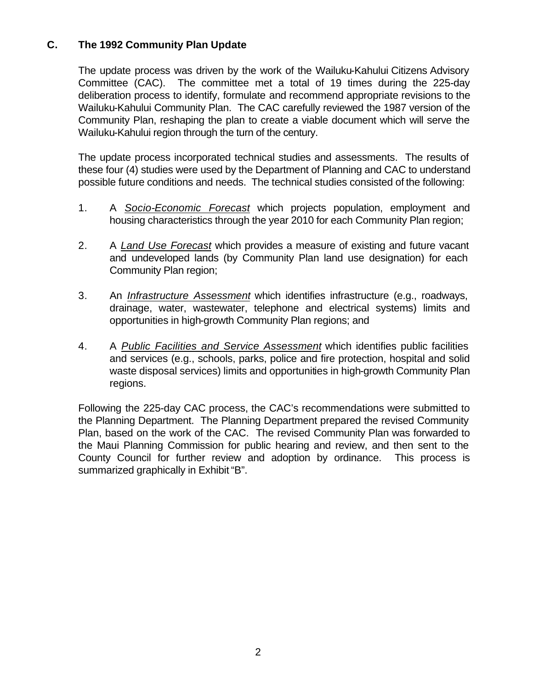# **C. The 1992 Community Plan Update**

The update process was driven by the work of the Wailuku-Kahului Citizens Advisory Committee (CAC). The committee met a total of 19 times during the 225-day deliberation process to identify, formulate and recommend appropriate revisions to the Wailuku-Kahului Community Plan. The CAC carefully reviewed the 1987 version of the Community Plan, reshaping the plan to create a viable document which will serve the Wailuku-Kahului region through the turn of the century.

The update process incorporated technical studies and assessments. The results of these four (4) studies were used by the Department of Planning and CAC to understand possible future conditions and needs. The technical studies consisted of the following:

- 1. A *Socio-Economic Forecast* which projects population, employment and housing characteristics through the year 2010 for each Community Plan region;
- 2. A *Land Use Forecast* which provides a measure of existing and future vacant and undeveloped lands (by Community Plan land use designation) for each Community Plan region;
- 3. An *Infrastructure Assessment* which identifies infrastructure (e.g., roadways, drainage, water, wastewater, telephone and electrical systems) limits and opportunities in high-growth Community Plan regions; and
- 4. A *Public Facilities and Service Assessment* which identifies public facilities and services (e.g., schools, parks, police and fire protection, hospital and solid waste disposal services) limits and opportunities in high-growth Community Plan regions.

Following the 225-day CAC process, the CAC's recommendations were submitted to the Planning Department. The Planning Department prepared the revised Community Plan, based on the work of the CAC. The revised Community Plan was forwarded to the Maui Planning Commission for public hearing and review, and then sent to the County Council for further review and adoption by ordinance. This process is summarized graphically in Exhibit "B".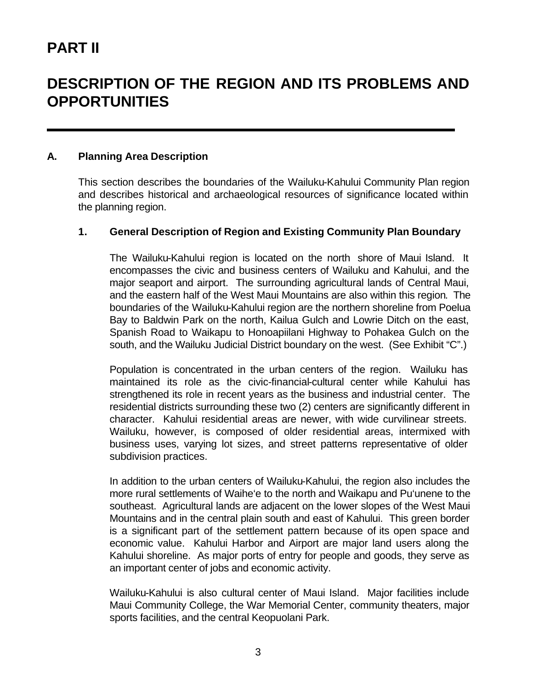# **PART II**

# **DESCRIPTION OF THE REGION AND ITS PROBLEMS AND OPPORTUNITIES**

#### **A. Planning Area Description**

This section describes the boundaries of the Wailuku-Kahului Community Plan region and describes historical and archaeological resources of significance located within the planning region.

#### **1. General Description of Region and Existing Community Plan Boundary**

The Wailuku-Kahului region is located on the north shore of Maui Island. It encompasses the civic and business centers of Wailuku and Kahului, and the major seaport and airport. The surrounding agricultural lands of Central Maui, and the eastern half of the West Maui Mountains are also within this region. The boundaries of the Wailuku-Kahului region are the northern shoreline from Poelua Bay to Baldwin Park on the north, Kailua Gulch and Lowrie Ditch on the east, Spanish Road to Waikapu to Honoapiilani Highway to Pohakea Gulch on the south, and the Wailuku Judicial District boundary on the west. (See Exhibit "C".)

Population is concentrated in the urban centers of the region. Wailuku has maintained its role as the civic-financial-cultural center while Kahului has strengthened its role in recent years as the business and industrial center. The residential districts surrounding these two (2) centers are significantly different in character. Kahului residential areas are newer, with wide curvilinear streets. Wailuku, however, is composed of older residential areas, intermixed with business uses, varying lot sizes, and street patterns representative of older subdivision practices.

In addition to the urban centers of Wailuku-Kahului, the region also includes the more rural settlements of Waihe'e to the north and Waikapu and Pu'unene to the southeast. Agricultural lands are adjacent on the lower slopes of the West Maui Mountains and in the central plain south and east of Kahului. This green border is a significant part of the settlement pattern because of its open space and economic value. Kahului Harbor and Airport are major land users along the Kahului shoreline. As major ports of entry for people and goods, they serve as an important center of jobs and economic activity.

Wailuku-Kahului is also cultural center of Maui Island. Major facilities include Maui Community College, the War Memorial Center, community theaters, major sports facilities, and the central Keopuolani Park.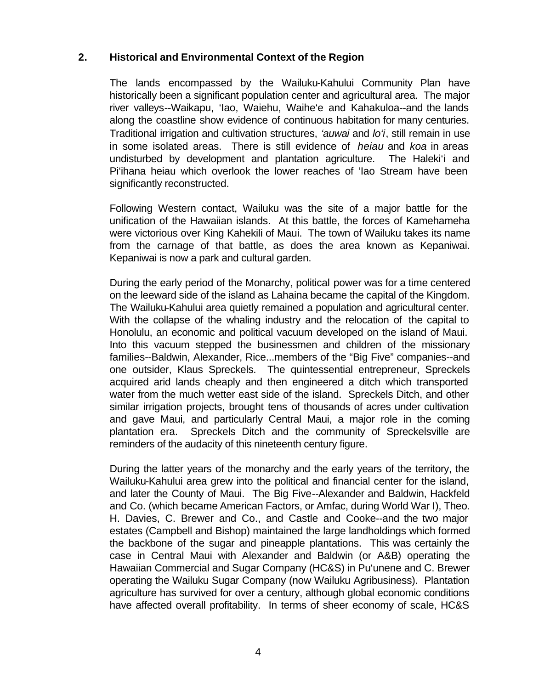### **2. Historical and Environmental Context of the Region**

The lands encompassed by the Wailuku-Kahului Community Plan have historically been a significant population center and agricultural area. The major river valleys--Waikapu, 'Iao, Waiehu, Waihe'e and Kahakuloa--and the lands along the coastline show evidence of continuous habitation for many centuries. Traditional irrigation and cultivation structures, *'auwai* and *lo'i*, still remain in use in some isolated areas. There is still evidence of *heiau* and *koa* in areas undisturbed by development and plantation agriculture. The Haleki'i and Pi'ihana heiau which overlook the lower reaches of 'Iao Stream have been significantly reconstructed.

Following Western contact, Wailuku was the site of a major battle for the unification of the Hawaiian islands. At this battle, the forces of Kamehameha were victorious over King Kahekili of Maui. The town of Wailuku takes its name from the carnage of that battle, as does the area known as Kepaniwai. Kepaniwai is now a park and cultural garden.

During the early period of the Monarchy, political power was for a time centered on the leeward side of the island as Lahaina became the capital of the Kingdom. The Wailuku-Kahului area quietly remained a population and agricultural center. With the collapse of the whaling industry and the relocation of the capital to Honolulu, an economic and political vacuum developed on the island of Maui. Into this vacuum stepped the businessmen and children of the missionary families--Baldwin, Alexander, Rice...members of the "Big Five" companies--and one outsider, Klaus Spreckels. The quintessential entrepreneur, Spreckels acquired arid lands cheaply and then engineered a ditch which transported water from the much wetter east side of the island. Spreckels Ditch, and other similar irrigation projects, brought tens of thousands of acres under cultivation and gave Maui, and particularly Central Maui, a major role in the coming plantation era. Spreckels Ditch and the community of Spreckelsville are reminders of the audacity of this nineteenth century figure.

During the latter years of the monarchy and the early years of the territory, the Wailuku-Kahului area grew into the political and financial center for the island, and later the County of Maui. The Big Five--Alexander and Baldwin, Hackfeld and Co. (which became American Factors, or Amfac, during World War I), Theo. H. Davies, C. Brewer and Co., and Castle and Cooke--and the two major estates (Campbell and Bishop) maintained the large landholdings which formed the backbone of the sugar and pineapple plantations. This was certainly the case in Central Maui with Alexander and Baldwin (or A&B) operating the Hawaiian Commercial and Sugar Company (HC&S) in Pu'unene and C. Brewer operating the Wailuku Sugar Company (now Wailuku Agribusiness). Plantation agriculture has survived for over a century, although global economic conditions have affected overall profitability. In terms of sheer economy of scale, HC&S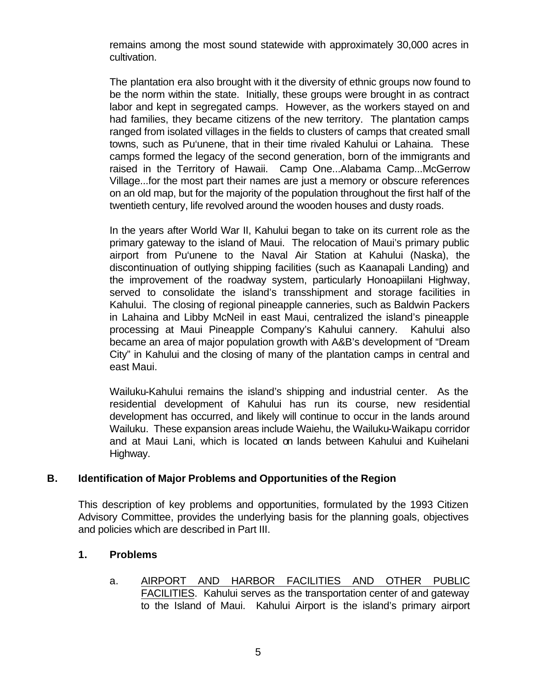remains among the most sound statewide with approximately 30,000 acres in cultivation.

The plantation era also brought with it the diversity of ethnic groups now found to be the norm within the state. Initially, these groups were brought in as contract labor and kept in segregated camps. However, as the workers stayed on and had families, they became citizens of the new territory. The plantation camps ranged from isolated villages in the fields to clusters of camps that created small towns, such as Pu'unene, that in their time rivaled Kahului or Lahaina. These camps formed the legacy of the second generation, born of the immigrants and raised in the Territory of Hawaii. Camp One...Alabama Camp...McGerrow Village...for the most part their names are just a memory or obscure references on an old map, but for the majority of the population throughout the first half of the twentieth century, life revolved around the wooden houses and dusty roads.

In the years after World War II, Kahului began to take on its current role as the primary gateway to the island of Maui. The relocation of Maui's primary public airport from Pu'unene to the Naval Air Station at Kahului (Naska), the discontinuation of outlying shipping facilities (such as Kaanapali Landing) and the improvement of the roadway system, particularly Honoapiilani Highway, served to consolidate the island's transshipment and storage facilities in Kahului. The closing of regional pineapple canneries, such as Baldwin Packers in Lahaina and Libby McNeil in east Maui, centralized the island's pineapple processing at Maui Pineapple Company's Kahului cannery. Kahului also became an area of major population growth with A&B's development of "Dream City" in Kahului and the closing of many of the plantation camps in central and east Maui.

Wailuku-Kahului remains the island's shipping and industrial center. As the residential development of Kahului has run its course, new residential development has occurred, and likely will continue to occur in the lands around Wailuku. These expansion areas include Waiehu, the Wailuku-Waikapu corridor and at Maui Lani, which is located on lands between Kahului and Kuihelani Highway.

#### **B. Identification of Major Problems and Opportunities of the Region**

This description of key problems and opportunities, formulated by the 1993 Citizen Advisory Committee, provides the underlying basis for the planning goals, objectives and policies which are described in Part III.

#### **1. Problems**

a. AIRPORT AND HARBOR FACILITIES AND OTHER PUBLIC FACILITIES. Kahului serves as the transportation center of and gateway to the Island of Maui. Kahului Airport is the island's primary airport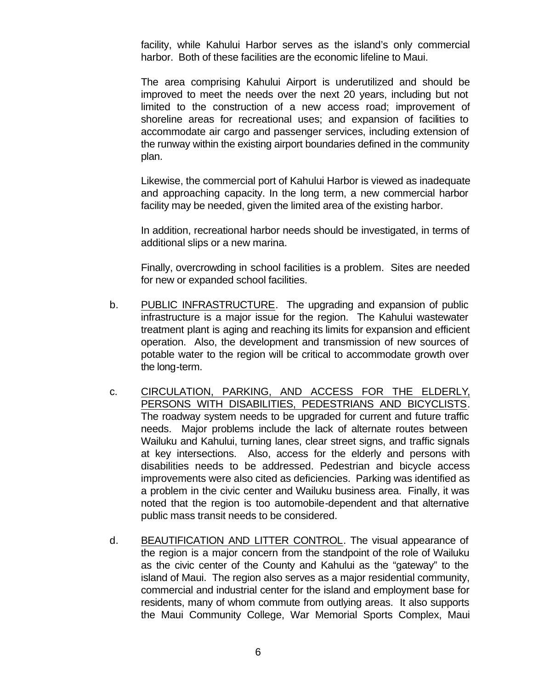facility, while Kahului Harbor serves as the island's only commercial harbor. Both of these facilities are the economic lifeline to Maui.

The area comprising Kahului Airport is underutilized and should be improved to meet the needs over the next 20 years, including but not limited to the construction of a new access road; improvement of shoreline areas for recreational uses; and expansion of facilities to accommodate air cargo and passenger services, including extension of the runway within the existing airport boundaries defined in the community plan.

Likewise, the commercial port of Kahului Harbor is viewed as inadequate and approaching capacity. In the long term, a new commercial harbor facility may be needed, given the limited area of the existing harbor.

In addition, recreational harbor needs should be investigated, in terms of additional slips or a new marina.

Finally, overcrowding in school facilities is a problem. Sites are needed for new or expanded school facilities.

- b. PUBLIC INFRASTRUCTURE. The upgrading and expansion of public infrastructure is a major issue for the region. The Kahului wastewater treatment plant is aging and reaching its limits for expansion and efficient operation. Also, the development and transmission of new sources of potable water to the region will be critical to accommodate growth over the long-term.
- c. CIRCULATION, PARKING, AND ACCESS FOR THE ELDERLY, PERSONS WITH DISABILITIES, PEDESTRIANS AND BICYCLISTS. The roadway system needs to be upgraded for current and future traffic needs. Major problems include the lack of alternate routes between Wailuku and Kahului, turning lanes, clear street signs, and traffic signals at key intersections. Also, access for the elderly and persons with disabilities needs to be addressed. Pedestrian and bicycle access improvements were also cited as deficiencies. Parking was identified as a problem in the civic center and Wailuku business area. Finally, it was noted that the region is too automobile-dependent and that alternative public mass transit needs to be considered.
- d. BEAUTIFICATION AND LITTER CONTROL. The visual appearance of the region is a major concern from the standpoint of the role of Wailuku as the civic center of the County and Kahului as the "gateway" to the island of Maui. The region also serves as a major residential community, commercial and industrial center for the island and employment base for residents, many of whom commute from outlying areas. It also supports the Maui Community College, War Memorial Sports Complex, Maui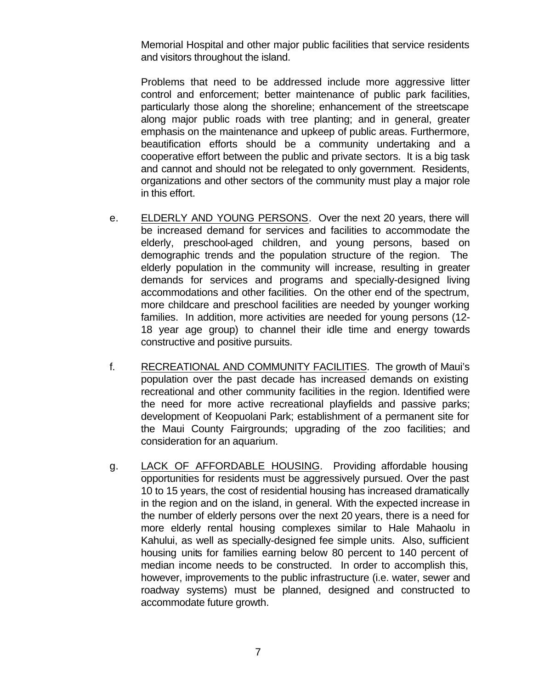Memorial Hospital and other major public facilities that service residents and visitors throughout the island.

Problems that need to be addressed include more aggressive litter control and enforcement; better maintenance of public park facilities, particularly those along the shoreline; enhancement of the streetscape along major public roads with tree planting; and in general, greater emphasis on the maintenance and upkeep of public areas. Furthermore, beautification efforts should be a community undertaking and a cooperative effort between the public and private sectors. It is a big task and cannot and should not be relegated to only government. Residents, organizations and other sectors of the community must play a major role in this effort.

- e. ELDERLY AND YOUNG PERSONS. Over the next 20 years, there will be increased demand for services and facilities to accommodate the elderly, preschool-aged children, and young persons, based on demographic trends and the population structure of the region. The elderly population in the community will increase, resulting in greater demands for services and programs and specially-designed living accommodations and other facilities. On the other end of the spectrum, more childcare and preschool facilities are needed by younger working families. In addition, more activities are needed for young persons (12- 18 year age group) to channel their idle time and energy towards constructive and positive pursuits.
- f. RECREATIONAL AND COMMUNITY FACILITIES. The growth of Maui's population over the past decade has increased demands on existing recreational and other community facilities in the region. Identified were the need for more active recreational playfields and passive parks; development of Keopuolani Park; establishment of a permanent site for the Maui County Fairgrounds; upgrading of the zoo facilities; and consideration for an aquarium.
- g. LACK OF AFFORDABLE HOUSING. Providing affordable housing opportunities for residents must be aggressively pursued. Over the past 10 to 15 years, the cost of residential housing has increased dramatically in the region and on the island, in general. With the expected increase in the number of elderly persons over the next 20 years, there is a need for more elderly rental housing complexes similar to Hale Mahaolu in Kahului, as well as specially-designed fee simple units. Also, sufficient housing units for families earning below 80 percent to 140 percent of median income needs to be constructed. In order to accomplish this, however, improvements to the public infrastructure (i.e. water, sewer and roadway systems) must be planned, designed and constructed to accommodate future growth.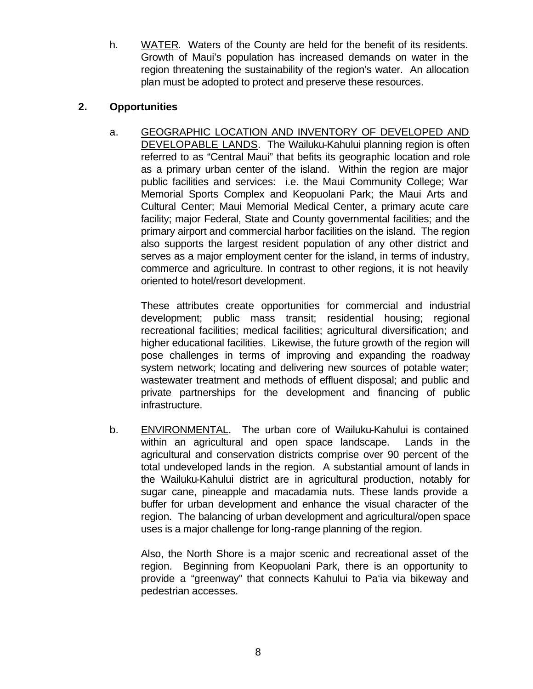h. WATER. Waters of the County are held for the benefit of its residents. Growth of Maui's population has increased demands on water in the region threatening the sustainability of the region's water. An allocation plan must be adopted to protect and preserve these resources.

### **2. Opportunities**

a. GEOGRAPHIC LOCATION AND INVENTORY OF DEVELOPED AND DEVELOPABLE LANDS. The Wailuku-Kahului planning region is often referred to as "Central Maui" that befits its geographic location and role as a primary urban center of the island. Within the region are major public facilities and services: i.e. the Maui Community College; War Memorial Sports Complex and Keopuolani Park; the Maui Arts and Cultural Center; Maui Memorial Medical Center, a primary acute care facility; major Federal, State and County governmental facilities; and the primary airport and commercial harbor facilities on the island. The region also supports the largest resident population of any other district and serves as a major employment center for the island, in terms of industry, commerce and agriculture. In contrast to other regions, it is not heavily oriented to hotel/resort development.

These attributes create opportunities for commercial and industrial development; public mass transit; residential housing; regional recreational facilities; medical facilities; agricultural diversification; and higher educational facilities. Likewise, the future growth of the region will pose challenges in terms of improving and expanding the roadway system network; locating and delivering new sources of potable water; wastewater treatment and methods of effluent disposal; and public and private partnerships for the development and financing of public infrastructure.

b. ENVIRONMENTAL. The urban core of Wailuku-Kahului is contained within an agricultural and open space landscape. Lands in the agricultural and conservation districts comprise over 90 percent of the total undeveloped lands in the region. A substantial amount of lands in the Wailuku-Kahului district are in agricultural production, notably for sugar cane, pineapple and macadamia nuts. These lands provide a buffer for urban development and enhance the visual character of the region. The balancing of urban development and agricultural/open space uses is a major challenge for long-range planning of the region.

Also, the North Shore is a major scenic and recreational asset of the region. Beginning from Keopuolani Park, there is an opportunity to provide a "greenway" that connects Kahului to Pa'ia via bikeway and pedestrian accesses.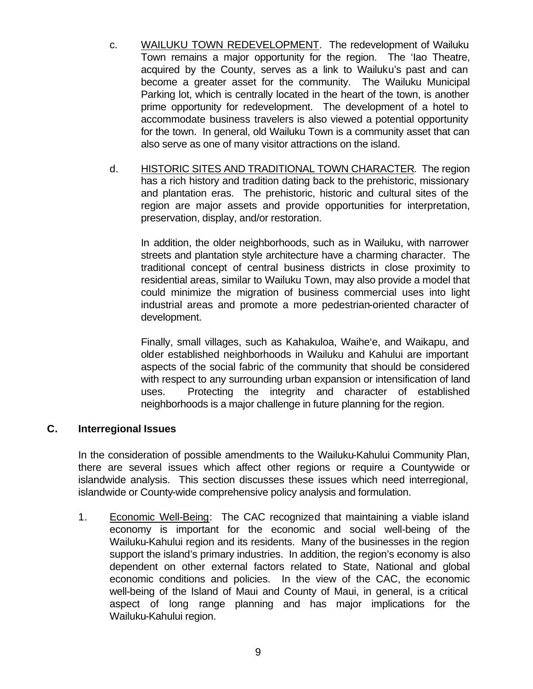- c. WAILUKU TOWN REDEVELOPMENT. The redevelopment of Wailuku Town remains a major opportunity for the region. The 'Iao Theatre, acquired by the County, serves as a link to Wailuku's past and can become a greater asset for the community. The Wailuku Municipal Parking lot, which is centrally located in the heart of the town, is another prime opportunity for redevelopment. The development of a hotel to accommodate business travelers is also viewed a potential opportunity for the town. In general, old Wailuku Town is a community asset that can also serve as one of many visitor attractions on the island.
- d. HISTORIC SITES AND TRADITIONAL TOWN CHARACTER. The region has a rich history and tradition dating back to the prehistoric, missionary and plantation eras. The prehistoric, historic and cultural sites of the region are major assets and provide opportunities for interpretation, preservation, display, and/or restoration.

In addition, the older neighborhoods, such as in Wailuku, with narrower streets and plantation style architecture have a charming character. The traditional concept of central business districts in close proximity to residential areas, similar to Wailuku Town, may also provide a model that could minimize the migration of business commercial uses into light industrial areas and promote a more pedestrian-oriented character of development.

Finally, small villages, such as Kahakuloa, Waihe'e, and Waikapu, and older established neighborhoods in Wailuku and Kahului are important aspects of the social fabric of the community that should be considered with respect to any surrounding urban expansion or intensification of land uses. Protecting the integrity and character of established neighborhoods is a major challenge in future planning for the region.

# **C. Interregional Issues**

In the consideration of possible amendments to the Wailuku-Kahului Community Plan, there are several issues which affect other regions or require a Countywide or islandwide analysis. This section discusses these issues which need interregional, islandwide or County-wide comprehensive policy analysis and formulation.

1. Economic Well-Being: The CAC recognized that maintaining a viable island economy is important for the economic and social well-being of the Wailuku-Kahului region and its residents. Many of the businesses in the region support the island's primary industries. In addition, the region's economy is also dependent on other external factors related to State, National and global economic conditions and policies. In the view of the CAC, the economic well-being of the Island of Maui and County of Maui, in general, is a critical aspect of long range planning and has major implications for the Wailuku-Kahului region.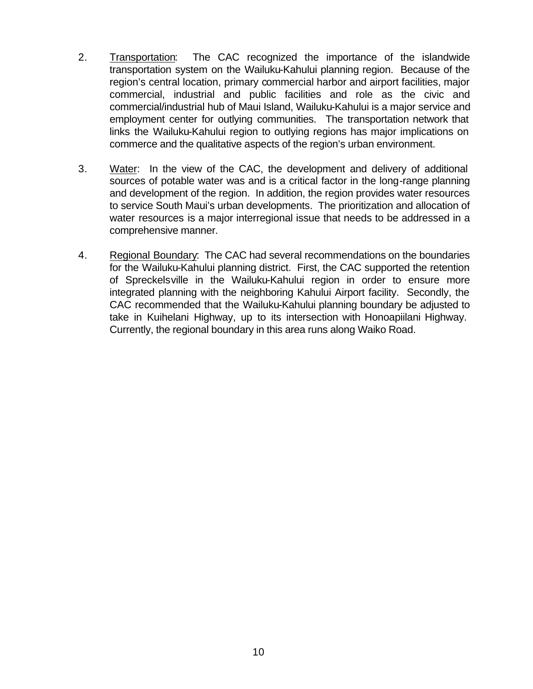- 2. Transportation: The CAC recognized the importance of the islandwide transportation system on the Wailuku-Kahului planning region. Because of the region's central location, primary commercial harbor and airport facilities, major commercial, industrial and public facilities and role as the civic and commercial/industrial hub of Maui Island, Wailuku-Kahului is a major service and employment center for outlying communities. The transportation network that links the Wailuku-Kahului region to outlying regions has major implications on commerce and the qualitative aspects of the region's urban environment.
- 3. Water: In the view of the CAC, the development and delivery of additional sources of potable water was and is a critical factor in the long-range planning and development of the region. In addition, the region provides water resources to service South Maui's urban developments. The prioritization and allocation of water resources is a major interregional issue that needs to be addressed in a comprehensive manner.
- 4. Regional Boundary: The CAC had several recommendations on the boundaries for the Wailuku-Kahului planning district. First, the CAC supported the retention of Spreckelsville in the Wailuku-Kahului region in order to ensure more integrated planning with the neighboring Kahului Airport facility. Secondly, the CAC recommended that the Wailuku-Kahului planning boundary be adjusted to take in Kuihelani Highway, up to its intersection with Honoapiilani Highway. Currently, the regional boundary in this area runs along Waiko Road.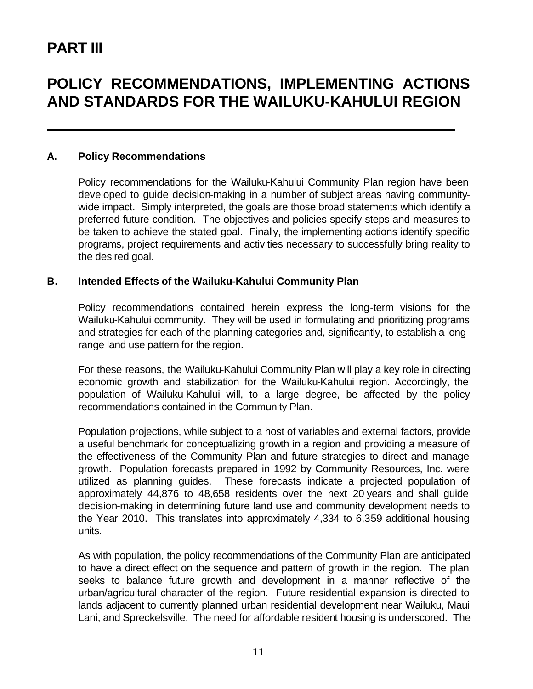# **PART III**

# **POLICY RECOMMENDATIONS, IMPLEMENTING ACTIONS AND STANDARDS FOR THE WAILUKU-KAHULUI REGION**

#### **A. Policy Recommendations**

Policy recommendations for the Wailuku-Kahului Community Plan region have been developed to guide decision-making in a number of subject areas having communitywide impact. Simply interpreted, the goals are those broad statements which identify a preferred future condition. The objectives and policies specify steps and measures to be taken to achieve the stated goal. Finally, the implementing actions identify specific programs, project requirements and activities necessary to successfully bring reality to the desired goal.

#### **B. Intended Effects of the Wailuku-Kahului Community Plan**

Policy recommendations contained herein express the long-term visions for the Wailuku-Kahului community. They will be used in formulating and prioritizing programs and strategies for each of the planning categories and, significantly, to establish a longrange land use pattern for the region.

For these reasons, the Wailuku-Kahului Community Plan will play a key role in directing economic growth and stabilization for the Wailuku-Kahului region. Accordingly, the population of Wailuku-Kahului will, to a large degree, be affected by the policy recommendations contained in the Community Plan.

Population projections, while subject to a host of variables and external factors, provide a useful benchmark for conceptualizing growth in a region and providing a measure of the effectiveness of the Community Plan and future strategies to direct and manage growth. Population forecasts prepared in 1992 by Community Resources, Inc. were utilized as planning guides. These forecasts indicate a projected population of approximately 44,876 to 48,658 residents over the next 20 years and shall guide decision-making in determining future land use and community development needs to the Year 2010. This translates into approximately 4,334 to 6,359 additional housing units.

As with population, the policy recommendations of the Community Plan are anticipated to have a direct effect on the sequence and pattern of growth in the region. The plan seeks to balance future growth and development in a manner reflective of the urban/agricultural character of the region. Future residential expansion is directed to lands adjacent to currently planned urban residential development near Wailuku, Maui Lani, and Spreckelsville. The need for affordable resident housing is underscored. The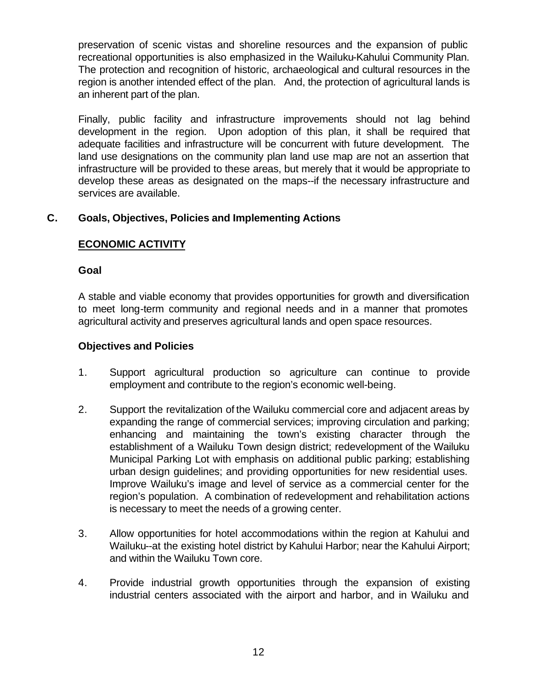preservation of scenic vistas and shoreline resources and the expansion of public recreational opportunities is also emphasized in the Wailuku-Kahului Community Plan. The protection and recognition of historic, archaeological and cultural resources in the region is another intended effect of the plan. And, the protection of agricultural lands is an inherent part of the plan.

Finally, public facility and infrastructure improvements should not lag behind development in the region. Upon adoption of this plan, it shall be required that adequate facilities and infrastructure will be concurrent with future development. The land use designations on the community plan land use map are not an assertion that infrastructure will be provided to these areas, but merely that it would be appropriate to develop these areas as designated on the maps--if the necessary infrastructure and services are available.

# **C. Goals, Objectives, Policies and Implementing Actions**

#### **ECONOMIC ACTIVITY**

#### **Goal**

A stable and viable economy that provides opportunities for growth and diversification to meet long-term community and regional needs and in a manner that promotes agricultural activity and preserves agricultural lands and open space resources.

#### **Objectives and Policies**

- 1. Support agricultural production so agriculture can continue to provide employment and contribute to the region's economic well-being.
- 2. Support the revitalization of the Wailuku commercial core and adjacent areas by expanding the range of commercial services; improving circulation and parking; enhancing and maintaining the town's existing character through the establishment of a Wailuku Town design district; redevelopment of the Wailuku Municipal Parking Lot with emphasis on additional public parking; establishing urban design guidelines; and providing opportunities for new residential uses. Improve Wailuku's image and level of service as a commercial center for the region's population. A combination of redevelopment and rehabilitation actions is necessary to meet the needs of a growing center.
- 3. Allow opportunities for hotel accommodations within the region at Kahului and Wailuku--at the existing hotel district by Kahului Harbor; near the Kahului Airport; and within the Wailuku Town core.
- 4. Provide industrial growth opportunities through the expansion of existing industrial centers associated with the airport and harbor, and in Wailuku and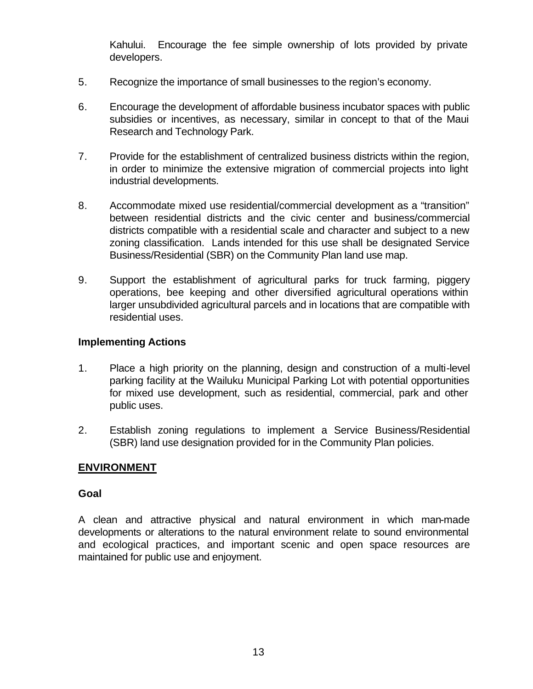Kahului. Encourage the fee simple ownership of lots provided by private developers.

- 5. Recognize the importance of small businesses to the region's economy.
- 6. Encourage the development of affordable business incubator spaces with public subsidies or incentives, as necessary, similar in concept to that of the Maui Research and Technology Park.
- 7. Provide for the establishment of centralized business districts within the region, in order to minimize the extensive migration of commercial projects into light industrial developments.
- 8. Accommodate mixed use residential/commercial development as a "transition" between residential districts and the civic center and business/commercial districts compatible with a residential scale and character and subject to a new zoning classification. Lands intended for this use shall be designated Service Business/Residential (SBR) on the Community Plan land use map.
- 9. Support the establishment of agricultural parks for truck farming, piggery operations, bee keeping and other diversified agricultural operations within larger unsubdivided agricultural parcels and in locations that are compatible with residential uses.

#### **Implementing Actions**

- 1. Place a high priority on the planning, design and construction of a multi-level parking facility at the Wailuku Municipal Parking Lot with potential opportunities for mixed use development, such as residential, commercial, park and other public uses.
- 2. Establish zoning regulations to implement a Service Business/Residential (SBR) land use designation provided for in the Community Plan policies.

#### **ENVIRONMENT**

#### **Goal**

A clean and attractive physical and natural environment in which man-made developments or alterations to the natural environment relate to sound environmental and ecological practices, and important scenic and open space resources are maintained for public use and enjoyment.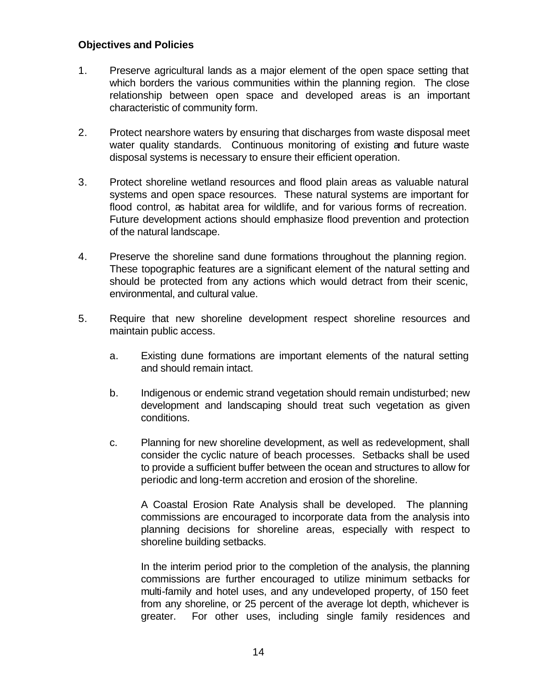#### **Objectives and Policies**

- 1. Preserve agricultural lands as a major element of the open space setting that which borders the various communities within the planning region. The close relationship between open space and developed areas is an important characteristic of community form.
- 2. Protect nearshore waters by ensuring that discharges from waste disposal meet water quality standards. Continuous monitoring of existing and future waste disposal systems is necessary to ensure their efficient operation.
- 3. Protect shoreline wetland resources and flood plain areas as valuable natural systems and open space resources. These natural systems are important for flood control, as habitat area for wildlife, and for various forms of recreation. Future development actions should emphasize flood prevention and protection of the natural landscape.
- 4. Preserve the shoreline sand dune formations throughout the planning region. These topographic features are a significant element of the natural setting and should be protected from any actions which would detract from their scenic, environmental, and cultural value.
- 5. Require that new shoreline development respect shoreline resources and maintain public access.
	- a. Existing dune formations are important elements of the natural setting and should remain intact.
	- b. Indigenous or endemic strand vegetation should remain undisturbed; new development and landscaping should treat such vegetation as given conditions.
	- c. Planning for new shoreline development, as well as redevelopment, shall consider the cyclic nature of beach processes. Setbacks shall be used to provide a sufficient buffer between the ocean and structures to allow for periodic and long-term accretion and erosion of the shoreline.

A Coastal Erosion Rate Analysis shall be developed. The planning commissions are encouraged to incorporate data from the analysis into planning decisions for shoreline areas, especially with respect to shoreline building setbacks.

In the interim period prior to the completion of the analysis, the planning commissions are further encouraged to utilize minimum setbacks for multi-family and hotel uses, and any undeveloped property, of 150 feet from any shoreline, or 25 percent of the average lot depth, whichever is greater. For other uses, including single family residences and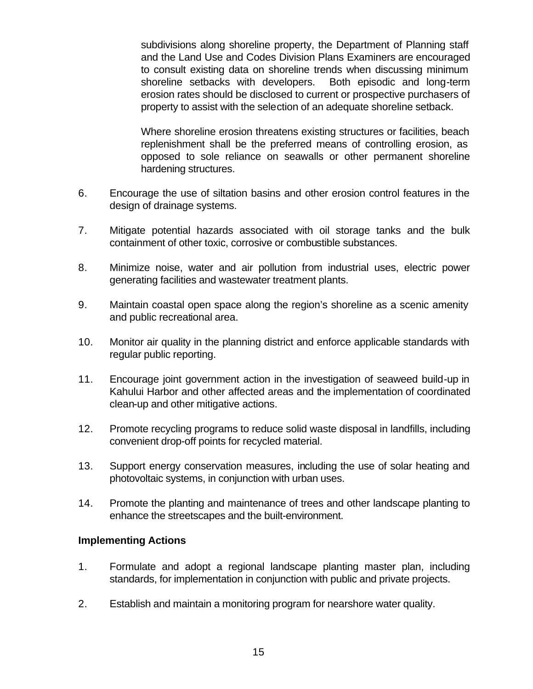subdivisions along shoreline property, the Department of Planning staff and the Land Use and Codes Division Plans Examiners are encouraged to consult existing data on shoreline trends when discussing minimum shoreline setbacks with developers. Both episodic and long-term erosion rates should be disclosed to current or prospective purchasers of property to assist with the selection of an adequate shoreline setback.

Where shoreline erosion threatens existing structures or facilities, beach replenishment shall be the preferred means of controlling erosion, as opposed to sole reliance on seawalls or other permanent shoreline hardening structures.

- 6. Encourage the use of siltation basins and other erosion control features in the design of drainage systems.
- 7. Mitigate potential hazards associated with oil storage tanks and the bulk containment of other toxic, corrosive or combustible substances.
- 8. Minimize noise, water and air pollution from industrial uses, electric power generating facilities and wastewater treatment plants.
- 9. Maintain coastal open space along the region's shoreline as a scenic amenity and public recreational area.
- 10. Monitor air quality in the planning district and enforce applicable standards with regular public reporting.
- 11. Encourage joint government action in the investigation of seaweed build-up in Kahului Harbor and other affected areas and the implementation of coordinated clean-up and other mitigative actions.
- 12. Promote recycling programs to reduce solid waste disposal in landfills, including convenient drop-off points for recycled material.
- 13. Support energy conservation measures, including the use of solar heating and photovoltaic systems, in conjunction with urban uses.
- 14. Promote the planting and maintenance of trees and other landscape planting to enhance the streetscapes and the built-environment.

#### **Implementing Actions**

- 1. Formulate and adopt a regional landscape planting master plan, including standards, for implementation in conjunction with public and private projects.
- 2. Establish and maintain a monitoring program for nearshore water quality.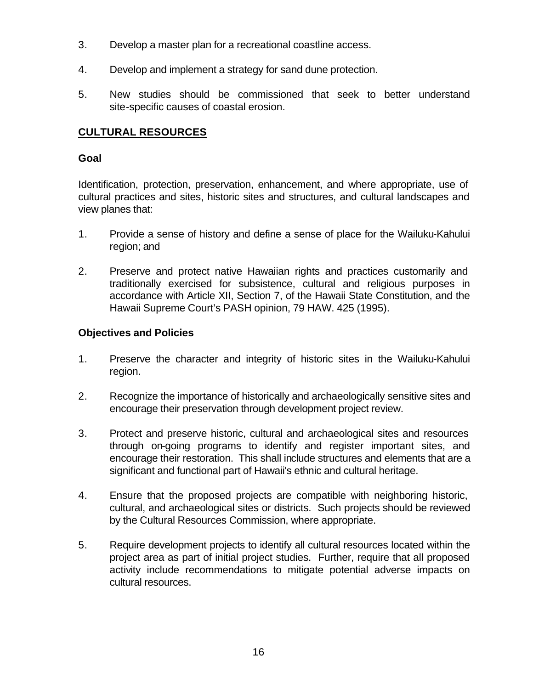- 3. Develop a master plan for a recreational coastline access.
- 4. Develop and implement a strategy for sand dune protection.
- 5. New studies should be commissioned that seek to better understand site-specific causes of coastal erosion.

# **CULTURAL RESOURCES**

### **Goal**

Identification, protection, preservation, enhancement, and where appropriate, use of cultural practices and sites, historic sites and structures, and cultural landscapes and view planes that:

- 1. Provide a sense of history and define a sense of place for the Wailuku-Kahului region; and
- 2. Preserve and protect native Hawaiian rights and practices customarily and traditionally exercised for subsistence, cultural and religious purposes in accordance with Article XII, Section 7, of the Hawaii State Constitution, and the Hawaii Supreme Court's PASH opinion, 79 HAW. 425 (1995).

#### **Objectives and Policies**

- 1. Preserve the character and integrity of historic sites in the Wailuku-Kahului region.
- 2. Recognize the importance of historically and archaeologically sensitive sites and encourage their preservation through development project review.
- 3. Protect and preserve historic, cultural and archaeological sites and resources through on-going programs to identify and register important sites, and encourage their restoration. This shall include structures and elements that are a significant and functional part of Hawaii's ethnic and cultural heritage.
- 4. Ensure that the proposed projects are compatible with neighboring historic, cultural, and archaeological sites or districts. Such projects should be reviewed by the Cultural Resources Commission, where appropriate.
- 5. Require development projects to identify all cultural resources located within the project area as part of initial project studies. Further, require that all proposed activity include recommendations to mitigate potential adverse impacts on cultural resources.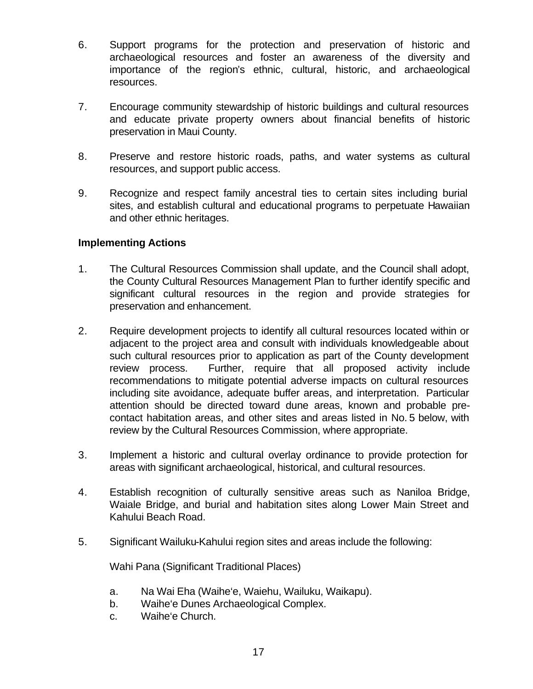- 6. Support programs for the protection and preservation of historic and archaeological resources and foster an awareness of the diversity and importance of the region's ethnic, cultural, historic, and archaeological resources.
- 7. Encourage community stewardship of historic buildings and cultural resources and educate private property owners about financial benefits of historic preservation in Maui County.
- 8. Preserve and restore historic roads, paths, and water systems as cultural resources, and support public access.
- 9. Recognize and respect family ancestral ties to certain sites including burial sites, and establish cultural and educational programs to perpetuate Hawaiian and other ethnic heritages.

#### **Implementing Actions**

- 1. The Cultural Resources Commission shall update, and the Council shall adopt, the County Cultural Resources Management Plan to further identify specific and significant cultural resources in the region and provide strategies for preservation and enhancement.
- 2. Require development projects to identify all cultural resources located within or adjacent to the project area and consult with individuals knowledgeable about such cultural resources prior to application as part of the County development review process. Further, require that all proposed activity include recommendations to mitigate potential adverse impacts on cultural resources including site avoidance, adequate buffer areas, and interpretation. Particular attention should be directed toward dune areas, known and probable precontact habitation areas, and other sites and areas listed in No. 5 below, with review by the Cultural Resources Commission, where appropriate.
- 3. Implement a historic and cultural overlay ordinance to provide protection for areas with significant archaeological, historical, and cultural resources.
- 4. Establish recognition of culturally sensitive areas such as Naniloa Bridge, Waiale Bridge, and burial and habitation sites along Lower Main Street and Kahului Beach Road.
- 5. Significant Wailuku-Kahului region sites and areas include the following:

Wahi Pana (Significant Traditional Places)

- a. Na Wai Eha (Waihe'e, Waiehu, Wailuku, Waikapu).
- b. Waihe'e Dunes Archaeological Complex.
- c. Waihe'e Church.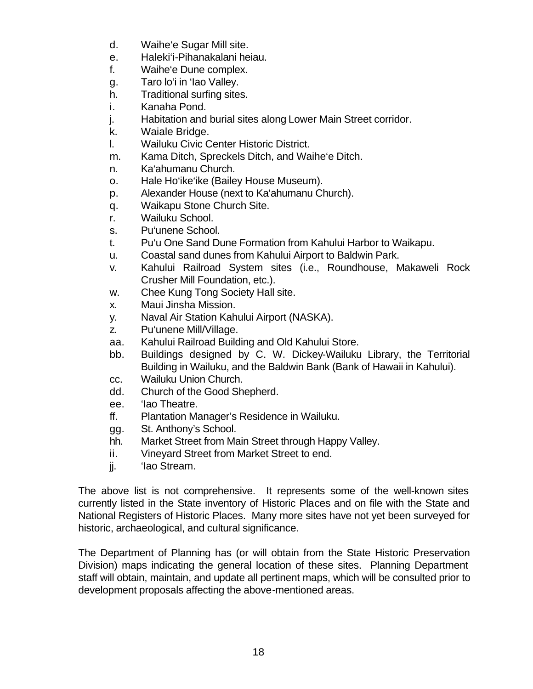- d. Waihe'e Sugar Mill site.
- e. Haleki'i-Pihanakalani heiau.
- f. Waihe'e Dune complex.
- g. Taro lo'i in 'Iao Valley.
- h. Traditional surfing sites.
- i. Kanaha Pond.
- j. Habitation and burial sites along Lower Main Street corridor.
- k. Waiale Bridge.
- l. Wailuku Civic Center Historic District.
- m. Kama Ditch, Spreckels Ditch, and Waihe'e Ditch.
- n. Ka'ahumanu Church.
- o. Hale Ho'ike'ike (Bailey House Museum).
- p. Alexander House (next to Ka'ahumanu Church).
- q. Waikapu Stone Church Site.
- r. Wailuku School.
- s. Pu'unene School.
- t. Pu'u One Sand Dune Formation from Kahului Harbor to Waikapu.
- u. Coastal sand dunes from Kahului Airport to Baldwin Park.
- v. Kahului Railroad System sites (i.e., Roundhouse, Makaweli Rock Crusher Mill Foundation, etc.).
- w. Chee Kung Tong Society Hall site.
- x. Maui Jinsha Mission.
- y. Naval Air Station Kahului Airport (NASKA).
- z. Pu'unene Mill/Village.
- aa. Kahului Railroad Building and Old Kahului Store.
- bb. Buildings designed by C. W. Dickey-Wailuku Library, the Territorial Building in Wailuku, and the Baldwin Bank (Bank of Hawaii in Kahului).
- cc. Wailuku Union Church.
- dd. Church of the Good Shepherd.
- ee. 'Iao Theatre.
- ff. Plantation Manager's Residence in Wailuku.
- gg. St. Anthony's School.
- hh. Market Street from Main Street through Happy Valley.
- ii. Vineyard Street from Market Street to end.
- jj. 'Iao Stream.

The above list is not comprehensive. It represents some of the well-known sites currently listed in the State inventory of Historic Places and on file with the State and National Registers of Historic Places. Many more sites have not yet been surveyed for historic, archaeological, and cultural significance.

The Department of Planning has (or will obtain from the State Historic Preservation Division) maps indicating the general location of these sites. Planning Department staff will obtain, maintain, and update all pertinent maps, which will be consulted prior to development proposals affecting the above-mentioned areas.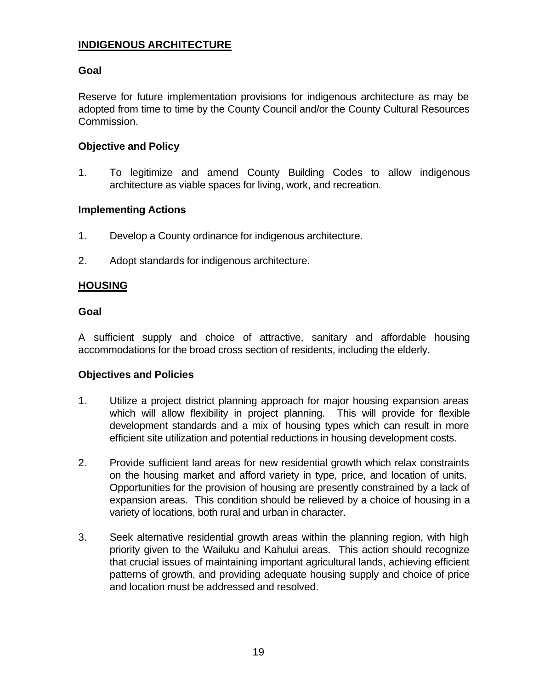# **INDIGENOUS ARCHITECTURE**

#### **Goal**

Reserve for future implementation provisions for indigenous architecture as may be adopted from time to time by the County Council and/or the County Cultural Resources Commission.

#### **Objective and Policy**

1. To legitimize and amend County Building Codes to allow indigenous architecture as viable spaces for living, work, and recreation.

#### **Implementing Actions**

- 1. Develop a County ordinance for indigenous architecture.
- 2. Adopt standards for indigenous architecture.

#### **HOUSING**

#### **Goal**

A sufficient supply and choice of attractive, sanitary and affordable housing accommodations for the broad cross section of residents, including the elderly.

#### **Objectives and Policies**

- 1. Utilize a project district planning approach for major housing expansion areas which will allow flexibility in project planning. This will provide for flexible development standards and a mix of housing types which can result in more efficient site utilization and potential reductions in housing development costs.
- 2. Provide sufficient land areas for new residential growth which relax constraints on the housing market and afford variety in type, price, and location of units. Opportunities for the provision of housing are presently constrained by a lack of expansion areas. This condition should be relieved by a choice of housing in a variety of locations, both rural and urban in character.
- 3. Seek alternative residential growth areas within the planning region, with high priority given to the Wailuku and Kahului areas. This action should recognize that crucial issues of maintaining important agricultural lands, achieving efficient patterns of growth, and providing adequate housing supply and choice of price and location must be addressed and resolved.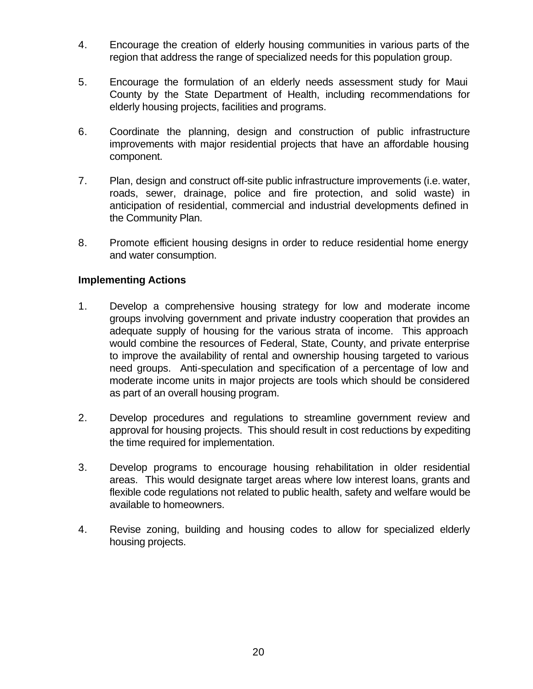- 4. Encourage the creation of elderly housing communities in various parts of the region that address the range of specialized needs for this population group.
- 5. Encourage the formulation of an elderly needs assessment study for Maui County by the State Department of Health, including recommendations for elderly housing projects, facilities and programs.
- 6. Coordinate the planning, design and construction of public infrastructure improvements with major residential projects that have an affordable housing component.
- 7. Plan, design and construct off-site public infrastructure improvements (i.e. water, roads, sewer, drainage, police and fire protection, and solid waste) in anticipation of residential, commercial and industrial developments defined in the Community Plan.
- 8. Promote efficient housing designs in order to reduce residential home energy and water consumption.

#### **Implementing Actions**

- 1. Develop a comprehensive housing strategy for low and moderate income groups involving government and private industry cooperation that provides an adequate supply of housing for the various strata of income. This approach would combine the resources of Federal, State, County, and private enterprise to improve the availability of rental and ownership housing targeted to various need groups. Anti-speculation and specification of a percentage of low and moderate income units in major projects are tools which should be considered as part of an overall housing program.
- 2. Develop procedures and regulations to streamline government review and approval for housing projects. This should result in cost reductions by expediting the time required for implementation.
- 3. Develop programs to encourage housing rehabilitation in older residential areas. This would designate target areas where low interest loans, grants and flexible code regulations not related to public health, safety and welfare would be available to homeowners.
- 4. Revise zoning, building and housing codes to allow for specialized elderly housing projects.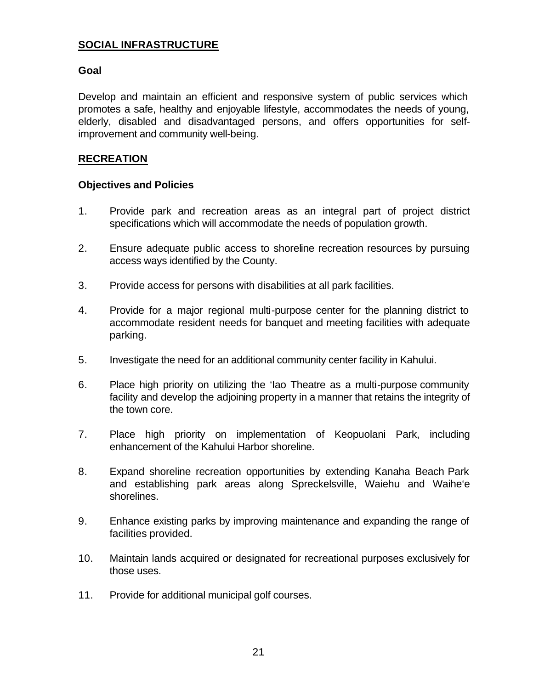# **SOCIAL INFRASTRUCTURE**

#### **Goal**

Develop and maintain an efficient and responsive system of public services which promotes a safe, healthy and enjoyable lifestyle, accommodates the needs of young, elderly, disabled and disadvantaged persons, and offers opportunities for selfimprovement and community well-being.

#### **RECREATION**

#### **Objectives and Policies**

- 1. Provide park and recreation areas as an integral part of project district specifications which will accommodate the needs of population growth.
- 2. Ensure adequate public access to shoreline recreation resources by pursuing access ways identified by the County.
- 3. Provide access for persons with disabilities at all park facilities.
- 4. Provide for a major regional multi-purpose center for the planning district to accommodate resident needs for banquet and meeting facilities with adequate parking.
- 5. Investigate the need for an additional community center facility in Kahului.
- 6. Place high priority on utilizing the 'Iao Theatre as a multi-purpose community facility and develop the adjoining property in a manner that retains the integrity of the town core.
- 7. Place high priority on implementation of Keopuolani Park, including enhancement of the Kahului Harbor shoreline.
- 8. Expand shoreline recreation opportunities by extending Kanaha Beach Park and establishing park areas along Spreckelsville, Waiehu and Waihe'e shorelines.
- 9. Enhance existing parks by improving maintenance and expanding the range of facilities provided.
- 10. Maintain lands acquired or designated for recreational purposes exclusively for those uses.
- 11. Provide for additional municipal golf courses.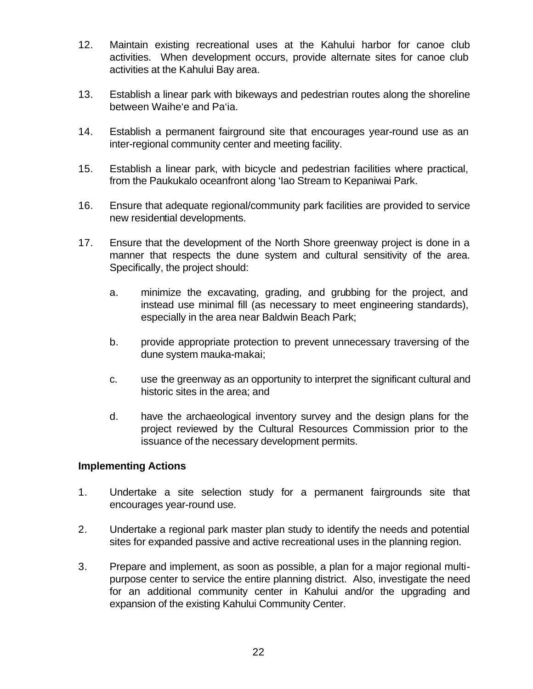- 12. Maintain existing recreational uses at the Kahului harbor for canoe club activities. When development occurs, provide alternate sites for canoe club activities at the Kahului Bay area.
- 13. Establish a linear park with bikeways and pedestrian routes along the shoreline between Waihe'e and Pa'ia.
- 14. Establish a permanent fairground site that encourages year-round use as an inter-regional community center and meeting facility.
- 15. Establish a linear park, with bicycle and pedestrian facilities where practical, from the Paukukalo oceanfront along 'Iao Stream to Kepaniwai Park.
- 16. Ensure that adequate regional/community park facilities are provided to service new residential developments.
- 17. Ensure that the development of the North Shore greenway project is done in a manner that respects the dune system and cultural sensitivity of the area. Specifically, the project should:
	- a. minimize the excavating, grading, and grubbing for the project, and instead use minimal fill (as necessary to meet engineering standards), especially in the area near Baldwin Beach Park;
	- b. provide appropriate protection to prevent unnecessary traversing of the dune system mauka-makai;
	- c. use the greenway as an opportunity to interpret the significant cultural and historic sites in the area; and
	- d. have the archaeological inventory survey and the design plans for the project reviewed by the Cultural Resources Commission prior to the issuance of the necessary development permits.

#### **Implementing Actions**

- 1. Undertake a site selection study for a permanent fairgrounds site that encourages year-round use.
- 2. Undertake a regional park master plan study to identify the needs and potential sites for expanded passive and active recreational uses in the planning region.
- 3. Prepare and implement, as soon as possible, a plan for a major regional multipurpose center to service the entire planning district. Also, investigate the need for an additional community center in Kahului and/or the upgrading and expansion of the existing Kahului Community Center.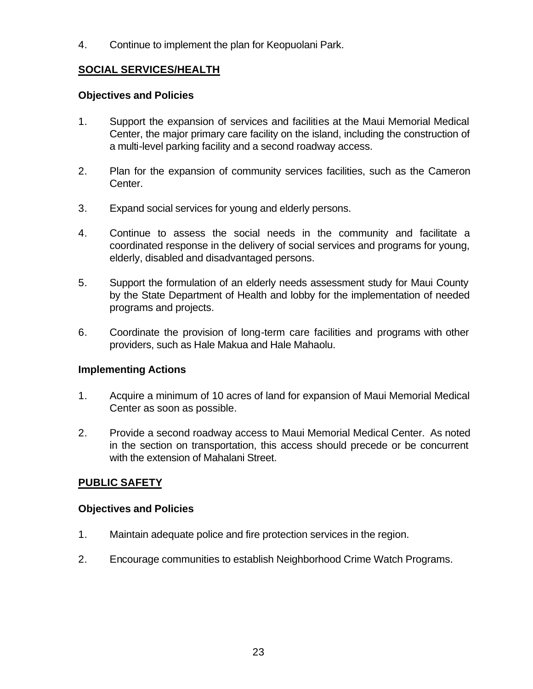4. Continue to implement the plan for Keopuolani Park.

### **SOCIAL SERVICES/HEALTH**

#### **Objectives and Policies**

- 1. Support the expansion of services and facilities at the Maui Memorial Medical Center, the major primary care facility on the island, including the construction of a multi-level parking facility and a second roadway access.
- 2. Plan for the expansion of community services facilities, such as the Cameron Center.
- 3. Expand social services for young and elderly persons.
- 4. Continue to assess the social needs in the community and facilitate a coordinated response in the delivery of social services and programs for young, elderly, disabled and disadvantaged persons.
- 5. Support the formulation of an elderly needs assessment study for Maui County by the State Department of Health and lobby for the implementation of needed programs and projects.
- 6. Coordinate the provision of long-term care facilities and programs with other providers, such as Hale Makua and Hale Mahaolu.

# **Implementing Actions**

- 1. Acquire a minimum of 10 acres of land for expansion of Maui Memorial Medical Center as soon as possible.
- 2. Provide a second roadway access to Maui Memorial Medical Center. As noted in the section on transportation, this access should precede or be concurrent with the extension of Mahalani Street.

# **PUBLIC SAFETY**

#### **Objectives and Policies**

- 1. Maintain adequate police and fire protection services in the region.
- 2. Encourage communities to establish Neighborhood Crime Watch Programs.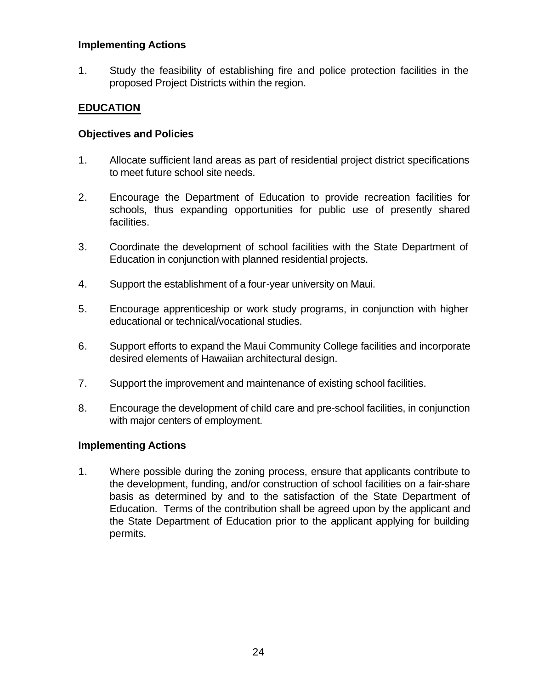#### **Implementing Actions**

1. Study the feasibility of establishing fire and police protection facilities in the proposed Project Districts within the region.

### **EDUCATION**

#### **Objectives and Policies**

- 1. Allocate sufficient land areas as part of residential project district specifications to meet future school site needs.
- 2. Encourage the Department of Education to provide recreation facilities for schools, thus expanding opportunities for public use of presently shared facilities.
- 3. Coordinate the development of school facilities with the State Department of Education in conjunction with planned residential projects.
- 4. Support the establishment of a four-year university on Maui.
- 5. Encourage apprenticeship or work study programs, in conjunction with higher educational or technical/vocational studies.
- 6. Support efforts to expand the Maui Community College facilities and incorporate desired elements of Hawaiian architectural design.
- 7. Support the improvement and maintenance of existing school facilities.
- 8. Encourage the development of child care and pre-school facilities, in conjunction with major centers of employment.

#### **Implementing Actions**

1. Where possible during the zoning process, ensure that applicants contribute to the development, funding, and/or construction of school facilities on a fair-share basis as determined by and to the satisfaction of the State Department of Education. Terms of the contribution shall be agreed upon by the applicant and the State Department of Education prior to the applicant applying for building permits.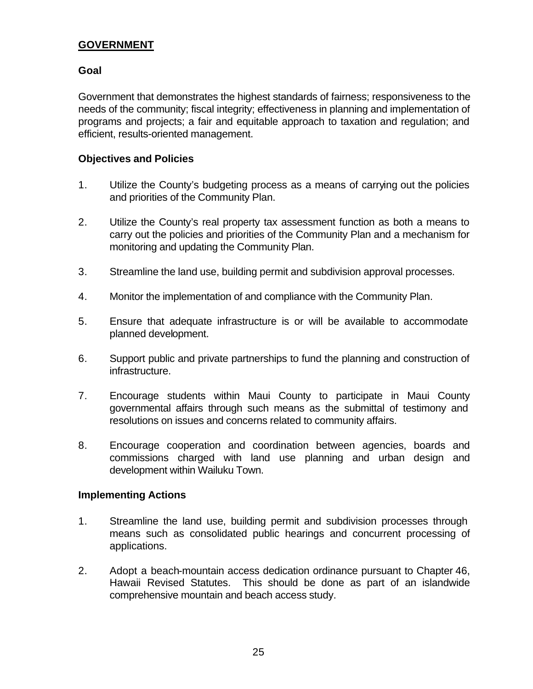#### **GOVERNMENT**

#### **Goal**

Government that demonstrates the highest standards of fairness; responsiveness to the needs of the community; fiscal integrity; effectiveness in planning and implementation of programs and projects; a fair and equitable approach to taxation and regulation; and efficient, results-oriented management.

#### **Objectives and Policies**

- 1. Utilize the County's budgeting process as a means of carrying out the policies and priorities of the Community Plan.
- 2. Utilize the County's real property tax assessment function as both a means to carry out the policies and priorities of the Community Plan and a mechanism for monitoring and updating the Community Plan.
- 3. Streamline the land use, building permit and subdivision approval processes.
- 4. Monitor the implementation of and compliance with the Community Plan.
- 5. Ensure that adequate infrastructure is or will be available to accommodate planned development.
- 6. Support public and private partnerships to fund the planning and construction of infrastructure.
- 7. Encourage students within Maui County to participate in Maui County governmental affairs through such means as the submittal of testimony and resolutions on issues and concerns related to community affairs.
- 8. Encourage cooperation and coordination between agencies, boards and commissions charged with land use planning and urban design and development within Wailuku Town.

#### **Implementing Actions**

- 1. Streamline the land use, building permit and subdivision processes through means such as consolidated public hearings and concurrent processing of applications.
- 2. Adopt a beach-mountain access dedication ordinance pursuant to Chapter 46, Hawaii Revised Statutes. This should be done as part of an islandwide comprehensive mountain and beach access study.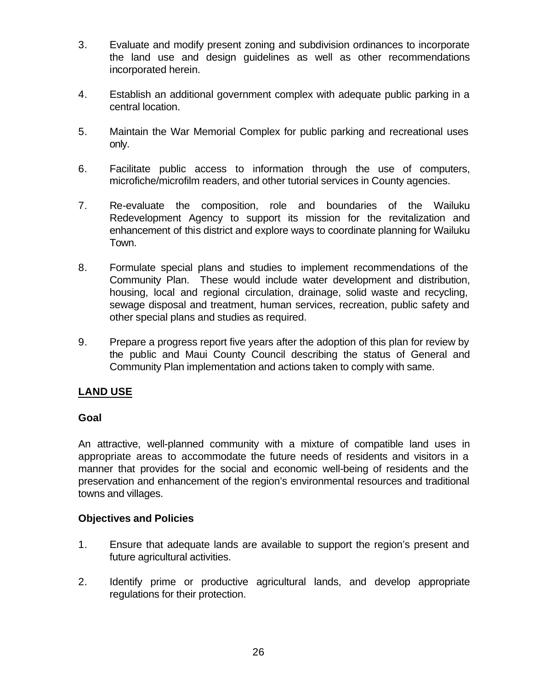- 3. Evaluate and modify present zoning and subdivision ordinances to incorporate the land use and design guidelines as well as other recommendations incorporated herein.
- 4. Establish an additional government complex with adequate public parking in a central location.
- 5. Maintain the War Memorial Complex for public parking and recreational uses only.
- 6. Facilitate public access to information through the use of computers, microfiche/microfilm readers, and other tutorial services in County agencies.
- 7. Re-evaluate the composition, role and boundaries of the Wailuku Redevelopment Agency to support its mission for the revitalization and enhancement of this district and explore ways to coordinate planning for Wailuku Town.
- 8. Formulate special plans and studies to implement recommendations of the Community Plan. These would include water development and distribution, housing, local and regional circulation, drainage, solid waste and recycling, sewage disposal and treatment, human services, recreation, public safety and other special plans and studies as required.
- 9. Prepare a progress report five years after the adoption of this plan for review by the public and Maui County Council describing the status of General and Community Plan implementation and actions taken to comply with same.

# **LAND USE**

# **Goal**

An attractive, well-planned community with a mixture of compatible land uses in appropriate areas to accommodate the future needs of residents and visitors in a manner that provides for the social and economic well-being of residents and the preservation and enhancement of the region's environmental resources and traditional towns and villages.

#### **Objectives and Policies**

- 1. Ensure that adequate lands are available to support the region's present and future agricultural activities.
- 2. Identify prime or productive agricultural lands, and develop appropriate regulations for their protection.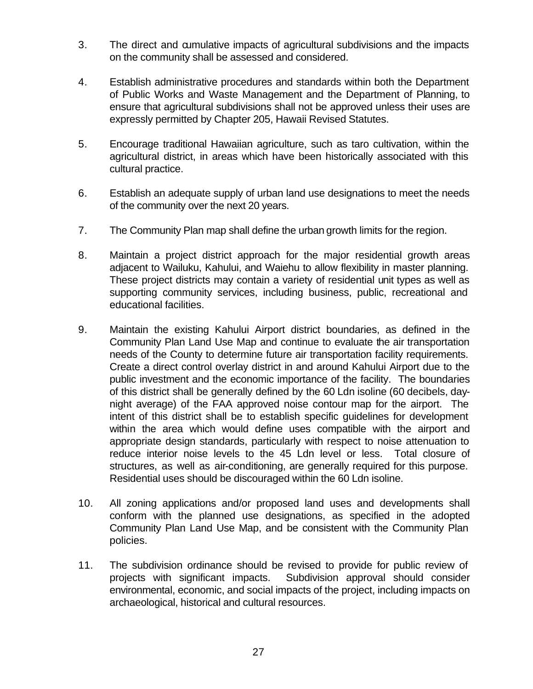- 3. The direct and cumulative impacts of agricultural subdivisions and the impacts on the community shall be assessed and considered.
- 4. Establish administrative procedures and standards within both the Department of Public Works and Waste Management and the Department of Planning, to ensure that agricultural subdivisions shall not be approved unless their uses are expressly permitted by Chapter 205, Hawaii Revised Statutes.
- 5. Encourage traditional Hawaiian agriculture, such as taro cultivation, within the agricultural district, in areas which have been historically associated with this cultural practice.
- 6. Establish an adequate supply of urban land use designations to meet the needs of the community over the next 20 years.
- 7. The Community Plan map shall define the urban growth limits for the region.
- 8. Maintain a project district approach for the major residential growth areas adjacent to Wailuku, Kahului, and Waiehu to allow flexibility in master planning. These project districts may contain a variety of residential unit types as well as supporting community services, including business, public, recreational and educational facilities.
- 9. Maintain the existing Kahului Airport district boundaries, as defined in the Community Plan Land Use Map and continue to evaluate the air transportation needs of the County to determine future air transportation facility requirements. Create a direct control overlay district in and around Kahului Airport due to the public investment and the economic importance of the facility. The boundaries of this district shall be generally defined by the 60 Ldn isoline (60 decibels, daynight average) of the FAA approved noise contour map for the airport. The intent of this district shall be to establish specific guidelines for development within the area which would define uses compatible with the airport and appropriate design standards, particularly with respect to noise attenuation to reduce interior noise levels to the 45 Ldn level or less. Total closure of structures, as well as air-conditioning, are generally required for this purpose. Residential uses should be discouraged within the 60 Ldn isoline.
- 10. All zoning applications and/or proposed land uses and developments shall conform with the planned use designations, as specified in the adopted Community Plan Land Use Map, and be consistent with the Community Plan policies.
- 11. The subdivision ordinance should be revised to provide for public review of projects with significant impacts. Subdivision approval should consider environmental, economic, and social impacts of the project, including impacts on archaeological, historical and cultural resources.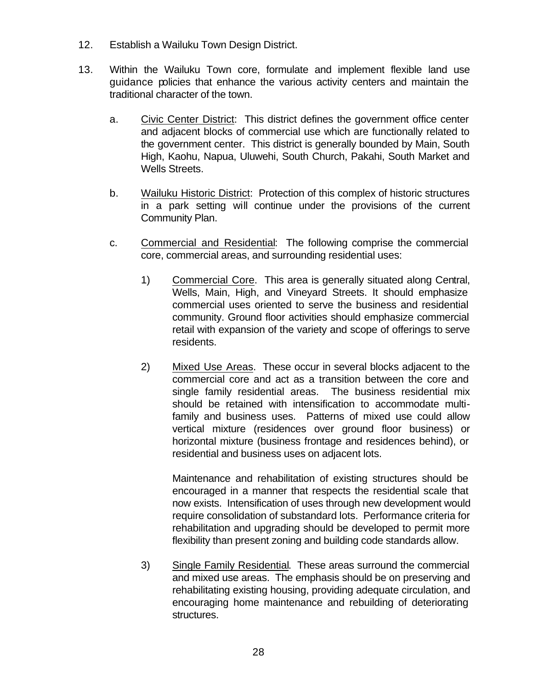- 12. Establish a Wailuku Town Design District.
- 13. Within the Wailuku Town core, formulate and implement flexible land use guidance policies that enhance the various activity centers and maintain the traditional character of the town.
	- a. Civic Center District: This district defines the government office center and adjacent blocks of commercial use which are functionally related to the government center. This district is generally bounded by Main, South High, Kaohu, Napua, Uluwehi, South Church, Pakahi, South Market and Wells Streets.
	- b. Wailuku Historic District: Protection of this complex of historic structures in a park setting will continue under the provisions of the current Community Plan.
	- c. Commercial and Residential: The following comprise the commercial core, commercial areas, and surrounding residential uses:
		- 1) Commercial Core. This area is generally situated along Central, Wells, Main, High, and Vineyard Streets. It should emphasize commercial uses oriented to serve the business and residential community. Ground floor activities should emphasize commercial retail with expansion of the variety and scope of offerings to serve residents.
		- 2) Mixed Use Areas. These occur in several blocks adjacent to the commercial core and act as a transition between the core and single family residential areas. The business residential mix should be retained with intensification to accommodate multifamily and business uses. Patterns of mixed use could allow vertical mixture (residences over ground floor business) or horizontal mixture (business frontage and residences behind), or residential and business uses on adjacent lots.

Maintenance and rehabilitation of existing structures should be encouraged in a manner that respects the residential scale that now exists. Intensification of uses through new development would require consolidation of substandard lots. Performance criteria for rehabilitation and upgrading should be developed to permit more flexibility than present zoning and building code standards allow.

3) Single Family Residential. These areas surround the commercial and mixed use areas. The emphasis should be on preserving and rehabilitating existing housing, providing adequate circulation, and encouraging home maintenance and rebuilding of deteriorating structures.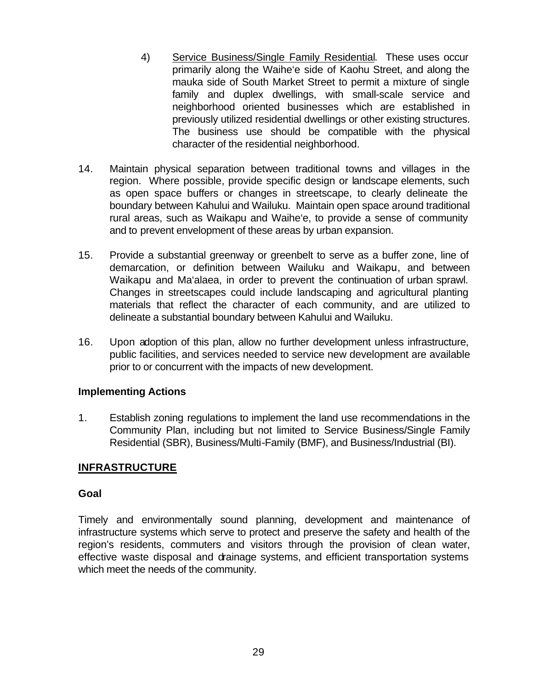- 4) Service Business/Single Family Residential. These uses occur primarily along the Waihe'e side of Kaohu Street, and along the mauka side of South Market Street to permit a mixture of single family and duplex dwellings, with small-scale service and neighborhood oriented businesses which are established in previously utilized residential dwellings or other existing structures. The business use should be compatible with the physical character of the residential neighborhood.
- 14. Maintain physical separation between traditional towns and villages in the region. Where possible, provide specific design or landscape elements, such as open space buffers or changes in streetscape, to clearly delineate the boundary between Kahului and Wailuku. Maintain open space around traditional rural areas, such as Waikapu and Waihe'e, to provide a sense of community and to prevent envelopment of these areas by urban expansion.
- 15. Provide a substantial greenway or greenbelt to serve as a buffer zone, line of demarcation, or definition between Wailuku and Waikapu, and between Waikapu and Ma'alaea, in order to prevent the continuation of urban sprawl. Changes in streetscapes could include landscaping and agricultural planting materials that reflect the character of each community, and are utilized to delineate a substantial boundary between Kahului and Wailuku.
- 16. Upon adoption of this plan, allow no further development unless infrastructure, public facilities, and services needed to service new development are available prior to or concurrent with the impacts of new development.

#### **Implementing Actions**

1. Establish zoning regulations to implement the land use recommendations in the Community Plan, including but not limited to Service Business/Single Family Residential (SBR), Business/Multi-Family (BMF), and Business/Industrial (BI).

# **INFRASTRUCTURE**

#### **Goal**

Timely and environmentally sound planning, development and maintenance of infrastructure systems which serve to protect and preserve the safety and health of the region's residents, commuters and visitors through the provision of clean water, effective waste disposal and drainage systems, and efficient transportation systems which meet the needs of the community.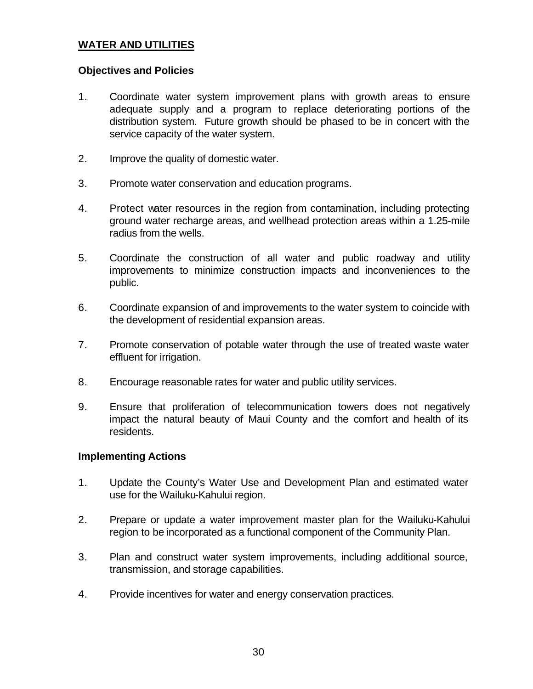#### **WATER AND UTILITIES**

#### **Objectives and Policies**

- 1. Coordinate water system improvement plans with growth areas to ensure adequate supply and a program to replace deteriorating portions of the distribution system. Future growth should be phased to be in concert with the service capacity of the water system.
- 2. Improve the quality of domestic water.
- 3. Promote water conservation and education programs.
- 4. Protect water resources in the region from contamination, including protecting ground water recharge areas, and wellhead protection areas within a 1.25-mile radius from the wells.
- 5. Coordinate the construction of all water and public roadway and utility improvements to minimize construction impacts and inconveniences to the public.
- 6. Coordinate expansion of and improvements to the water system to coincide with the development of residential expansion areas.
- 7. Promote conservation of potable water through the use of treated waste water effluent for irrigation.
- 8. Encourage reasonable rates for water and public utility services.
- 9. Ensure that proliferation of telecommunication towers does not negatively impact the natural beauty of Maui County and the comfort and health of its residents.

#### **Implementing Actions**

- 1. Update the County's Water Use and Development Plan and estimated water use for the Wailuku-Kahului region.
- 2. Prepare or update a water improvement master plan for the Wailuku-Kahului region to be incorporated as a functional component of the Community Plan.
- 3. Plan and construct water system improvements, including additional source, transmission, and storage capabilities.
- 4. Provide incentives for water and energy conservation practices.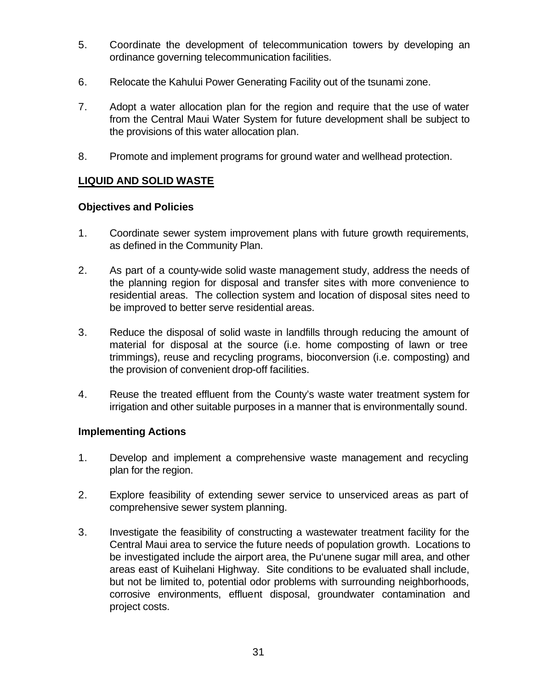- 5. Coordinate the development of telecommunication towers by developing an ordinance governing telecommunication facilities.
- 6. Relocate the Kahului Power Generating Facility out of the tsunami zone.
- 7. Adopt a water allocation plan for the region and require that the use of water from the Central Maui Water System for future development shall be subject to the provisions of this water allocation plan.
- 8. Promote and implement programs for ground water and wellhead protection.

# **LIQUID AND SOLID WASTE**

#### **Objectives and Policies**

- 1. Coordinate sewer system improvement plans with future growth requirements, as defined in the Community Plan.
- 2. As part of a county-wide solid waste management study, address the needs of the planning region for disposal and transfer sites with more convenience to residential areas. The collection system and location of disposal sites need to be improved to better serve residential areas.
- 3. Reduce the disposal of solid waste in landfills through reducing the amount of material for disposal at the source (i.e. home composting of lawn or tree trimmings), reuse and recycling programs, bioconversion (i.e. composting) and the provision of convenient drop-off facilities.
- 4. Reuse the treated effluent from the County's waste water treatment system for irrigation and other suitable purposes in a manner that is environmentally sound.

#### **Implementing Actions**

- 1. Develop and implement a comprehensive waste management and recycling plan for the region.
- 2. Explore feasibility of extending sewer service to unserviced areas as part of comprehensive sewer system planning.
- 3. Investigate the feasibility of constructing a wastewater treatment facility for the Central Maui area to service the future needs of population growth. Locations to be investigated include the airport area, the Pu'unene sugar mill area, and other areas east of Kuihelani Highway. Site conditions to be evaluated shall include, but not be limited to, potential odor problems with surrounding neighborhoods, corrosive environments, effluent disposal, groundwater contamination and project costs.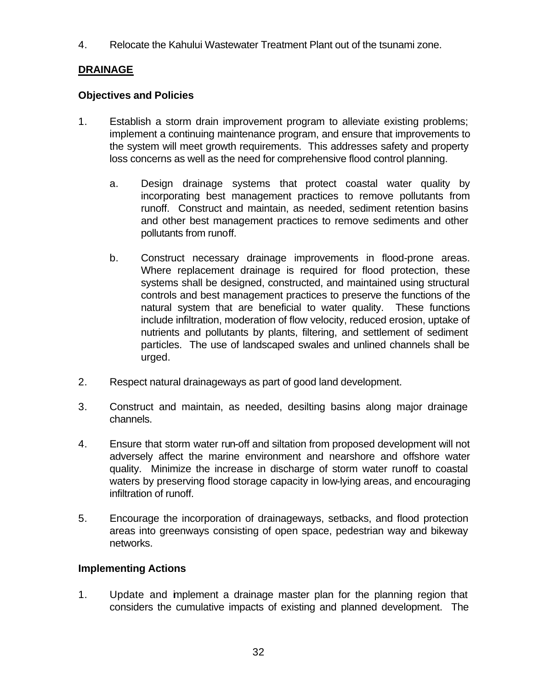4. Relocate the Kahului Wastewater Treatment Plant out of the tsunami zone.

# **DRAINAGE**

# **Objectives and Policies**

- 1. Establish a storm drain improvement program to alleviate existing problems; implement a continuing maintenance program, and ensure that improvements to the system will meet growth requirements. This addresses safety and property loss concerns as well as the need for comprehensive flood control planning.
	- a. Design drainage systems that protect coastal water quality by incorporating best management practices to remove pollutants from runoff. Construct and maintain, as needed, sediment retention basins and other best management practices to remove sediments and other pollutants from runoff.
	- b. Construct necessary drainage improvements in flood-prone areas. Where replacement drainage is required for flood protection, these systems shall be designed, constructed, and maintained using structural controls and best management practices to preserve the functions of the natural system that are beneficial to water quality. These functions include infiltration, moderation of flow velocity, reduced erosion, uptake of nutrients and pollutants by plants, filtering, and settlement of sediment particles. The use of landscaped swales and unlined channels shall be urged.
- 2. Respect natural drainageways as part of good land development.
- 3. Construct and maintain, as needed, desilting basins along major drainage channels.
- 4. Ensure that storm water run-off and siltation from proposed development will not adversely affect the marine environment and nearshore and offshore water quality. Minimize the increase in discharge of storm water runoff to coastal waters by preserving flood storage capacity in low-lying areas, and encouraging infiltration of runoff.
- 5. Encourage the incorporation of drainageways, setbacks, and flood protection areas into greenways consisting of open space, pedestrian way and bikeway networks.

# **Implementing Actions**

1. Update and implement a drainage master plan for the planning region that considers the cumulative impacts of existing and planned development. The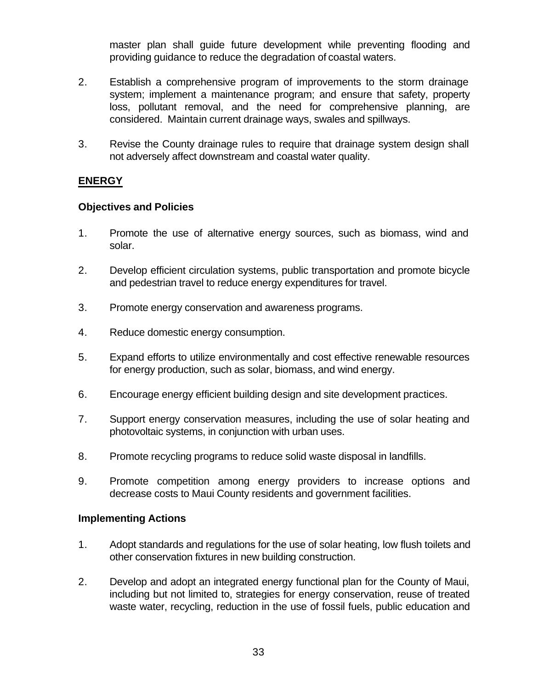master plan shall guide future development while preventing flooding and providing guidance to reduce the degradation of coastal waters.

- 2. Establish a comprehensive program of improvements to the storm drainage system; implement a maintenance program; and ensure that safety, property loss, pollutant removal, and the need for comprehensive planning, are considered. Maintain current drainage ways, swales and spillways.
- 3. Revise the County drainage rules to require that drainage system design shall not adversely affect downstream and coastal water quality.

#### **ENERGY**

#### **Objectives and Policies**

- 1. Promote the use of alternative energy sources, such as biomass, wind and solar.
- 2. Develop efficient circulation systems, public transportation and promote bicycle and pedestrian travel to reduce energy expenditures for travel.
- 3. Promote energy conservation and awareness programs.
- 4. Reduce domestic energy consumption.
- 5. Expand efforts to utilize environmentally and cost effective renewable resources for energy production, such as solar, biomass, and wind energy.
- 6. Encourage energy efficient building design and site development practices.
- 7. Support energy conservation measures, including the use of solar heating and photovoltaic systems, in conjunction with urban uses.
- 8. Promote recycling programs to reduce solid waste disposal in landfills.
- 9. Promote competition among energy providers to increase options and decrease costs to Maui County residents and government facilities.

#### **Implementing Actions**

- 1. Adopt standards and regulations for the use of solar heating, low flush toilets and other conservation fixtures in new building construction.
- 2. Develop and adopt an integrated energy functional plan for the County of Maui, including but not limited to, strategies for energy conservation, reuse of treated waste water, recycling, reduction in the use of fossil fuels, public education and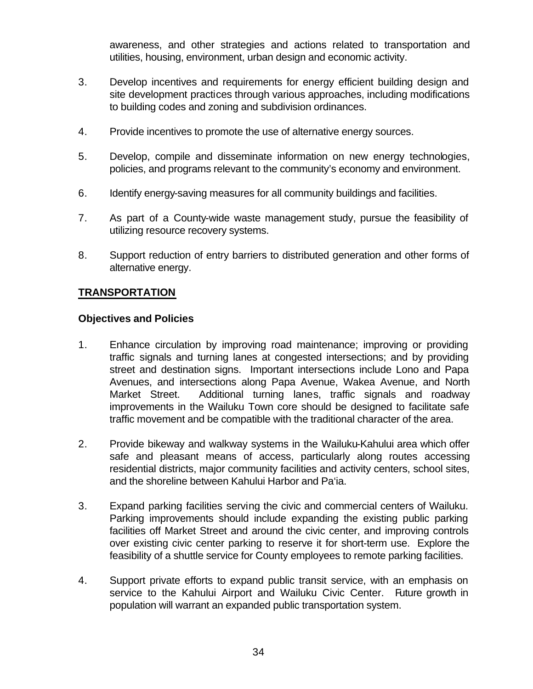awareness, and other strategies and actions related to transportation and utilities, housing, environment, urban design and economic activity.

- 3. Develop incentives and requirements for energy efficient building design and site development practices through various approaches, including modifications to building codes and zoning and subdivision ordinances.
- 4. Provide incentives to promote the use of alternative energy sources.
- 5. Develop, compile and disseminate information on new energy technologies, policies, and programs relevant to the community's economy and environment.
- 6. Identify energy-saving measures for all community buildings and facilities.
- 7. As part of a County-wide waste management study, pursue the feasibility of utilizing resource recovery systems.
- 8. Support reduction of entry barriers to distributed generation and other forms of alternative energy.

# **TRANSPORTATION**

#### **Objectives and Policies**

- 1. Enhance circulation by improving road maintenance; improving or providing traffic signals and turning lanes at congested intersections; and by providing street and destination signs. Important intersections include Lono and Papa Avenues, and intersections along Papa Avenue, Wakea Avenue, and North Market Street. Additional turning lanes, traffic signals and roadway improvements in the Wailuku Town core should be designed to facilitate safe traffic movement and be compatible with the traditional character of the area.
- 2. Provide bikeway and walkway systems in the Wailuku-Kahului area which offer safe and pleasant means of access, particularly along routes accessing residential districts, major community facilities and activity centers, school sites, and the shoreline between Kahului Harbor and Pa'ia.
- 3. Expand parking facilities serving the civic and commercial centers of Wailuku. Parking improvements should include expanding the existing public parking facilities off Market Street and around the civic center, and improving controls over existing civic center parking to reserve it for short-term use. Explore the feasibility of a shuttle service for County employees to remote parking facilities.
- 4. Support private efforts to expand public transit service, with an emphasis on service to the Kahului Airport and Wailuku Civic Center. Future growth in population will warrant an expanded public transportation system.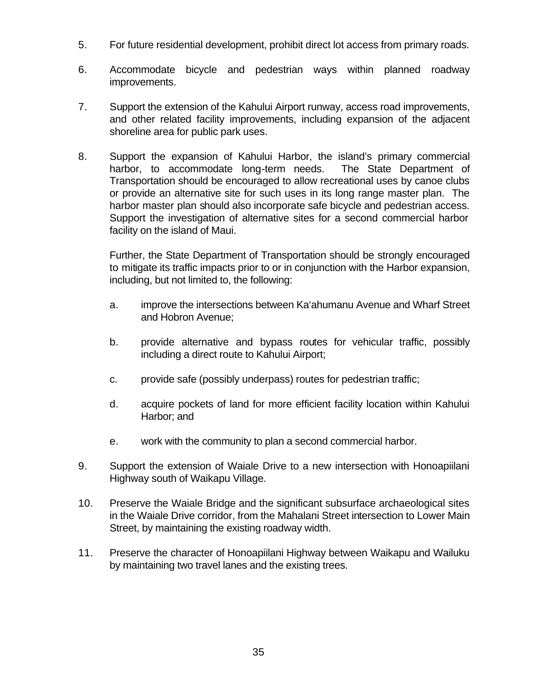- 5. For future residential development, prohibit direct lot access from primary roads.
- 6. Accommodate bicycle and pedestrian ways within planned roadway improvements.
- 7. Support the extension of the Kahului Airport runway, access road improvements, and other related facility improvements, including expansion of the adjacent shoreline area for public park uses.
- 8. Support the expansion of Kahului Harbor, the island's primary commercial harbor, to accommodate long-term needs. The State Department of Transportation should be encouraged to allow recreational uses by canoe clubs or provide an alternative site for such uses in its long range master plan. The harbor master plan should also incorporate safe bicycle and pedestrian access. Support the investigation of alternative sites for a second commercial harbor facility on the island of Maui.

Further, the State Department of Transportation should be strongly encouraged to mitigate its traffic impacts prior to or in conjunction with the Harbor expansion, including, but not limited to, the following:

- a. improve the intersections between Ka'ahumanu Avenue and Wharf Street and Hobron Avenue;
- b. provide alternative and bypass routes for vehicular traffic, possibly including a direct route to Kahului Airport;
- c. provide safe (possibly underpass) routes for pedestrian traffic;
- d. acquire pockets of land for more efficient facility location within Kahului Harbor; and
- e. work with the community to plan a second commercial harbor.
- 9. Support the extension of Waiale Drive to a new intersection with Honoapiilani Highway south of Waikapu Village.
- 10. Preserve the Waiale Bridge and the significant subsurface archaeological sites in the Waiale Drive corridor, from the Mahalani Street intersection to Lower Main Street, by maintaining the existing roadway width.
- 11. Preserve the character of Honoapiilani Highway between Waikapu and Wailuku by maintaining two travel lanes and the existing trees.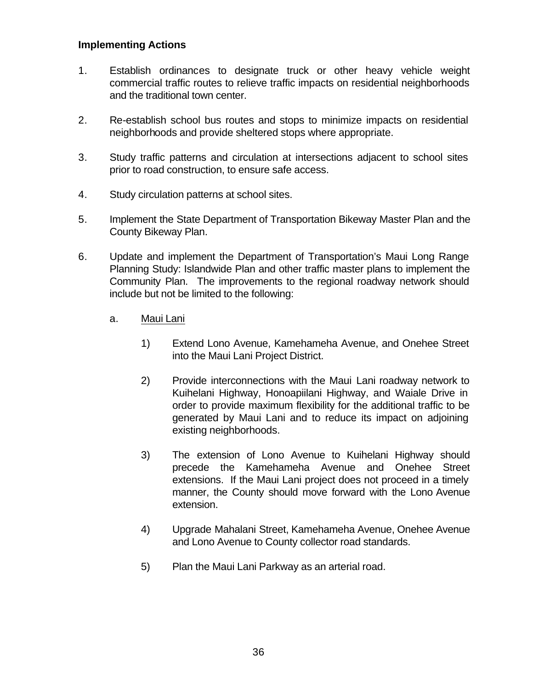#### **Implementing Actions**

- 1. Establish ordinances to designate truck or other heavy vehicle weight commercial traffic routes to relieve traffic impacts on residential neighborhoods and the traditional town center.
- 2. Re-establish school bus routes and stops to minimize impacts on residential neighborhoods and provide sheltered stops where appropriate.
- 3. Study traffic patterns and circulation at intersections adjacent to school sites prior to road construction, to ensure safe access.
- 4. Study circulation patterns at school sites.
- 5. Implement the State Department of Transportation Bikeway Master Plan and the County Bikeway Plan.
- 6. Update and implement the Department of Transportation's Maui Long Range Planning Study: Islandwide Plan and other traffic master plans to implement the Community Plan. The improvements to the regional roadway network should include but not be limited to the following:
	- a. Maui Lani
		- 1) Extend Lono Avenue, Kamehameha Avenue, and Onehee Street into the Maui Lani Project District.
		- 2) Provide interconnections with the Maui Lani roadway network to Kuihelani Highway, Honoapiilani Highway, and Waiale Drive in order to provide maximum flexibility for the additional traffic to be generated by Maui Lani and to reduce its impact on adjoining existing neighborhoods.
		- 3) The extension of Lono Avenue to Kuihelani Highway should precede the Kamehameha Avenue and Onehee Street extensions. If the Maui Lani project does not proceed in a timely manner, the County should move forward with the Lono Avenue extension.
		- 4) Upgrade Mahalani Street, Kamehameha Avenue, Onehee Avenue and Lono Avenue to County collector road standards.
		- 5) Plan the Maui Lani Parkway as an arterial road.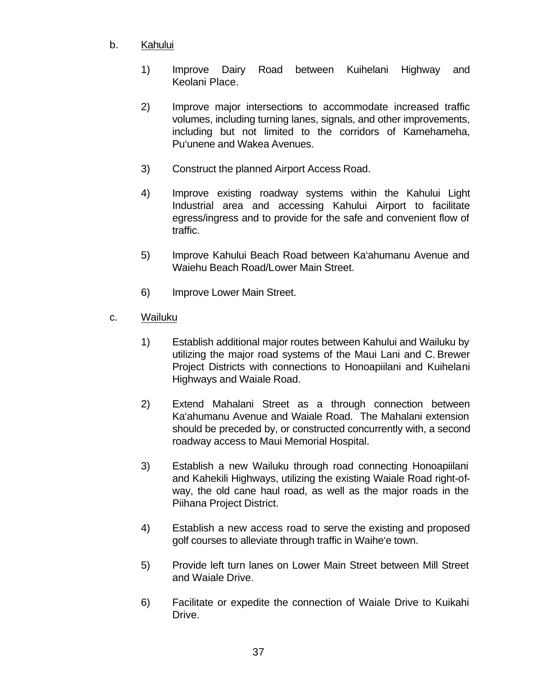### b. Kahului

- 1) Improve Dairy Road between Kuihelani Highway and Keolani Place.
- 2) Improve major intersections to accommodate increased traffic volumes, including turning lanes, signals, and other improvements, including but not limited to the corridors of Kamehameha, Pu'unene and Wakea Avenues.
- 3) Construct the planned Airport Access Road.
- 4) Improve existing roadway systems within the Kahului Light Industrial area and accessing Kahului Airport to facilitate egress/ingress and to provide for the safe and convenient flow of traffic.
- 5) Improve Kahului Beach Road between Ka'ahumanu Avenue and Waiehu Beach Road/Lower Main Street.
- 6) Improve Lower Main Street.
- c. Wailuku
	- 1) Establish additional major routes between Kahului and Wailuku by utilizing the major road systems of the Maui Lani and C. Brewer Project Districts with connections to Honoapiilani and Kuihelani Highways and Waiale Road.
	- 2) Extend Mahalani Street as a through connection between Ka'ahumanu Avenue and Waiale Road. The Mahalani extension should be preceded by, or constructed concurrently with, a second roadway access to Maui Memorial Hospital.
	- 3) Establish a new Wailuku through road connecting Honoapiilani and Kahekili Highways, utilizing the existing Waiale Road right-ofway, the old cane haul road, as well as the major roads in the Piihana Project District.
	- 4) Establish a new access road to serve the existing and proposed golf courses to alleviate through traffic in Waihe'e town.
	- 5) Provide left turn lanes on Lower Main Street between Mill Street and Waiale Drive.
	- 6) Facilitate or expedite the connection of Waiale Drive to Kuikahi Drive.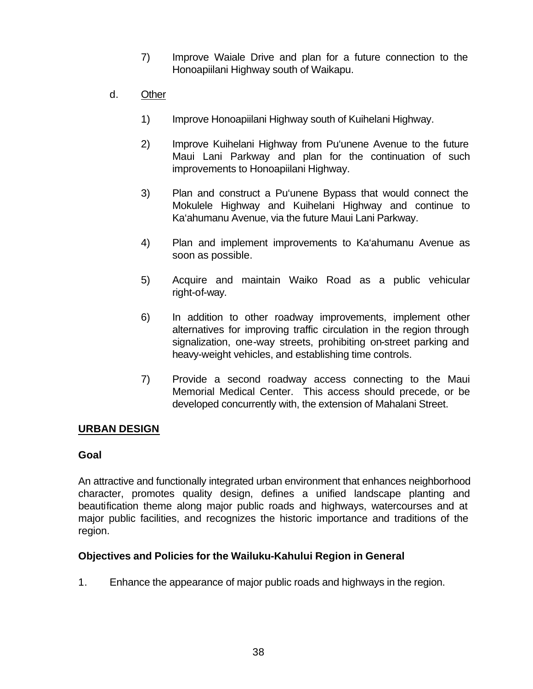- 7) Improve Waiale Drive and plan for a future connection to the Honoapiilani Highway south of Waikapu.
- d. Other
	- 1) Improve Honoapiilani Highway south of Kuihelani Highway.
	- 2) Improve Kuihelani Highway from Pu'unene Avenue to the future Maui Lani Parkway and plan for the continuation of such improvements to Honoapiilani Highway.
	- 3) Plan and construct a Pu'unene Bypass that would connect the Mokulele Highway and Kuihelani Highway and continue to Ka'ahumanu Avenue, via the future Maui Lani Parkway.
	- 4) Plan and implement improvements to Ka'ahumanu Avenue as soon as possible.
	- 5) Acquire and maintain Waiko Road as a public vehicular right-of-way.
	- 6) In addition to other roadway improvements, implement other alternatives for improving traffic circulation in the region through signalization, one-way streets, prohibiting on-street parking and heavy-weight vehicles, and establishing time controls.
	- 7) Provide a second roadway access connecting to the Maui Memorial Medical Center. This access should precede, or be developed concurrently with, the extension of Mahalani Street.

#### **URBAN DESIGN**

#### **Goal**

An attractive and functionally integrated urban environment that enhances neighborhood character, promotes quality design, defines a unified landscape planting and beautification theme along major public roads and highways, watercourses and at major public facilities, and recognizes the historic importance and traditions of the region.

#### **Objectives and Policies for the Wailuku-Kahului Region in General**

1. Enhance the appearance of major public roads and highways in the region.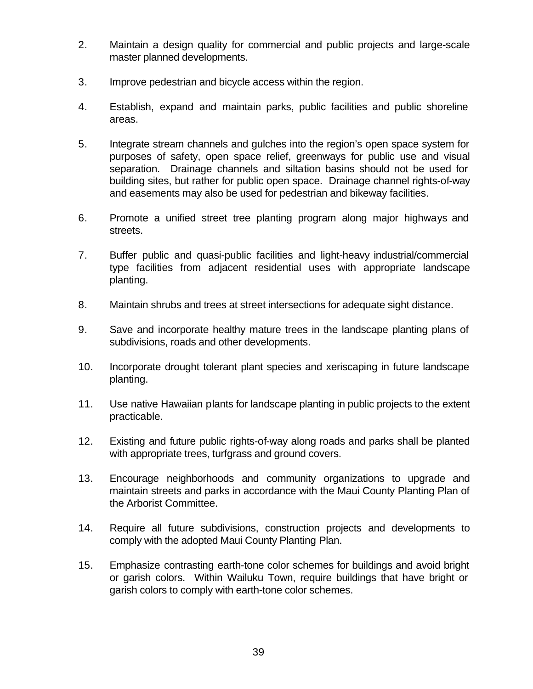- 2. Maintain a design quality for commercial and public projects and large-scale master planned developments.
- 3. Improve pedestrian and bicycle access within the region.
- 4. Establish, expand and maintain parks, public facilities and public shoreline areas.
- 5. Integrate stream channels and gulches into the region's open space system for purposes of safety, open space relief, greenways for public use and visual separation. Drainage channels and siltation basins should not be used for building sites, but rather for public open space. Drainage channel rights-of-way and easements may also be used for pedestrian and bikeway facilities.
- 6. Promote a unified street tree planting program along major highways and streets.
- 7. Buffer public and quasi-public facilities and light-heavy industrial/commercial type facilities from adjacent residential uses with appropriate landscape planting.
- 8. Maintain shrubs and trees at street intersections for adequate sight distance.
- 9. Save and incorporate healthy mature trees in the landscape planting plans of subdivisions, roads and other developments.
- 10. Incorporate drought tolerant plant species and xeriscaping in future landscape planting.
- 11. Use native Hawaiian plants for landscape planting in public projects to the extent practicable.
- 12. Existing and future public rights-of-way along roads and parks shall be planted with appropriate trees, turfgrass and ground covers.
- 13. Encourage neighborhoods and community organizations to upgrade and maintain streets and parks in accordance with the Maui County Planting Plan of the Arborist Committee.
- 14. Require all future subdivisions, construction projects and developments to comply with the adopted Maui County Planting Plan.
- 15. Emphasize contrasting earth-tone color schemes for buildings and avoid bright or garish colors. Within Wailuku Town, require buildings that have bright or garish colors to comply with earth-tone color schemes.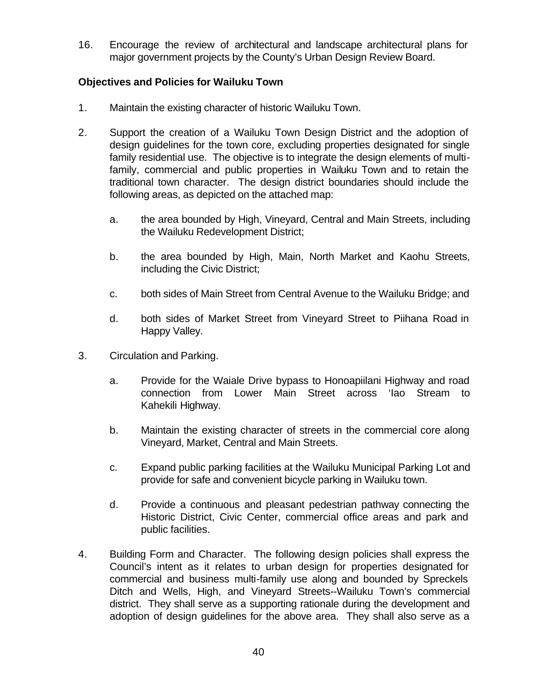16. Encourage the review of architectural and landscape architectural plans for major government projects by the County's Urban Design Review Board.

### **Objectives and Policies for Wailuku Town**

- 1. Maintain the existing character of historic Wailuku Town.
- 2. Support the creation of a Wailuku Town Design District and the adoption of design guidelines for the town core, excluding properties designated for single family residential use. The objective is to integrate the design elements of multifamily, commercial and public properties in Wailuku Town and to retain the traditional town character. The design district boundaries should include the following areas, as depicted on the attached map:
	- a. the area bounded by High, Vineyard, Central and Main Streets, including the Wailuku Redevelopment District;
	- b. the area bounded by High, Main, North Market and Kaohu Streets, including the Civic District;
	- c. both sides of Main Street from Central Avenue to the Wailuku Bridge; and
	- d. both sides of Market Street from Vineyard Street to Piihana Road in Happy Valley.
- 3. Circulation and Parking.
	- a. Provide for the Waiale Drive bypass to Honoapiilani Highway and road connection from Lower Main Street across 'Iao Stream to Kahekili Highway.
	- b. Maintain the existing character of streets in the commercial core along Vineyard, Market, Central and Main Streets.
	- c. Expand public parking facilities at the Wailuku Municipal Parking Lot and provide for safe and convenient bicycle parking in Wailuku town.
	- d. Provide a continuous and pleasant pedestrian pathway connecting the Historic District, Civic Center, commercial office areas and park and public facilities.
- 4. Building Form and Character. The following design policies shall express the Council's intent as it relates to urban design for properties designated for commercial and business multi-family use along and bounded by Spreckels Ditch and Wells, High, and Vineyard Streets--Wailuku Town's commercial district. They shall serve as a supporting rationale during the development and adoption of design guidelines for the above area. They shall also serve as a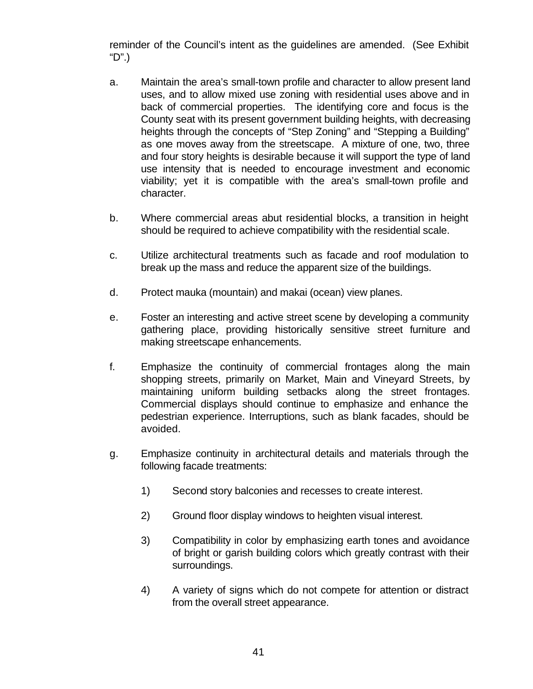reminder of the Council's intent as the guidelines are amended. (See Exhibit "D".)

- a. Maintain the area's small-town profile and character to allow present land uses, and to allow mixed use zoning with residential uses above and in back of commercial properties. The identifying core and focus is the County seat with its present government building heights, with decreasing heights through the concepts of "Step Zoning" and "Stepping a Building" as one moves away from the streetscape. A mixture of one, two, three and four story heights is desirable because it will support the type of land use intensity that is needed to encourage investment and economic viability; yet it is compatible with the area's small-town profile and character.
- b. Where commercial areas abut residential blocks, a transition in height should be required to achieve compatibility with the residential scale.
- c. Utilize architectural treatments such as facade and roof modulation to break up the mass and reduce the apparent size of the buildings.
- d. Protect mauka (mountain) and makai (ocean) view planes.
- e. Foster an interesting and active street scene by developing a community gathering place, providing historically sensitive street furniture and making streetscape enhancements.
- f. Emphasize the continuity of commercial frontages along the main shopping streets, primarily on Market, Main and Vineyard Streets, by maintaining uniform building setbacks along the street frontages. Commercial displays should continue to emphasize and enhance the pedestrian experience. Interruptions, such as blank facades, should be avoided.
- g. Emphasize continuity in architectural details and materials through the following facade treatments:
	- 1) Second story balconies and recesses to create interest.
	- 2) Ground floor display windows to heighten visual interest.
	- 3) Compatibility in color by emphasizing earth tones and avoidance of bright or garish building colors which greatly contrast with their surroundings.
	- 4) A variety of signs which do not compete for attention or distract from the overall street appearance.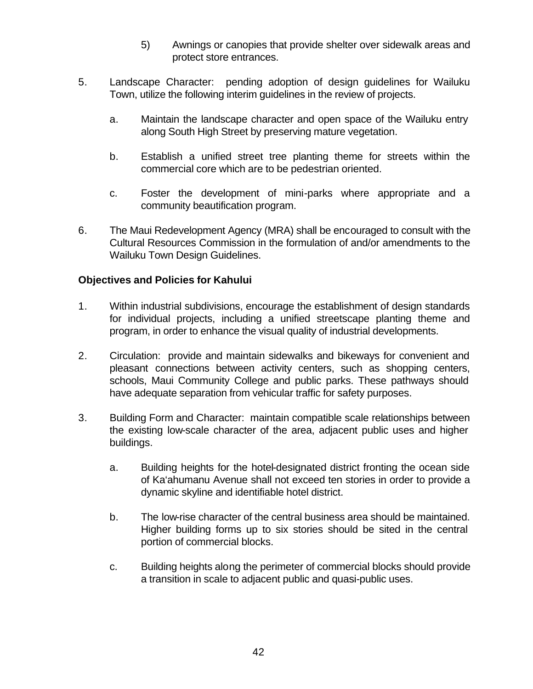- 5) Awnings or canopies that provide shelter over sidewalk areas and protect store entrances.
- 5. Landscape Character: pending adoption of design guidelines for Wailuku Town, utilize the following interim guidelines in the review of projects.
	- a. Maintain the landscape character and open space of the Wailuku entry along South High Street by preserving mature vegetation.
	- b. Establish a unified street tree planting theme for streets within the commercial core which are to be pedestrian oriented.
	- c. Foster the development of mini-parks where appropriate and a community beautification program.
- 6. The Maui Redevelopment Agency (MRA) shall be encouraged to consult with the Cultural Resources Commission in the formulation of and/or amendments to the Wailuku Town Design Guidelines.

#### **Objectives and Policies for Kahului**

- 1. Within industrial subdivisions, encourage the establishment of design standards for individual projects, including a unified streetscape planting theme and program, in order to enhance the visual quality of industrial developments.
- 2. Circulation: provide and maintain sidewalks and bikeways for convenient and pleasant connections between activity centers, such as shopping centers, schools, Maui Community College and public parks. These pathways should have adequate separation from vehicular traffic for safety purposes.
- 3. Building Form and Character: maintain compatible scale relationships between the existing low-scale character of the area, adjacent public uses and higher buildings.
	- a. Building heights for the hotel-designated district fronting the ocean side of Ka'ahumanu Avenue shall not exceed ten stories in order to provide a dynamic skyline and identifiable hotel district.
	- b. The low-rise character of the central business area should be maintained. Higher building forms up to six stories should be sited in the central portion of commercial blocks.
	- c. Building heights along the perimeter of commercial blocks should provide a transition in scale to adjacent public and quasi-public uses.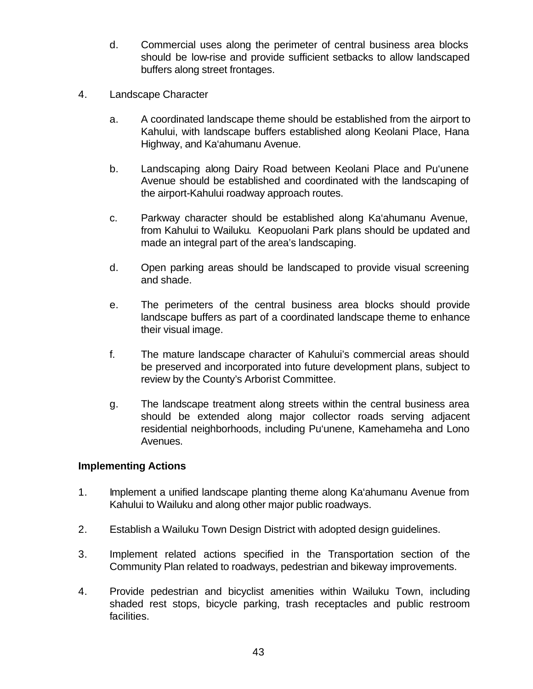- d. Commercial uses along the perimeter of central business area blocks should be low-rise and provide sufficient setbacks to allow landscaped buffers along street frontages.
- 4. Landscape Character
	- a. A coordinated landscape theme should be established from the airport to Kahului, with landscape buffers established along Keolani Place, Hana Highway, and Ka'ahumanu Avenue.
	- b. Landscaping along Dairy Road between Keolani Place and Pu'unene Avenue should be established and coordinated with the landscaping of the airport-Kahului roadway approach routes.
	- c. Parkway character should be established along Ka'ahumanu Avenue, from Kahului to Wailuku. Keopuolani Park plans should be updated and made an integral part of the area's landscaping.
	- d. Open parking areas should be landscaped to provide visual screening and shade.
	- e. The perimeters of the central business area blocks should provide landscape buffers as part of a coordinated landscape theme to enhance their visual image.
	- f. The mature landscape character of Kahului's commercial areas should be preserved and incorporated into future development plans, subject to review by the County's Arborist Committee.
	- g. The landscape treatment along streets within the central business area should be extended along major collector roads serving adjacent residential neighborhoods, including Pu'unene, Kamehameha and Lono Avenues.

# **Implementing Actions**

- 1. Implement a unified landscape planting theme along Ka'ahumanu Avenue from Kahului to Wailuku and along other major public roadways.
- 2. Establish a Wailuku Town Design District with adopted design guidelines.
- 3. Implement related actions specified in the Transportation section of the Community Plan related to roadways, pedestrian and bikeway improvements.
- 4. Provide pedestrian and bicyclist amenities within Wailuku Town, including shaded rest stops, bicycle parking, trash receptacles and public restroom facilities.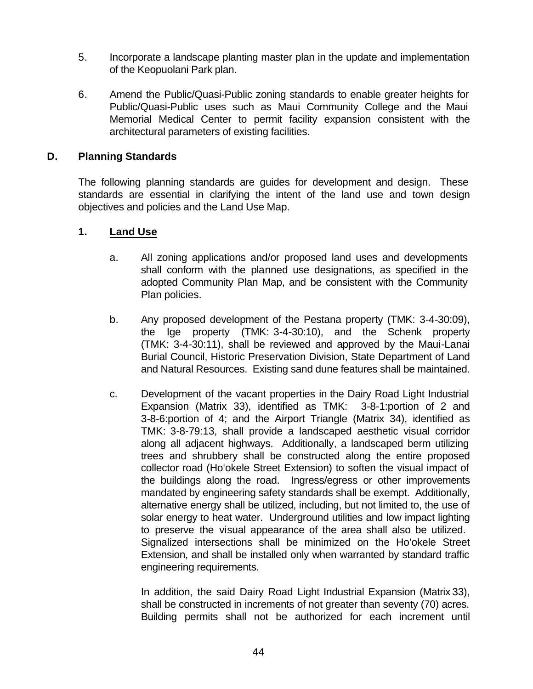- 5. Incorporate a landscape planting master plan in the update and implementation of the Keopuolani Park plan.
- 6. Amend the Public/Quasi-Public zoning standards to enable greater heights for Public/Quasi-Public uses such as Maui Community College and the Maui Memorial Medical Center to permit facility expansion consistent with the architectural parameters of existing facilities.

#### **D. Planning Standards**

The following planning standards are guides for development and design. These standards are essential in clarifying the intent of the land use and town design objectives and policies and the Land Use Map.

#### **1. Land Use**

- a. All zoning applications and/or proposed land uses and developments shall conform with the planned use designations, as specified in the adopted Community Plan Map, and be consistent with the Community Plan policies.
- b. Any proposed development of the Pestana property (TMK: 3-4-30:09), the Ige property (TMK: 3-4-30:10), and the Schenk property (TMK: 3-4-30:11), shall be reviewed and approved by the Maui-Lanai Burial Council, Historic Preservation Division, State Department of Land and Natural Resources. Existing sand dune features shall be maintained.
- c. Development of the vacant properties in the Dairy Road Light Industrial Expansion (Matrix 33), identified as TMK: 3-8-1:portion of 2 and 3-8-6:portion of 4; and the Airport Triangle (Matrix 34), identified as TMK: 3-8-79:13, shall provide a landscaped aesthetic visual corridor along all adjacent highways. Additionally, a landscaped berm utilizing trees and shrubbery shall be constructed along the entire proposed collector road (Ho'okele Street Extension) to soften the visual impact of the buildings along the road. Ingress/egress or other improvements mandated by engineering safety standards shall be exempt. Additionally, alternative energy shall be utilized, including, but not limited to, the use of solar energy to heat water. Underground utilities and low impact lighting to preserve the visual appearance of the area shall also be utilized. Signalized intersections shall be minimized on the Ho'okele Street Extension, and shall be installed only when warranted by standard traffic engineering requirements.

In addition, the said Dairy Road Light Industrial Expansion (Matrix 33), shall be constructed in increments of not greater than seventy (70) acres. Building permits shall not be authorized for each increment until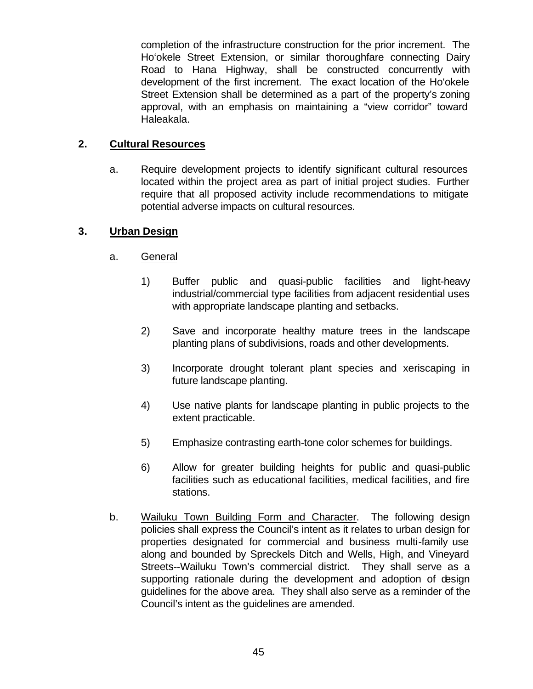completion of the infrastructure construction for the prior increment. The Ho'okele Street Extension, or similar thoroughfare connecting Dairy Road to Hana Highway, shall be constructed concurrently with development of the first increment. The exact location of the Ho'okele Street Extension shall be determined as a part of the property's zoning approval, with an emphasis on maintaining a "view corridor" toward Haleakala.

#### **2. Cultural Resources**

a. Require development projects to identify significant cultural resources located within the project area as part of initial project studies. Further require that all proposed activity include recommendations to mitigate potential adverse impacts on cultural resources.

#### **3. Urban Design**

- a. General
	- 1) Buffer public and quasi-public facilities and light-heavy industrial/commercial type facilities from adjacent residential uses with appropriate landscape planting and setbacks.
	- 2) Save and incorporate healthy mature trees in the landscape planting plans of subdivisions, roads and other developments.
	- 3) Incorporate drought tolerant plant species and xeriscaping in future landscape planting.
	- 4) Use native plants for landscape planting in public projects to the extent practicable.
	- 5) Emphasize contrasting earth-tone color schemes for buildings.
	- 6) Allow for greater building heights for public and quasi-public facilities such as educational facilities, medical facilities, and fire stations.
- b. Wailuku Town Building Form and Character. The following design policies shall express the Council's intent as it relates to urban design for properties designated for commercial and business multi-family use along and bounded by Spreckels Ditch and Wells, High, and Vineyard Streets--Wailuku Town's commercial district. They shall serve as a supporting rationale during the development and adoption of design guidelines for the above area. They shall also serve as a reminder of the Council's intent as the guidelines are amended.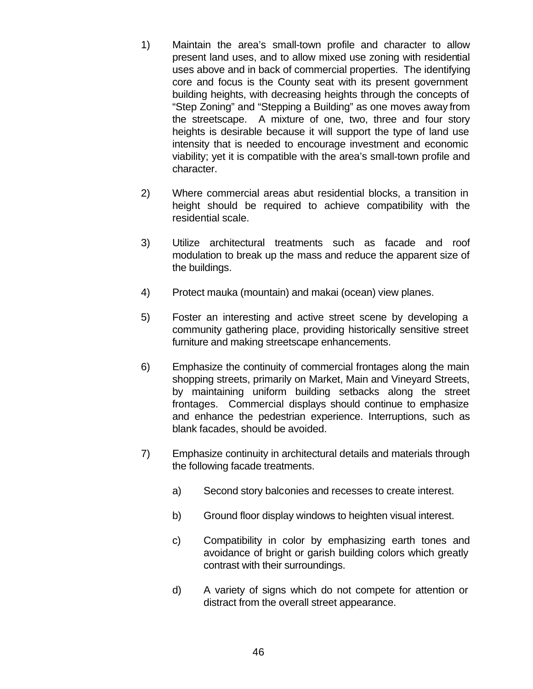- 1) Maintain the area's small-town profile and character to allow present land uses, and to allow mixed use zoning with residential uses above and in back of commercial properties. The identifying core and focus is the County seat with its present government building heights, with decreasing heights through the concepts of "Step Zoning" and "Stepping a Building" as one moves away from the streetscape. A mixture of one, two, three and four story heights is desirable because it will support the type of land use intensity that is needed to encourage investment and economic viability; yet it is compatible with the area's small-town profile and character.
- 2) Where commercial areas abut residential blocks, a transition in height should be required to achieve compatibility with the residential scale.
- 3) Utilize architectural treatments such as facade and roof modulation to break up the mass and reduce the apparent size of the buildings.
- 4) Protect mauka (mountain) and makai (ocean) view planes.
- 5) Foster an interesting and active street scene by developing a community gathering place, providing historically sensitive street furniture and making streetscape enhancements.
- 6) Emphasize the continuity of commercial frontages along the main shopping streets, primarily on Market, Main and Vineyard Streets, by maintaining uniform building setbacks along the street frontages. Commercial displays should continue to emphasize and enhance the pedestrian experience. Interruptions, such as blank facades, should be avoided.
- 7) Emphasize continuity in architectural details and materials through the following facade treatments.
	- a) Second story balconies and recesses to create interest.
	- b) Ground floor display windows to heighten visual interest.
	- c) Compatibility in color by emphasizing earth tones and avoidance of bright or garish building colors which greatly contrast with their surroundings.
	- d) A variety of signs which do not compete for attention or distract from the overall street appearance.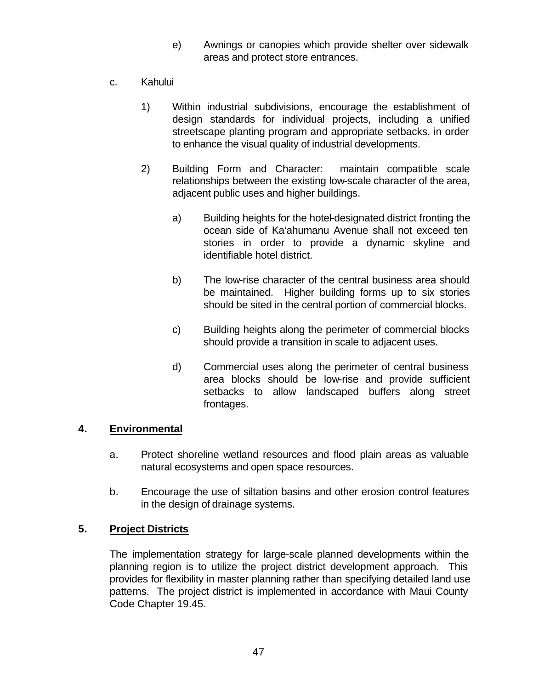- e) Awnings or canopies which provide shelter over sidewalk areas and protect store entrances.
- c. Kahului
	- 1) Within industrial subdivisions, encourage the establishment of design standards for individual projects, including a unified streetscape planting program and appropriate setbacks, in order to enhance the visual quality of industrial developments.
	- 2) Building Form and Character: maintain compatible scale relationships between the existing low-scale character of the area, adjacent public uses and higher buildings.
		- a) Building heights for the hotel-designated district fronting the ocean side of Ka'ahumanu Avenue shall not exceed ten stories in order to provide a dynamic skyline and identifiable hotel district.
		- b) The low-rise character of the central business area should be maintained. Higher building forms up to six stories should be sited in the central portion of commercial blocks.
		- c) Building heights along the perimeter of commercial blocks should provide a transition in scale to adjacent uses.
		- d) Commercial uses along the perimeter of central business area blocks should be low-rise and provide sufficient setbacks to allow landscaped buffers along street frontages.

#### **4. Environmental**

- a. Protect shoreline wetland resources and flood plain areas as valuable natural ecosystems and open space resources.
- b. Encourage the use of siltation basins and other erosion control features in the design of drainage systems.

#### **5. Project Districts**

The implementation strategy for large-scale planned developments within the planning region is to utilize the project district development approach. This provides for flexibility in master planning rather than specifying detailed land use patterns. The project district is implemented in accordance with Maui County Code Chapter 19.45.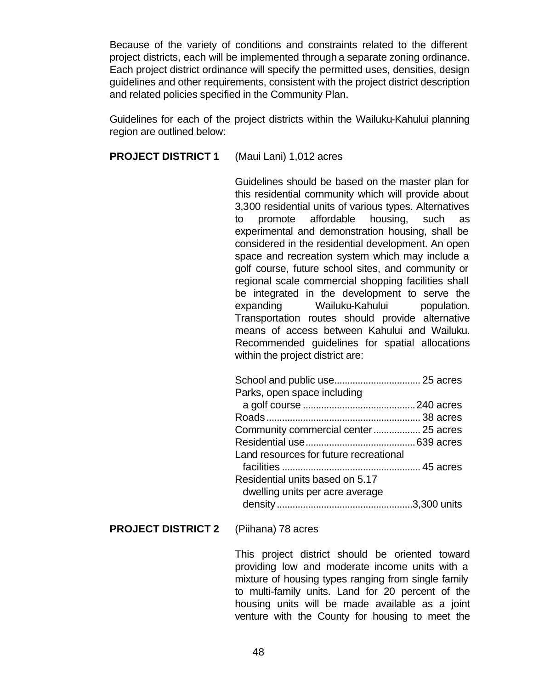Because of the variety of conditions and constraints related to the different project districts, each will be implemented through a separate zoning ordinance. Each project district ordinance will specify the permitted uses, densities, design guidelines and other requirements, consistent with the project district description and related policies specified in the Community Plan.

Guidelines for each of the project districts within the Wailuku-Kahului planning region are outlined below:

**PROJECT DISTRICT 1** (Maui Lani) 1,012 acres

Guidelines should be based on the master plan for this residential community which will provide about 3,300 residential units of various types. Alternatives to promote affordable housing, such as experimental and demonstration housing, shall be considered in the residential development. An open space and recreation system which may include a golf course, future school sites, and community or regional scale commercial shopping facilities shall be integrated in the development to serve the expanding Wailuku-Kahului population. Transportation routes should provide alternative means of access between Kahului and Wailuku. Recommended guidelines for spatial allocations within the project district are:

| Parks, open space including            |  |
|----------------------------------------|--|
|                                        |  |
|                                        |  |
|                                        |  |
|                                        |  |
| Land resources for future recreational |  |
|                                        |  |
| Residential units based on 5.17        |  |
| dwelling units per acre average        |  |
|                                        |  |

**PROJECT DISTRICT 2** (Piihana) 78 acres

This project district should be oriented toward providing low and moderate income units with a mixture of housing types ranging from single family to multi-family units. Land for 20 percent of the housing units will be made available as a joint venture with the County for housing to meet the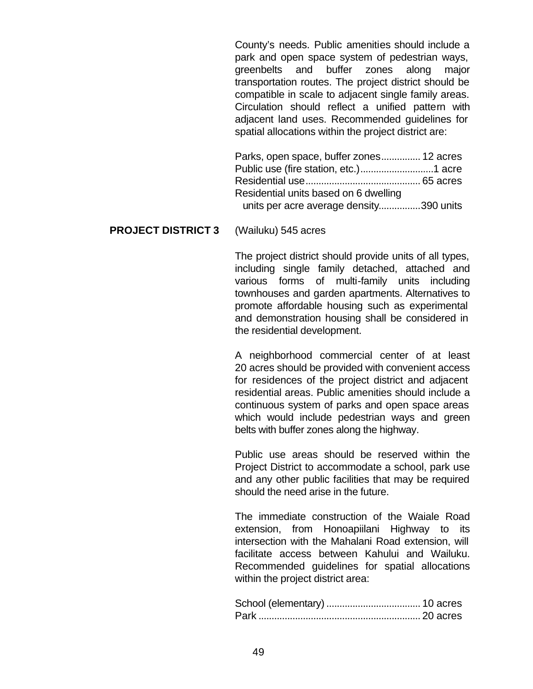County's needs. Public amenities should include a park and open space system of pedestrian ways, greenbelts and buffer zones along major transportation routes. The project district should be compatible in scale to adjacent single family areas. Circulation should reflect a unified pattern with adjacent land uses. Recommended guidelines for spatial allocations within the project district are:

| Parks, open space, buffer zones 12 acres |  |
|------------------------------------------|--|
|                                          |  |
|                                          |  |
| Residential units based on 6 dwelling    |  |
| units per acre average density390 units  |  |

#### **PROJECT DISTRICT 3** (Wailuku) 545 acres

The project district should provide units of all types, including single family detached, attached and various forms of multi-family units including townhouses and garden apartments. Alternatives to promote affordable housing such as experimental and demonstration housing shall be considered in the residential development.

A neighborhood commercial center of at least 20 acres should be provided with convenient access for residences of the project district and adjacent residential areas. Public amenities should include a continuous system of parks and open space areas which would include pedestrian ways and green belts with buffer zones along the highway.

Public use areas should be reserved within the Project District to accommodate a school, park use and any other public facilities that may be required should the need arise in the future.

The immediate construction of the Waiale Road extension, from Honoapiilani Highway to its intersection with the Mahalani Road extension, will facilitate access between Kahului and Wailuku. Recommended guidelines for spatial allocations within the project district area: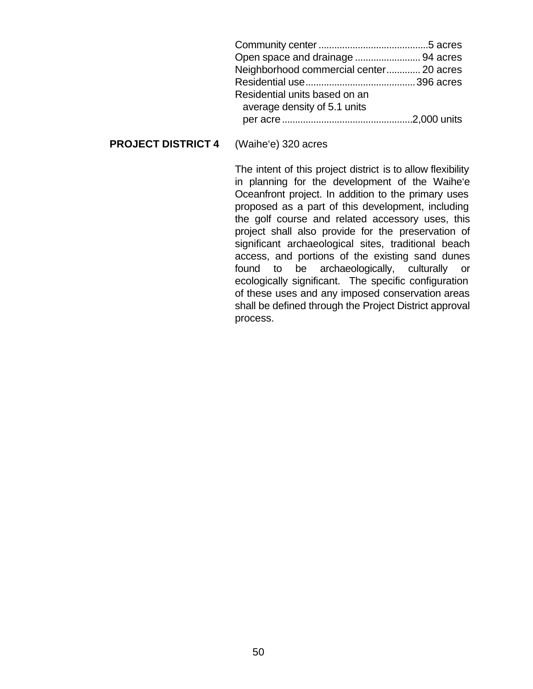| Open space and drainage  94 acres       |  |
|-----------------------------------------|--|
| Neighborhood commercial center 20 acres |  |
|                                         |  |
| Residential units based on an           |  |
| average density of 5.1 units            |  |
|                                         |  |

#### **PROJECT DISTRICT 4** (Waihe'e) 320 acres

The intent of this project district is to allow flexibility in planning for the development of the Waihe'e Oceanfront project. In addition to the primary uses proposed as a part of this development, including the golf course and related accessory uses, this project shall also provide for the preservation of significant archaeological sites, traditional beach access, and portions of the existing sand dunes found to be archaeologically, culturally or ecologically significant. The specific configuration of these uses and any imposed conservation areas shall be defined through the Project District approval process.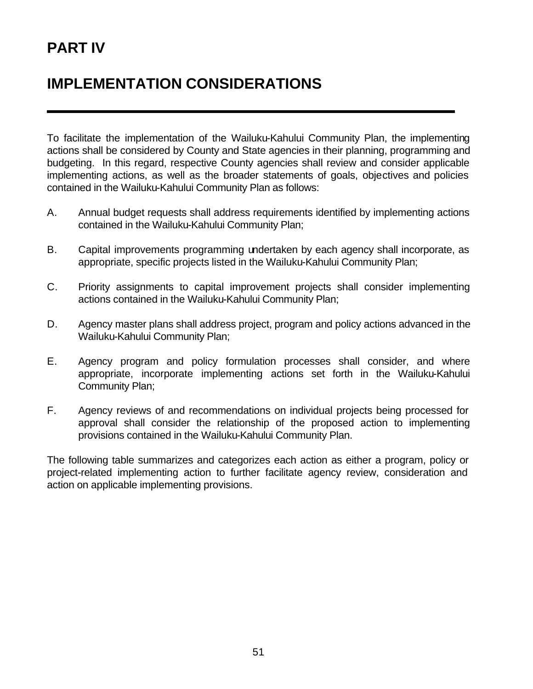# **PART IV**

# **IMPLEMENTATION CONSIDERATIONS**

To facilitate the implementation of the Wailuku-Kahului Community Plan, the implementing actions shall be considered by County and State agencies in their planning, programming and budgeting. In this regard, respective County agencies shall review and consider applicable implementing actions, as well as the broader statements of goals, objectives and policies contained in the Wailuku-Kahului Community Plan as follows:

- A. Annual budget requests shall address requirements identified by implementing actions contained in the Wailuku-Kahului Community Plan;
- B. Capital improvements programming undertaken by each agency shall incorporate, as appropriate, specific projects listed in the Wailuku-Kahului Community Plan;
- C. Priority assignments to capital improvement projects shall consider implementing actions contained in the Wailuku-Kahului Community Plan;
- D. Agency master plans shall address project, program and policy actions advanced in the Wailuku-Kahului Community Plan;
- E. Agency program and policy formulation processes shall consider, and where appropriate, incorporate implementing actions set forth in the Wailuku-Kahului Community Plan;
- F. Agency reviews of and recommendations on individual projects being processed for approval shall consider the relationship of the proposed action to implementing provisions contained in the Wailuku-Kahului Community Plan.

The following table summarizes and categorizes each action as either a program, policy or project-related implementing action to further facilitate agency review, consideration and action on applicable implementing provisions.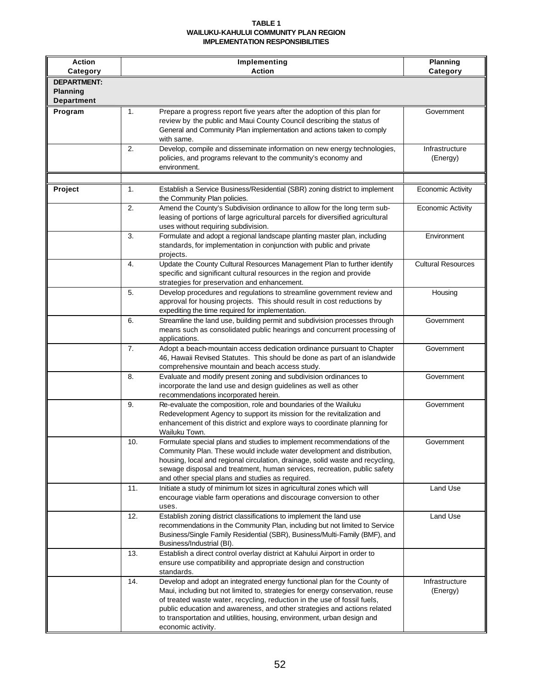#### **TABLE 1 WAILUKU-KAHULUI COMMUNITY PLAN REGION IMPLEMENTATION RESPONSIBILITIES**

| <b>Action</b><br>Category                                  |     | Planning<br>Category                                                                                                                                                                                                                                                                                                                                                                                               |                            |
|------------------------------------------------------------|-----|--------------------------------------------------------------------------------------------------------------------------------------------------------------------------------------------------------------------------------------------------------------------------------------------------------------------------------------------------------------------------------------------------------------------|----------------------------|
| <b>DEPARTMENT:</b><br><b>Planning</b><br><b>Department</b> |     |                                                                                                                                                                                                                                                                                                                                                                                                                    |                            |
| Program                                                    | 1.  | Prepare a progress report five years after the adoption of this plan for<br>review by the public and Maui County Council describing the status of<br>General and Community Plan implementation and actions taken to comply<br>with same.                                                                                                                                                                           | Government                 |
|                                                            | 2.  | Develop, compile and disseminate information on new energy technologies,<br>policies, and programs relevant to the community's economy and<br>environment.                                                                                                                                                                                                                                                         | Infrastructure<br>(Energy) |
| Project                                                    | 1.  | Establish a Service Business/Residential (SBR) zoning district to implement<br>the Community Plan policies.                                                                                                                                                                                                                                                                                                        | <b>Economic Activity</b>   |
|                                                            | 2.  | Amend the County's Subdivision ordinance to allow for the long term sub-<br>leasing of portions of large agricultural parcels for diversified agricultural<br>uses without requiring subdivision.                                                                                                                                                                                                                  | <b>Economic Activity</b>   |
|                                                            | 3.  | Formulate and adopt a regional landscape planting master plan, including<br>standards, for implementation in conjunction with public and private<br>projects.                                                                                                                                                                                                                                                      | Environment                |
|                                                            | 4.  | Update the County Cultural Resources Management Plan to further identify<br>specific and significant cultural resources in the region and provide<br>strategies for preservation and enhancement.                                                                                                                                                                                                                  | <b>Cultural Resources</b>  |
|                                                            | 5.  | Develop procedures and regulations to streamline government review and<br>approval for housing projects. This should result in cost reductions by<br>expediting the time required for implementation.                                                                                                                                                                                                              | Housing                    |
|                                                            | 6.  | Streamline the land use, building permit and subdivision processes through<br>means such as consolidated public hearings and concurrent processing of<br>applications.                                                                                                                                                                                                                                             | Government                 |
|                                                            | 7.  | Adopt a beach-mountain access dedication ordinance pursuant to Chapter<br>46, Hawaii Revised Statutes. This should be done as part of an islandwide<br>comprehensive mountain and beach access study.                                                                                                                                                                                                              | Government                 |
|                                                            | 8.  | Evaluate and modify present zoning and subdivision ordinances to<br>incorporate the land use and design guidelines as well as other<br>recommendations incorporated herein.                                                                                                                                                                                                                                        | Government                 |
|                                                            | 9.  | Re-evaluate the composition, role and boundaries of the Wailuku<br>Redevelopment Agency to support its mission for the revitalization and<br>enhancement of this district and explore ways to coordinate planning for<br>Wailuku Town.                                                                                                                                                                             | Government                 |
|                                                            | 10. | Formulate special plans and studies to implement recommendations of the<br>Community Plan. These would include water development and distribution,<br>housing, local and regional circulation, drainage, solid waste and recycling,<br>sewage disposal and treatment, human services, recreation, public safety<br>and other special plans and studies as required.                                                | Government                 |
|                                                            | 11. | Initiate a study of minimum lot sizes in agricultural zones which will<br>encourage viable farm operations and discourage conversion to other<br>uses.                                                                                                                                                                                                                                                             | Land Use                   |
|                                                            | 12. | Establish zoning district classifications to implement the land use<br>recommendations in the Community Plan, including but not limited to Service<br>Business/Single Family Residential (SBR), Business/Multi-Family (BMF), and<br>Business/Industrial (BI).                                                                                                                                                      | Land Use                   |
|                                                            | 13. | Establish a direct control overlay district at Kahului Airport in order to<br>ensure use compatibility and appropriate design and construction<br>standards.                                                                                                                                                                                                                                                       |                            |
|                                                            | 14. | Develop and adopt an integrated energy functional plan for the County of<br>Maui, including but not limited to, strategies for energy conservation, reuse<br>of treated waste water, recycling, reduction in the use of fossil fuels,<br>public education and awareness, and other strategies and actions related<br>to transportation and utilities, housing, environment, urban design and<br>economic activity. | Infrastructure<br>(Energy) |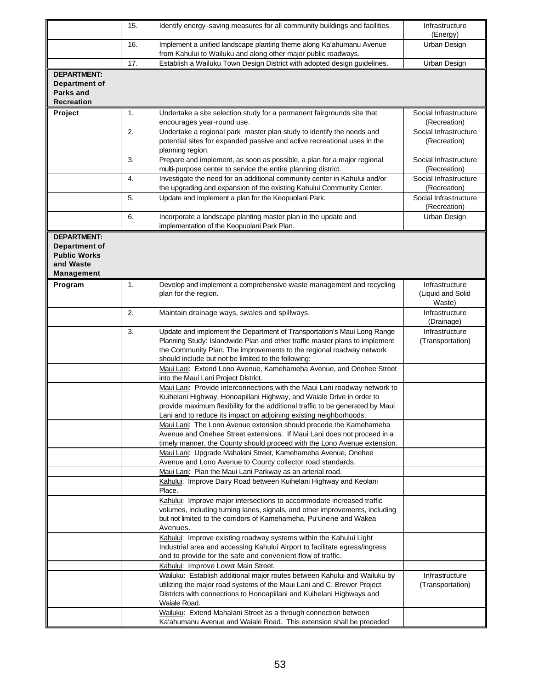|                                                                                              | 15. | Identify energy-saving measures for all community buildings and facilities.                                                                                                                                                                                                                                | Infrastructure<br>(Energy)                    |
|----------------------------------------------------------------------------------------------|-----|------------------------------------------------------------------------------------------------------------------------------------------------------------------------------------------------------------------------------------------------------------------------------------------------------------|-----------------------------------------------|
|                                                                                              | 16. | Implement a unified landscape planting theme along Ka'ahumanu Avenue<br>from Kahului to Wailuku and along other major public roadways.                                                                                                                                                                     | Urban Design                                  |
|                                                                                              | 17. | Establish a Wailuku Town Design District with adopted design guidelines.                                                                                                                                                                                                                                   | Urban Design                                  |
| <b>DEPARTMENT:</b><br>Department of<br><b>Parks and</b><br><b>Recreation</b>                 |     |                                                                                                                                                                                                                                                                                                            |                                               |
| Project                                                                                      | 1.  | Undertake a site selection study for a permanent fairgrounds site that<br>encourages year-round use.                                                                                                                                                                                                       | Social Infrastructure<br>(Recreation)         |
|                                                                                              | 2.  | Undertake a regional park master plan study to identify the needs and<br>potential sites for expanded passive and active recreational uses in the<br>planning region.                                                                                                                                      | Social Infrastructure<br>(Recreation)         |
|                                                                                              | 3.  | Prepare and implement, as soon as possible, a plan for a major regional<br>multi-purpose center to service the entire planning district.                                                                                                                                                                   | Social Infrastructure<br>(Recreation)         |
|                                                                                              | 4.  | Investigate the need for an additional community center in Kahului and/or<br>the upgrading and expansion of the existing Kahului Community Center.                                                                                                                                                         | Social Infrastructure<br>(Recreation)         |
|                                                                                              | 5.  | Update and implement a plan for the Keopuolani Park.                                                                                                                                                                                                                                                       | Social Infrastructure<br>(Recreation)         |
|                                                                                              | 6.  | Incorporate a landscape planting master plan in the update and<br>implementation of the Keopuolani Park Plan.                                                                                                                                                                                              | Urban Design                                  |
| <b>DEPARTMENT:</b><br><b>Department of</b><br><b>Public Works</b><br>and Waste<br>Management |     |                                                                                                                                                                                                                                                                                                            |                                               |
| Program                                                                                      | 1.  | Develop and implement a comprehensive waste management and recycling<br>plan for the region.                                                                                                                                                                                                               | Infrastructure<br>(Liquid and Solid<br>Waste) |
|                                                                                              | 2.  | Maintain drainage ways, swales and spillways.                                                                                                                                                                                                                                                              | Infrastructure<br>(Drainage)                  |
|                                                                                              | 3.  | Update and implement the Department of Transportation's Maui Long Range<br>Planning Study: Islandwide Plan and other traffic master plans to implement<br>the Community Plan. The improvements to the regional roadway network<br>should include but not be limited to the following:                      | Infrastructure<br>(Transportation)            |
|                                                                                              |     | Maui Lani: Extend Lono Avenue, Kamehameha Avenue, and Onehee Street<br>into the Maui Lani Project District.                                                                                                                                                                                                |                                               |
|                                                                                              |     | Maui Lani: Provide interconnections with the Maui Lani roadway network to<br>Kuihelani Highway, Honoapiilani Highway, and Waiale Drive in order to<br>provide maximum flexibility for the additional traffic to be generated by Maui<br>Lani and to reduce its impact on adjoining existing neighborhoods. |                                               |
|                                                                                              |     | Maui Lani: The Lono Avenue extension should precede the Kamehameha<br>Avenue and Onehee Street extensions. If Maui Lani does not proceed in a<br>timely manner, the County should proceed with the Lono Avenue extension.                                                                                  |                                               |
|                                                                                              |     | Maui Lani: Upgrade Mahalani Street, Kamehameha Avenue, Onehee<br>Avenue and Lono Avenue to County collector road standards.                                                                                                                                                                                |                                               |
|                                                                                              |     | Maui Lani: Plan the Maui Lani Parkway as an arterial road.<br>Kahului: Improve Dairy Road between Kuihelani Highway and Keolani<br>Place.                                                                                                                                                                  |                                               |
|                                                                                              |     | Kahului: Improve major intersections to accommodate increased traffic<br>volumes, including turning lanes, signals, and other improvements, including<br>but not limited to the corridors of Kamehameha, Pu'unene and Wakea<br>Avenues.                                                                    |                                               |
|                                                                                              |     | Kahului: Improve existing roadway systems within the Kahului Light<br>Industrial area and accessing Kahului Airport to facilitate egress/ingress<br>and to provide for the safe and convenient flow of traffic.                                                                                            |                                               |
|                                                                                              |     | Kahului: Improve Lower Main Street.                                                                                                                                                                                                                                                                        |                                               |
|                                                                                              |     | Wailuku: Establish additional major routes between Kahului and Wailuku by<br>utilizing the major road systems of the Maui Lani and C. Brewer Project<br>Districts with connections to Honoapiilani and Kuihelani Highways and<br>Waiale Road.                                                              | Infrastructure<br>(Transportation)            |
|                                                                                              |     | Wailuku: Extend Mahalani Street as a through connection between<br>Ka'ahumanu Avenue and Waiale Road. This extension shall be preceded                                                                                                                                                                     |                                               |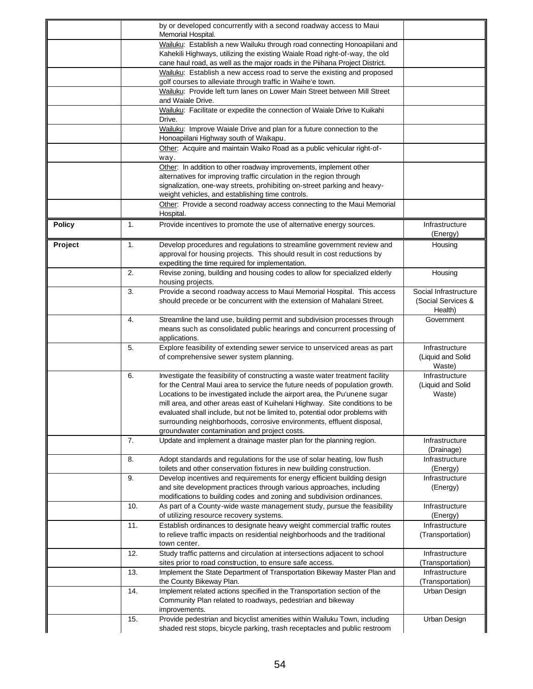|               |     | by or developed concurrently with a second roadway access to Maui                                                                                                                                                                                                                                                                                                                                                                                                                                                                |                                                        |
|---------------|-----|----------------------------------------------------------------------------------------------------------------------------------------------------------------------------------------------------------------------------------------------------------------------------------------------------------------------------------------------------------------------------------------------------------------------------------------------------------------------------------------------------------------------------------|--------------------------------------------------------|
|               |     | Memorial Hospital.<br>Wailuku: Establish a new Wailuku through road connecting Honoapiilani and                                                                                                                                                                                                                                                                                                                                                                                                                                  |                                                        |
|               |     | Kahekili Highways, utilizing the existing Waiale Road right-of-way, the old                                                                                                                                                                                                                                                                                                                                                                                                                                                      |                                                        |
|               |     | cane haul road, as well as the major roads in the Piihana Project District.                                                                                                                                                                                                                                                                                                                                                                                                                                                      |                                                        |
|               |     | Wailuku: Establish a new access road to serve the existing and proposed                                                                                                                                                                                                                                                                                                                                                                                                                                                          |                                                        |
|               |     | golf courses to alleviate through traffic in Waihe'e town.                                                                                                                                                                                                                                                                                                                                                                                                                                                                       |                                                        |
|               |     | Wailuku: Provide left turn lanes on Lower Main Street between Mill Street<br>and Waiale Drive.                                                                                                                                                                                                                                                                                                                                                                                                                                   |                                                        |
|               |     | Wailuku: Facilitate or expedite the connection of Waiale Drive to Kuikahi                                                                                                                                                                                                                                                                                                                                                                                                                                                        |                                                        |
|               |     | Drive.<br>Wailuku: Improve Waiale Drive and plan for a future connection to the                                                                                                                                                                                                                                                                                                                                                                                                                                                  |                                                        |
|               |     | Honoapiilani Highway south of Waikapu.<br>Other: Acquire and maintain Waiko Road as a public vehicular right-of-                                                                                                                                                                                                                                                                                                                                                                                                                 |                                                        |
|               |     | way.                                                                                                                                                                                                                                                                                                                                                                                                                                                                                                                             |                                                        |
|               |     | Other: In addition to other roadway improvements, implement other<br>alternatives for improving traffic circulation in the region through<br>signalization, one-way streets, prohibiting on-street parking and heavy-<br>weight vehicles, and establishing time controls.                                                                                                                                                                                                                                                        |                                                        |
|               |     | Other: Provide a second roadway access connecting to the Maui Memorial<br>Hospital.                                                                                                                                                                                                                                                                                                                                                                                                                                              |                                                        |
| <b>Policy</b> | 1.  | Provide incentives to promote the use of alternative energy sources.                                                                                                                                                                                                                                                                                                                                                                                                                                                             | Infrastructure<br>(Energy)                             |
| Project       | 1.  | Develop procedures and regulations to streamline government review and<br>approval for housing projects. This should result in cost reductions by<br>expediting the time required for implementation.                                                                                                                                                                                                                                                                                                                            | Housing                                                |
|               | 2.  | Revise zoning, building and housing codes to allow for specialized elderly<br>housing projects.                                                                                                                                                                                                                                                                                                                                                                                                                                  | Housing                                                |
|               | 3.  | Provide a second roadway access to Maui Memorial Hospital. This access<br>should precede or be concurrent with the extension of Mahalani Street.                                                                                                                                                                                                                                                                                                                                                                                 | Social Infrastructure<br>(Social Services &<br>Health) |
|               | 4.  | Streamline the land use, building permit and subdivision processes through<br>means such as consolidated public hearings and concurrent processing of<br>applications.                                                                                                                                                                                                                                                                                                                                                           | Government                                             |
|               | 5.  | Explore feasibility of extending sewer service to unserviced areas as part<br>of comprehensive sewer system planning.                                                                                                                                                                                                                                                                                                                                                                                                            | Infrastructure<br>(Liquid and Solid<br>Waste)          |
|               | 6.  | Investigate the feasibility of constructing a waste water treatment facility<br>for the Central Maui area to service the future needs of population growth.<br>Locations to be investigated include the airport area, the Pu'unene sugar<br>mill area, and other areas east of Kuihelani Highway. Site conditions to be<br>evaluated shall include, but not be limited to, potential odor problems with<br>surrounding neighborhoods, corrosive environments, effluent disposal,<br>groundwater contamination and project costs. | Infrastructure<br>(Liquid and Solid<br>Waste)          |
|               | 7.  | Update and implement a drainage master plan for the planning region.                                                                                                                                                                                                                                                                                                                                                                                                                                                             | Infrastructure<br>(Drainage)                           |
|               | 8.  | Adopt standards and regulations for the use of solar heating, low flush<br>toilets and other conservation fixtures in new building construction.                                                                                                                                                                                                                                                                                                                                                                                 | Infrastructure<br>(Energy)                             |
|               | 9.  | Develop incentives and requirements for energy efficient building design<br>and site development practices through various approaches, including<br>modifications to building codes and zoning and subdivision ordinances.                                                                                                                                                                                                                                                                                                       | Infrastructure<br>(Energy)                             |
|               | 10. | As part of a County-wide waste management study, pursue the feasibility<br>of utilizing resource recovery systems.                                                                                                                                                                                                                                                                                                                                                                                                               | Infrastructure<br>(Energy)                             |
|               | 11. | Establish ordinances to designate heavy weight commercial traffic routes<br>to relieve traffic impacts on residential neighborhoods and the traditional<br>town center.                                                                                                                                                                                                                                                                                                                                                          | Infrastructure<br>(Transportation)                     |
|               | 12. | Study traffic patterns and circulation at intersections adjacent to school<br>sites prior to road construction, to ensure safe access.                                                                                                                                                                                                                                                                                                                                                                                           | Infrastructure<br>(Transportation)                     |
|               | 13. | Implement the State Department of Transportation Bikeway Master Plan and<br>the County Bikeway Plan.                                                                                                                                                                                                                                                                                                                                                                                                                             | Infrastructure<br>(Transportation)                     |
|               | 14. | Implement related actions specified in the Transportation section of the<br>Community Plan related to roadways, pedestrian and bikeway<br>improvements.                                                                                                                                                                                                                                                                                                                                                                          | Urban Design                                           |
|               | 15. | Provide pedestrian and bicyclist amenities within Wailuku Town, including<br>shaded rest stops, bicycle parking, trash receptacles and public restroom                                                                                                                                                                                                                                                                                                                                                                           | Urban Design                                           |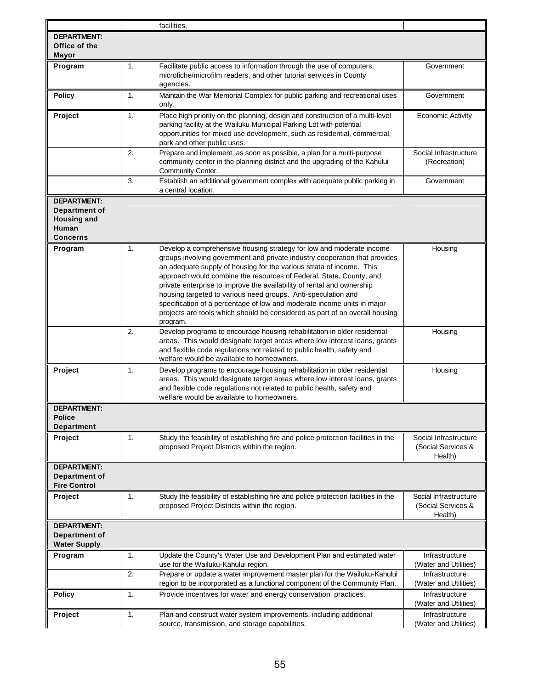|                                                                                       |    | facilities.                                                                                                                                                                                                                                                                                                                                                                                                                                                                                                                                                                                                        |                                                        |
|---------------------------------------------------------------------------------------|----|--------------------------------------------------------------------------------------------------------------------------------------------------------------------------------------------------------------------------------------------------------------------------------------------------------------------------------------------------------------------------------------------------------------------------------------------------------------------------------------------------------------------------------------------------------------------------------------------------------------------|--------------------------------------------------------|
| <b>DEPARTMENT:</b><br>Office of the<br><b>Mayor</b>                                   |    |                                                                                                                                                                                                                                                                                                                                                                                                                                                                                                                                                                                                                    |                                                        |
| Program                                                                               | 1. | Government                                                                                                                                                                                                                                                                                                                                                                                                                                                                                                                                                                                                         |                                                        |
| <b>Policy</b>                                                                         | 1. | Maintain the War Memorial Complex for public parking and recreational uses<br>only.                                                                                                                                                                                                                                                                                                                                                                                                                                                                                                                                | Government                                             |
| Project                                                                               | 1. | Place high priority on the planning, design and construction of a multi-level<br>parking facility at the Wailuku Municipal Parking Lot with potential<br>opportunities for mixed use development, such as residential, commercial,<br>park and other public uses.                                                                                                                                                                                                                                                                                                                                                  | <b>Economic Activity</b>                               |
|                                                                                       | 2. | Prepare and implement, as soon as possible, a plan for a multi-purpose<br>community center in the planning district and the upgrading of the Kahului<br>Community Center.                                                                                                                                                                                                                                                                                                                                                                                                                                          | Social Infrastructure<br>(Recreation)                  |
|                                                                                       | 3. | Establish an additional government complex with adequate public parking in<br>a central location.                                                                                                                                                                                                                                                                                                                                                                                                                                                                                                                  | Government                                             |
| <b>DEPARTMENT:</b><br>Department of<br><b>Housing and</b><br>Human<br><b>Concerns</b> |    |                                                                                                                                                                                                                                                                                                                                                                                                                                                                                                                                                                                                                    |                                                        |
| Program                                                                               | 1. | Develop a comprehensive housing strategy for low and moderate income<br>groups involving government and private industry cooperation that provides<br>an adequate supply of housing for the various strata of income. This<br>approach would combine the resources of Federal, State, County, and<br>private enterprise to improve the availability of rental and ownership<br>housing targeted to various need groups. Anti-speculation and<br>specification of a percentage of low and moderate income units in major<br>projects are tools which should be considered as part of an overall housing<br>program. | Housing                                                |
|                                                                                       | 2. | Develop programs to encourage housing rehabilitation in older residential<br>areas. This would designate target areas where low interest loans, grants<br>and flexible code regulations not related to public health, safety and<br>welfare would be available to homeowners.                                                                                                                                                                                                                                                                                                                                      | Housing                                                |
| Project                                                                               | 1. | Develop programs to encourage housing rehabilitation in older residential<br>areas. This would designate target areas where low interest loans, grants<br>and flexible code regulations not related to public health, safety and<br>welfare would be available to homeowners.                                                                                                                                                                                                                                                                                                                                      | Housing                                                |
| <b>DEPARTMENT:</b><br><b>Police</b><br>Department                                     |    |                                                                                                                                                                                                                                                                                                                                                                                                                                                                                                                                                                                                                    |                                                        |
| Project                                                                               | 1. | Study the feasibility of establishing fire and police protection facilities in the<br>proposed Project Districts within the region.                                                                                                                                                                                                                                                                                                                                                                                                                                                                                | Social Infrastructure<br>(Social Services &<br>Health) |
| <b>DEPARTMENT:</b><br><b>Department of</b><br><b>Fire Control</b>                     |    |                                                                                                                                                                                                                                                                                                                                                                                                                                                                                                                                                                                                                    |                                                        |
| Project                                                                               | 1. | Study the feasibility of establishing fire and police protection facilities in the<br>proposed Project Districts within the region.                                                                                                                                                                                                                                                                                                                                                                                                                                                                                | Social Infrastructure<br>(Social Services &<br>Health) |
| <b>DEPARTMENT:</b><br><b>Department of</b><br><b>Water Supply</b>                     |    |                                                                                                                                                                                                                                                                                                                                                                                                                                                                                                                                                                                                                    |                                                        |
| Program                                                                               | 1. | Update the County's Water Use and Development Plan and estimated water<br>use for the Wailuku-Kahului region.                                                                                                                                                                                                                                                                                                                                                                                                                                                                                                      | Infrastructure<br>(Water and Utilities)                |
|                                                                                       | 2. | Prepare or update a water improvement master plan for the Wailuku-Kahului<br>region to be incorporated as a functional component of the Community Plan.                                                                                                                                                                                                                                                                                                                                                                                                                                                            | Infrastructure<br>(Water and Utilities)                |
| <b>Policy</b>                                                                         | 1. | Provide incentives for water and energy conservation practices.                                                                                                                                                                                                                                                                                                                                                                                                                                                                                                                                                    | Infrastructure<br>(Water and Utilities)                |
| Project                                                                               | 1. | Plan and construct water system improvements, including additional<br>source, transmission, and storage capabilities.                                                                                                                                                                                                                                                                                                                                                                                                                                                                                              | Infrastructure<br>(Water and Utilities)                |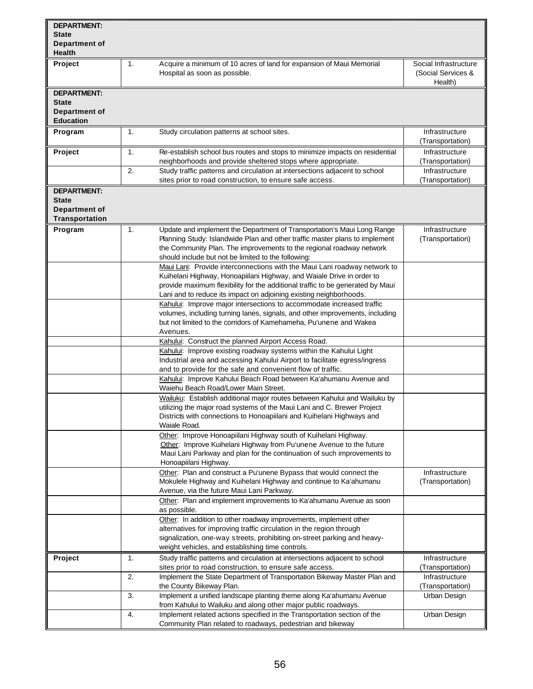| <b>DEPARTMENT:</b>   |    |                                                                                |                       |
|----------------------|----|--------------------------------------------------------------------------------|-----------------------|
| <b>State</b>         |    |                                                                                |                       |
| Department of        |    |                                                                                |                       |
| <b>Health</b>        |    |                                                                                |                       |
| Project              | 1. | Acquire a minimum of 10 acres of land for expansion of Maui Memorial           | Social Infrastructure |
|                      |    | Hospital as soon as possible.                                                  | (Social Services &    |
|                      |    |                                                                                | Health)               |
| <b>DEPARTMENT:</b>   |    |                                                                                |                       |
| <b>State</b>         |    |                                                                                |                       |
| <b>Department of</b> |    |                                                                                |                       |
| <b>Education</b>     |    |                                                                                |                       |
| Program              | 1. | Study circulation patterns at school sites.                                    | Infrastructure        |
|                      |    |                                                                                | (Transportation)      |
| Project              | 1. | Re-establish school bus routes and stops to minimize impacts on residential    | Infrastructure        |
|                      |    | neighborhoods and provide sheltered stops where appropriate.                   | (Transportation)      |
|                      | 2. | Study traffic patterns and circulation at intersections adjacent to school     | Infrastructure        |
|                      |    | sites prior to road construction, to ensure safe access.                       | (Transportation)      |
| <b>DEPARTMENT:</b>   |    |                                                                                |                       |
| <b>State</b>         |    |                                                                                |                       |
| Department of        |    |                                                                                |                       |
| Transportation       |    |                                                                                |                       |
| Program              | 1. | Update and implement the Department of Transportation's Maui Long Range        | Infrastructure        |
|                      |    | Planning Study: Islandwide Plan and other traffic master plans to implement    | (Transportation)      |
|                      |    | the Community Plan. The improvements to the regional roadway network           |                       |
|                      |    | should include but not be limited to the following:                            |                       |
|                      |    | Maui Lani: Provide interconnections with the Maui Lani roadway network to      |                       |
|                      |    | Kuihelani Highway, Honoapiilani Highway, and Waiale Drive in order to          |                       |
|                      |    | provide maximum flexibility for the additional traffic to be generated by Maui |                       |
|                      |    | Lani and to reduce its impact on adjoining existing neighborhoods.             |                       |
|                      |    | Kahului: Improve major intersections to accommodate increased traffic          |                       |
|                      |    | volumes, including turning lanes, signals, and other improvements, including   |                       |
|                      |    | but not limited to the corridors of Kamehameha, Pu'unene and Wakea             |                       |
|                      |    | Avenues.                                                                       |                       |
|                      |    | Kahului: Construct the planned Airport Access Road.                            |                       |
|                      |    | Kahului: Improve existing roadway systems within the Kahului Light             |                       |
|                      |    | Industrial area and accessing Kahului Airport to facilitate egress/ingress     |                       |
|                      |    | and to provide for the safe and convenient flow of traffic.                    |                       |
|                      |    | Kahului: Improve Kahului Beach Road between Ka'ahumanu Avenue and              |                       |
|                      |    | Waiehu Beach Road/Lower Main Street.                                           |                       |
|                      |    | Wailuku: Establish additional major routes between Kahului and Wailuku by      |                       |
|                      |    | utilizing the major road systems of the Maui Lani and C. Brewer Project        |                       |
|                      |    | Districts with connections to Honoapiilani and Kuihelani Highways and          |                       |
|                      |    | Waiale Road.                                                                   |                       |
|                      |    | Other: Improve Honoapiilani Highway south of Kuihelani Highway.                |                       |
|                      |    | Other: Improve Kuihelani Highway from Pu'unene Avenue to the future            |                       |
|                      |    | Maui Lani Parkway and plan for the continuation of such improvements to        |                       |
|                      |    | Honoapiilani Highway.                                                          |                       |
|                      |    | Other: Plan and construct a Pu'unene Bypass that would connect the             | Infrastructure        |
|                      |    | Mokulele Highway and Kuihelani Highway and continue to Ka'ahumanu              | (Transportation)      |
|                      |    | Avenue, via the future Maui Lani Parkway.                                      |                       |
|                      |    | Other: Plan and implement improvements to Ka'ahumanu Avenue as soon            |                       |
|                      |    | as possible.                                                                   |                       |
|                      |    | Other: In addition to other roadway improvements, implement other              |                       |
|                      |    | alternatives for improving traffic circulation in the region through           |                       |
|                      |    | signalization, one-way streets, prohibiting on-street parking and heavy-       |                       |
|                      |    | weight vehicles, and establishing time controls.                               |                       |
| Project              | 1. | Study traffic patterns and circulation at intersections adjacent to school     | Infrastructure        |
|                      |    | sites prior to road construction, to ensure safe access.                       | (Transportation)      |
|                      | 2. | Implement the State Department of Transportation Bikeway Master Plan and       | Infrastructure        |
|                      |    | the County Bikeway Plan.                                                       | (Transportation)      |
|                      | 3. | Implement a unified landscape planting theme along Ka'ahumanu Avenue           | Urban Design          |
|                      |    | from Kahului to Wailuku and along other major public roadways.                 |                       |
|                      | 4. | Implement related actions specified in the Transportation section of the       | Urban Design          |
|                      |    | Community Plan related to roadways, pedestrian and bikeway                     |                       |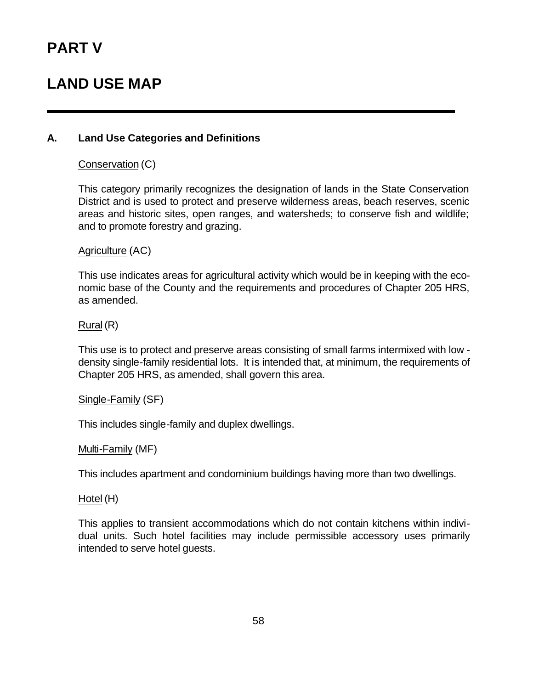# **LAND USE MAP**

#### **A. Land Use Categories and Definitions**

#### Conservation (C)

This category primarily recognizes the designation of lands in the State Conservation District and is used to protect and preserve wilderness areas, beach reserves, scenic areas and historic sites, open ranges, and watersheds; to conserve fish and wildlife; and to promote forestry and grazing.

#### Agriculture (AC)

This use indicates areas for agricultural activity which would be in keeping with the economic base of the County and the requirements and procedures of Chapter 205 HRS, as amended.

#### Rural (R)

This use is to protect and preserve areas consisting of small farms intermixed with low density single-family residential lots. It is intended that, at minimum, the requirements of Chapter 205 HRS, as amended, shall govern this area.

#### Single-Family (SF)

This includes single-family and duplex dwellings.

#### Multi-Family (MF)

This includes apartment and condominium buildings having more than two dwellings.

#### Hotel (H)

This applies to transient accommodations which do not contain kitchens within individual units. Such hotel facilities may include permissible accessory uses primarily intended to serve hotel guests.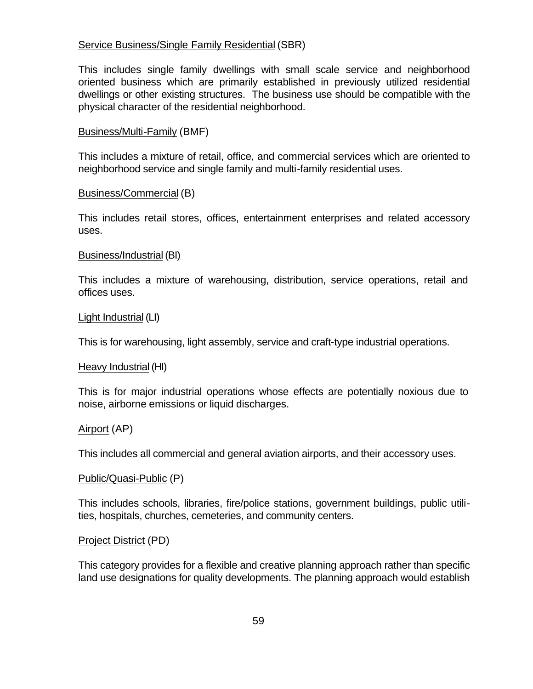#### Service Business/Single Family Residential (SBR)

This includes single family dwellings with small scale service and neighborhood oriented business which are primarily established in previously utilized residential dwellings or other existing structures. The business use should be compatible with the physical character of the residential neighborhood.

#### Business/Multi-Family (BMF)

This includes a mixture of retail, office, and commercial services which are oriented to neighborhood service and single family and multi-family residential uses.

#### Business/Commercial (B)

This includes retail stores, offices, entertainment enterprises and related accessory uses.

#### Business/Industrial (BI)

This includes a mixture of warehousing, distribution, service operations, retail and offices uses.

#### Light Industrial (LI)

This is for warehousing, light assembly, service and craft-type industrial operations.

#### Heavy Industrial (HI)

This is for major industrial operations whose effects are potentially noxious due to noise, airborne emissions or liquid discharges.

#### Airport (AP)

This includes all commercial and general aviation airports, and their accessory uses.

#### Public/Quasi-Public (P)

This includes schools, libraries, fire/police stations, government buildings, public utilities, hospitals, churches, cemeteries, and community centers.

#### Project District (PD)

This category provides for a flexible and creative planning approach rather than specific land use designations for quality developments. The planning approach would establish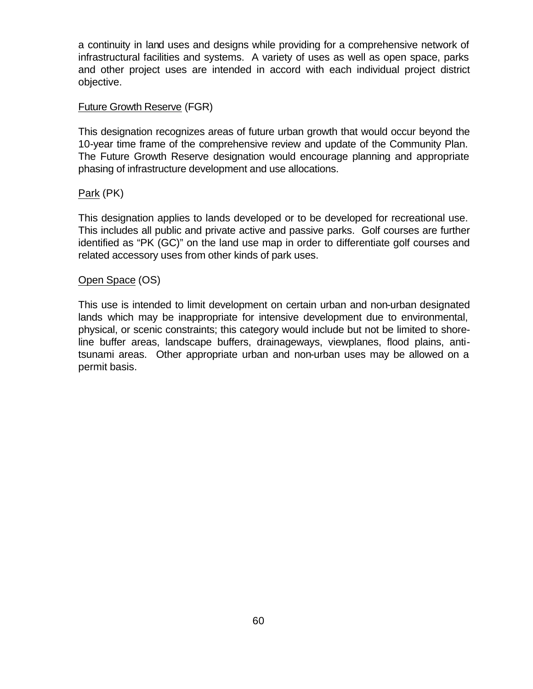a continuity in land uses and designs while providing for a comprehensive network of infrastructural facilities and systems. A variety of uses as well as open space, parks and other project uses are intended in accord with each individual project district objective.

#### Future Growth Reserve (FGR)

This designation recognizes areas of future urban growth that would occur beyond the 10-year time frame of the comprehensive review and update of the Community Plan. The Future Growth Reserve designation would encourage planning and appropriate phasing of infrastructure development and use allocations.

#### Park (PK)

This designation applies to lands developed or to be developed for recreational use. This includes all public and private active and passive parks. Golf courses are further identified as "PK (GC)" on the land use map in order to differentiate golf courses and related accessory uses from other kinds of park uses.

#### Open Space (OS)

This use is intended to limit development on certain urban and non-urban designated lands which may be inappropriate for intensive development due to environmental, physical, or scenic constraints; this category would include but not be limited to shoreline buffer areas, landscape buffers, drainageways, viewplanes, flood plains, antitsunami areas. Other appropriate urban and non-urban uses may be allowed on a permit basis.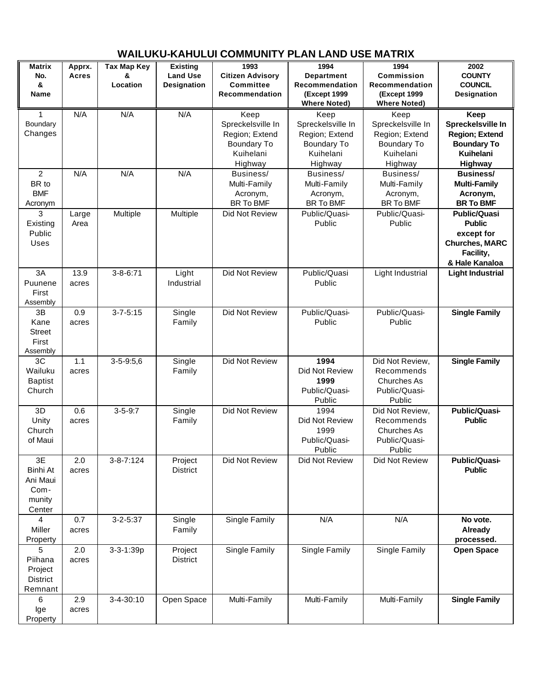| <b>Matrix</b><br>No.<br>&<br>Name                      | Apprx.<br>Acres | <b>Tax Map Key</b><br>&<br>Location | <b>Existing</b><br><b>Land Use</b><br><b>Designation</b> | 1993<br><b>Citizen Advisory</b><br><b>Committee</b><br>Recommendation                     | 1994<br><b>Department</b><br>Recommendation<br><b>(Except 1999</b><br><b>Where Noted)</b> | 1994<br>Commission<br>Recommendation<br><b>(Except 1999</b><br><b>Where Noted)</b>        | 2002<br><b>COUNTY</b><br><b>COUNCIL</b><br><b>Designation</b>                                              |
|--------------------------------------------------------|-----------------|-------------------------------------|----------------------------------------------------------|-------------------------------------------------------------------------------------------|-------------------------------------------------------------------------------------------|-------------------------------------------------------------------------------------------|------------------------------------------------------------------------------------------------------------|
| 1<br>Boundary<br>Changes                               | N/A             | N/A                                 | N/A                                                      | Keep<br>Spreckelsville In<br>Region; Extend<br><b>Boundary To</b><br>Kuihelani<br>Highway | Keep<br>Spreckelsville In<br>Region; Extend<br><b>Boundary To</b><br>Kuihelani<br>Highway | Keep<br>Spreckelsville In<br>Region; Extend<br><b>Boundary To</b><br>Kuihelani<br>Highway | Keep<br>Spreckelsville In<br><b>Region; Extend</b><br><b>Boundary To</b><br><b>Kuihelani</b><br>Highway    |
| $\overline{2}$<br>BR to<br><b>BMF</b><br>Acronym       | N/A             | N/A                                 | N/A                                                      | Business/<br>Multi-Family<br>Acronym,<br><b>BR To BMF</b>                                 | Business/<br>Multi-Family<br>Acronym,<br><b>BR To BMF</b>                                 | Business/<br>Multi-Family<br>Acronym,<br>BR To BMF                                        | <b>Business/</b><br><b>Multi-Family</b><br>Acronym,<br><b>BR To BMF</b>                                    |
| 3<br>Existing<br>Public<br>Uses                        | Large<br>Area   | Multiple                            | Multiple                                                 | Did Not Review                                                                            | Public/Quasi-<br>Public                                                                   | Public/Quasi-<br>Public                                                                   | <b>Public/Quasi</b><br><b>Public</b><br>except for<br><b>Churches, MARC</b><br>Facility,<br>& Hale Kanaloa |
| 3A<br>Puunene<br>First<br>Assembly                     | 13.9<br>acres   | $3 - 8 - 6:71$                      | Light<br>Industrial                                      | Did Not Review                                                                            | Public/Quasi<br>Public                                                                    | Light Industrial                                                                          | <b>Light Industrial</b>                                                                                    |
| 3B<br>Kane<br><b>Street</b><br>First<br>Assembly       | 0.9<br>acres    | $3 - 7 - 5:15$                      | Single<br>Family                                         | Did Not Review                                                                            | Public/Quasi-<br>Public                                                                   | Public/Quasi-<br>Public                                                                   | <b>Single Family</b>                                                                                       |
| 3C<br>Wailuku<br><b>Baptist</b><br>Church              | 1.1<br>acres    | $3 - 5 - 9:5,6$                     | Single<br>Family                                         | Did Not Review                                                                            | 1994<br>Did Not Review<br>1999<br>Public/Quasi-<br>Public                                 | Did Not Review,<br>Recommends<br><b>Churches As</b><br>Public/Quasi-<br>Public            | <b>Single Family</b>                                                                                       |
| 3D<br>Unity<br>Church<br>of Maui                       | 0.6<br>acres    | $3 - 5 - 9:7$                       | Single<br>Family                                         | Did Not Review                                                                            | 1994<br>Did Not Review<br>1999<br>Public/Quasi-<br>Public                                 | Did Not Review,<br>Recommends<br><b>Churches As</b><br>Public/Quasi-<br>Public            | Public/Quasi-<br><b>Public</b>                                                                             |
| 3E<br>Binhi At<br>Ani Maui<br>Com-<br>munity<br>Center | 2.0<br>acres    | $3 - 8 - 7:124$                     | Project<br><b>District</b>                               | Did Not Review                                                                            | Did Not Review                                                                            | Did Not Review                                                                            | <b>Public/Quasi-</b><br><b>Public</b>                                                                      |
| 4<br>Miller<br>Property                                | 0.7<br>acres    | $3 - 2 - 5:37$                      | Single<br>Family                                         | Single Family                                                                             | N/A                                                                                       | N/A                                                                                       | No vote.<br>Already<br>processed.                                                                          |
| 5<br>Piihana<br>Project<br><b>District</b><br>Remnant  | 2.0<br>acres    | 3-3-1:39p                           | Project<br><b>District</b>                               | Single Family                                                                             | Single Family                                                                             | Single Family                                                                             | <b>Open Space</b>                                                                                          |
| 6<br>Ige<br>Property                                   | 2.9<br>acres    | $3 - 4 - 30:10$                     | Open Space                                               | Multi-Family                                                                              | Multi-Family                                                                              | Multi-Family                                                                              | <b>Single Family</b>                                                                                       |

# **WAILUKU-KAHULUI COMMUNITY PLAN LAND USE MATRIX**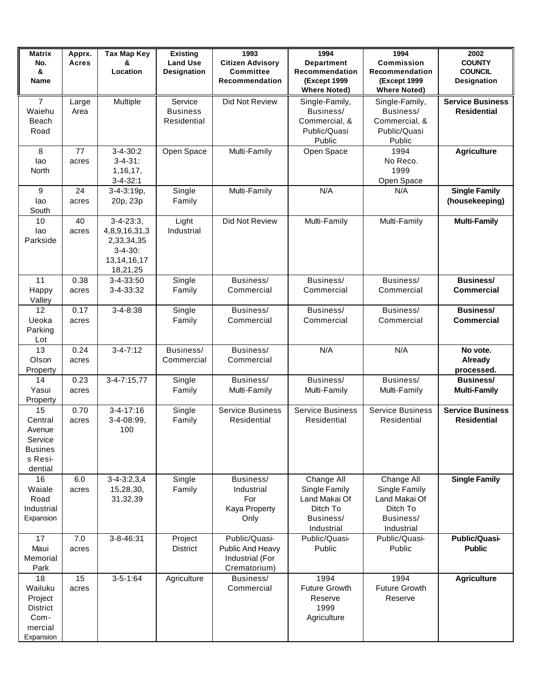| <b>Matrix</b><br>No.<br>&<br>Name                                           | Apprx.<br><b>Acres</b> | <b>Tax Map Key</b><br>&<br>Location                                                        | <b>Existing</b><br><b>Land Use</b><br>Designation | 1993<br><b>Citizen Advisory</b><br><b>Committee</b><br>Recommendation | 1994<br><b>Department</b><br>Recommendation<br><b>(Except 1999</b><br><b>Where Noted)</b> | 1994<br><b>Commission</b><br>Recommendation<br><b>(Except 1999</b><br><b>Where Noted)</b> | 2002<br><b>COUNTY</b><br><b>COUNCIL</b><br>Designation |
|-----------------------------------------------------------------------------|------------------------|--------------------------------------------------------------------------------------------|---------------------------------------------------|-----------------------------------------------------------------------|-------------------------------------------------------------------------------------------|-------------------------------------------------------------------------------------------|--------------------------------------------------------|
| $\overline{7}$<br>Waiehu<br>Beach<br>Road                                   | Large<br>Area          | Multiple                                                                                   | Service<br><b>Business</b><br>Residential         | Did Not Review                                                        | Single-Family,<br>Business/<br>Commercial, &<br>Public/Quasi<br>Public                    | Single-Family,<br>Business/<br>Commercial, &<br>Public/Quasi<br>Public                    | <b>Service Business</b><br><b>Residential</b>          |
| 8<br>lao<br>North                                                           | 77<br>acres            | $3 - 4 - 30:2$<br>$3 - 4 - 31$ :<br>1,16,17,<br>$3 - 4 - 32:1$                             | Open Space                                        | Multi-Family                                                          | Open Space                                                                                | 1994<br>No Reco.<br>1999<br>Open Space                                                    | <b>Agriculture</b>                                     |
| 9<br>lao<br>South                                                           | 24<br>acres            | $3 - 4 - 3:19p,$<br>20p, 23p                                                               | Single<br>Family                                  | Multi-Family                                                          | N/A                                                                                       | N/A                                                                                       | <b>Single Family</b><br>(housekeeping)                 |
| 10<br>lao<br>Parkside                                                       | 40<br>acres            | $3-4-23:3,$<br>4,8,9,16,31,3<br>2,33,34,35<br>$3 - 4 - 30$ :<br>13, 14, 16, 17<br>18,21,25 | Light<br>Industrial                               | Did Not Review                                                        | Multi-Family                                                                              | Multi-Family                                                                              | <b>Multi-Family</b>                                    |
| 11<br>Happy<br>Valley                                                       | 0.38<br>acres          | 3-4-33:50<br>3-4-33:32                                                                     | Single<br>Family                                  | Business/<br>Commercial                                               | Business/<br>Commercial                                                                   | Business/<br>Commercial                                                                   | <b>Business/</b><br><b>Commercial</b>                  |
| 12<br>Ueoka<br>Parking<br>Lot                                               | 0.17<br>acres          | $3 - 4 - 8:38$                                                                             | Single<br>Family                                  | Business/<br>Commercial                                               | Business/<br>Commercial                                                                   | Business/<br>Commercial                                                                   | <b>Business/</b><br><b>Commercial</b>                  |
| 13<br>Olson<br>Property                                                     | 0.24<br>acres          | $3 - 4 - 7:12$                                                                             | Business/<br>Commercial                           | Business/<br>Commercial                                               | N/A                                                                                       | N/A                                                                                       | No vote.<br><b>Already</b><br>processed.               |
| 14<br>Yasui<br>Property                                                     | 0.23<br>acres          | $3-4-7:15,77$                                                                              | Single<br>Family                                  | Business/<br>Multi-Family                                             | Business/<br>Multi-Family                                                                 | Business/<br>Multi-Family                                                                 | <b>Business/</b><br><b>Multi-Family</b>                |
| 15<br>Central<br>Avenue<br>Service<br><b>Busines</b><br>s Resi-<br>dential  | 0.70<br>acres          | $3 - 4 - 17:16$<br>3-4-08:99,<br>100                                                       | Single<br>Family                                  | <b>Service Business</b><br>Residential                                | <b>Service Business</b><br>Residential                                                    | <b>Service Business</b><br>Residential                                                    | <b>Service Business</b><br><b>Residential</b>          |
| 16<br>Waiale<br>Road<br>Industrial<br>Expansion                             | 6.0<br>acres           | $3 - 4 - 3:2,3,4$<br>15,28,30,<br>31,32,39                                                 | Single<br>Family                                  | Business/<br>Industrial<br>For<br>Kaya Property<br>Only               | Change All<br>Single Family<br>Land Makai Of<br>Ditch To<br>Business/<br>Industrial       | Change All<br>Single Family<br>Land Makai Of<br>Ditch To<br>Business/<br>Industrial       | <b>Single Family</b>                                   |
| 17<br>Maui<br>Memorial<br>Park                                              | 7.0<br>acres           | 3-8-46:31                                                                                  | Project<br><b>District</b>                        | Public/Quasi-<br>Public And Heavy<br>Industrial (For<br>Crematorium)  | Public/Quasi-<br>Public                                                                   | Public/Quasi-<br>Public                                                                   | <b>Public/Quasi-</b><br><b>Public</b>                  |
| 18<br>Wailuku<br>Project<br><b>District</b><br>Com-<br>mercial<br>Expansion | 15<br>acres            | $3 - 5 - 1:64$                                                                             | Agriculture                                       | Business/<br>Commercial                                               | 1994<br><b>Future Growth</b><br>Reserve<br>1999<br>Agriculture                            | 1994<br><b>Future Growth</b><br>Reserve                                                   | <b>Agriculture</b>                                     |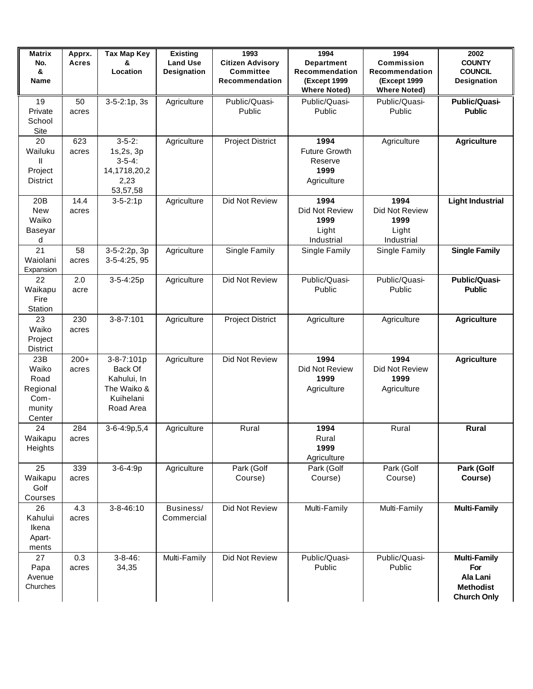| <b>Matrix</b><br>No.<br>&<br>Name                            | Apprx.<br><b>Acres</b> | <b>Tax Map Key</b><br>&<br>Location                                           | <b>Existing</b><br><b>Land Use</b><br>Designation | 1993<br><b>Citizen Advisory</b><br><b>Committee</b><br>Recommendation | 1994<br><b>Department</b><br>Recommendation<br><b>(Except 1999</b><br><b>Where Noted)</b> | 1994<br><b>Commission</b><br>Recommendation<br><b>(Except 1999</b><br><b>Where Noted)</b> | 2002<br><b>COUNTY</b><br><b>COUNCIL</b><br><b>Designation</b>                    |
|--------------------------------------------------------------|------------------------|-------------------------------------------------------------------------------|---------------------------------------------------|-----------------------------------------------------------------------|-------------------------------------------------------------------------------------------|-------------------------------------------------------------------------------------------|----------------------------------------------------------------------------------|
| 19<br>Private<br>School<br>Site                              | 50<br>acres            | $3-5-2:1p, 3s$                                                                | Agriculture                                       | Public/Quasi-<br>Public                                               | Public/Quasi-<br>Public                                                                   | Public/Quasi-<br>Public                                                                   | <b>Public/Quasi-</b><br><b>Public</b>                                            |
| 20<br>Wailuku<br>Ш<br>Project<br><b>District</b>             | 623<br>acres           | $3-5-2$ :<br>1s,2s, 3p<br>$3-5-4$ :<br>14,1718,20,2<br>2,23<br>53,57,58       | Agriculture                                       | <b>Project District</b>                                               | 1994<br><b>Future Growth</b><br>Reserve<br>1999<br>Agriculture                            | Agriculture                                                                               | <b>Agriculture</b>                                                               |
| 20 <sub>B</sub><br>New<br>Waiko<br>Baseyar<br>d              | 14.4<br>acres          | $3 - 5 - 2:1p$                                                                | Agriculture                                       | Did Not Review                                                        | 1994<br>Did Not Review<br>1999<br>Light<br>Industrial                                     | 1994<br>Did Not Review<br>1999<br>Light<br>Industrial                                     | <b>Light Industrial</b>                                                          |
| 21<br>Waiolani<br>Expansion                                  | 58<br>acres            | 3-5-2:2p, 3p<br>3-5-4:25, 95                                                  | Agriculture                                       | Single Family                                                         | Single Family                                                                             | Single Family                                                                             | <b>Single Family</b>                                                             |
| 22<br>Waikapu<br>Fire<br>Station                             | 2.0<br>acre            | 3-5-4:25p                                                                     | Agriculture                                       | Did Not Review                                                        | Public/Quasi-<br>Public                                                                   | Public/Quasi-<br>Public                                                                   | <b>Public/Quasi-</b><br><b>Public</b>                                            |
| 23<br>Waiko<br>Project<br>District                           | 230<br>acres           | $3 - 8 - 7:101$                                                               | Agriculture                                       | <b>Project District</b>                                               | Agriculture                                                                               | Agriculture                                                                               | <b>Agriculture</b>                                                               |
| 23B<br>Waiko<br>Road<br>Regional<br>Com-<br>munity<br>Center | $200+$<br>acres        | 3-8-7:101p<br>Back Of<br>Kahului, In<br>The Waiko &<br>Kuihelani<br>Road Area | Agriculture                                       | Did Not Review                                                        | 1994<br>Did Not Review<br>1999<br>Agriculture                                             | 1994<br>Did Not Review<br>1999<br>Agriculture                                             | <b>Agriculture</b>                                                               |
| 24<br>Waikapu<br>Heights                                     | 284<br>acres           | 3-6-4:9p,5,4                                                                  | Agriculture                                       | Rural                                                                 | 1994<br>Rural<br>1999<br>Agriculture                                                      | Rural                                                                                     | Rural                                                                            |
| 25<br>Waikapu<br>Golf<br>Courses                             | 339<br>acres           | 3-6-4:9p                                                                      | Agriculture                                       | Park (Golf<br>Course)                                                 | Park (Golf<br>Course)                                                                     | Park (Golf<br>Course)                                                                     | Park (Golf<br>Course)                                                            |
| 26<br>Kahului<br>Ikena<br>Apart-<br>ments                    | 4.3<br>acres           | $3 - 8 - 46:10$                                                               | Business/<br>Commercial                           | Did Not Review                                                        | Multi-Family                                                                              | Multi-Family                                                                              | <b>Multi-Family</b>                                                              |
| 27<br>Papa<br>Avenue<br>Churches                             | 0.3<br>acres           | $3 - 8 - 46$ :<br>34,35                                                       | Multi-Family                                      | Did Not Review                                                        | Public/Quasi-<br>Public                                                                   | Public/Quasi-<br>Public                                                                   | <b>Multi-Family</b><br>For<br>Ala Lani<br><b>Methodist</b><br><b>Church Only</b> |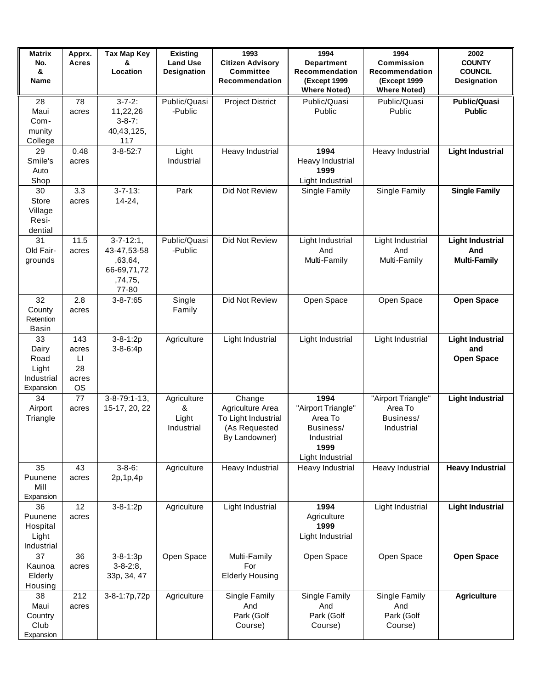| <b>Matrix</b><br>No.<br>&<br>Name                       | Apprx.<br><b>Acres</b>                                      | <b>Tax Map Key</b><br>&<br>Location                                           | <b>Existing</b><br><b>Land Use</b><br>Designation | 1993<br><b>Citizen Advisory</b><br><b>Committee</b><br>Recommendation               | 1994<br><b>Department</b><br>Recommendation<br><b>(Except 1999</b><br><b>Where Noted)</b>    | 1994<br><b>Commission</b><br>Recommendation<br><b>(Except 1999</b><br><b>Where Noted)</b> | 2002<br><b>COUNTY</b><br><b>COUNCIL</b><br><b>Designation</b> |
|---------------------------------------------------------|-------------------------------------------------------------|-------------------------------------------------------------------------------|---------------------------------------------------|-------------------------------------------------------------------------------------|----------------------------------------------------------------------------------------------|-------------------------------------------------------------------------------------------|---------------------------------------------------------------|
| 28<br>Maui<br>Com-<br>munity<br>College                 | 78<br>acres                                                 | $3 - 7 - 2$ :<br>11,22,26<br>$3 - 8 - 7$ :<br>40,43,125,<br>117               | Public/Quasi<br>-Public                           | <b>Project District</b>                                                             | Public/Quasi<br>Public                                                                       | Public/Quasi<br>Public                                                                    | <b>Public/Quasi</b><br><b>Public</b>                          |
| 29<br>Smile's<br>Auto<br>Shop                           | 0.48<br>acres                                               | $3 - 8 - 52:7$                                                                | Light<br>Industrial                               | Heavy Industrial                                                                    | 1994<br>Heavy Industrial<br>1999<br>Light Industrial                                         | Heavy Industrial                                                                          | <b>Light Industrial</b>                                       |
| 30<br>Store<br>Village<br>Resi-<br>dential              | 3.3<br>acres                                                | $3 - 7 - 13$ :<br>$14 - 24,$                                                  | Park                                              | Did Not Review                                                                      | Single Family                                                                                | Single Family                                                                             | <b>Single Family</b>                                          |
| 31<br>Old Fair-<br>grounds                              | 11.5<br>acres                                               | $3 - 7 - 12:1$ ,<br>43-47,53-58<br>,63,64,<br>66-69,71,72<br>,74,75,<br>77-80 | Public/Quasi<br>-Public                           | Did Not Review                                                                      | Light Industrial<br>And<br>Multi-Family                                                      | Light Industrial<br>And<br>Multi-Family                                                   | <b>Light Industrial</b><br>And<br><b>Multi-Family</b>         |
| 32<br>County<br>Retention<br>Basin                      | 2.8<br>acres                                                | $3 - 8 - 7:65$                                                                | Single<br>Family                                  | Did Not Review                                                                      | Open Space                                                                                   | Open Space                                                                                | <b>Open Space</b>                                             |
| 33<br>Dairy<br>Road<br>Light<br>Industrial<br>Expansion | 143<br>acres<br>$\mathsf{L}\mathsf{I}$<br>28<br>acres<br>OS | $3 - 8 - 1:2p$<br>$3 - 8 - 6:4p$                                              | Agriculture                                       | Light Industrial                                                                    | Light Industrial                                                                             | Light Industrial                                                                          | <b>Light Industrial</b><br>and<br><b>Open Space</b>           |
| 34<br>Airport<br>Triangle                               | 77<br>acres                                                 | $3 - 8 - 79:1 - 13$ ,<br>15-17, 20, 22                                        | Agriculture<br>&<br>Light<br>Industrial           | Change<br>Agriculture Area<br>To Light Industrial<br>(As Requested<br>By Landowner) | 1994<br>"Airport Triangle"<br>Area To<br>Business/<br>Industrial<br>1999<br>Light Industrial | "Airport Triangle"<br>Area To<br>Business/<br>Industrial                                  | <b>Light Industrial</b>                                       |
| 35<br>Puunene<br>Mill<br>Expansion                      | 43<br>acres                                                 | $3 - 8 - 6$ :<br>2p, 1p, 4p                                                   | Agriculture                                       | Heavy Industrial                                                                    | Heavy Industrial                                                                             | Heavy Industrial                                                                          | <b>Heavy Industrial</b>                                       |
| 36<br>Puunene<br>Hospital<br>Light<br>Industrial        | 12<br>acres                                                 | $3 - 8 - 1:2p$                                                                | Agriculture                                       | Light Industrial                                                                    | 1994<br>Agriculture<br>1999<br>Light Industrial                                              | Light Industrial                                                                          | <b>Light Industrial</b>                                       |
| 37<br>Kaunoa<br>Elderly<br>Housing                      | 36<br>acres                                                 | $3 - 8 - 1:3p$<br>$3 - 8 - 2:8,$<br>33p, 34, 47                               | Open Space                                        | Multi-Family<br>For<br><b>Elderly Housing</b>                                       | Open Space                                                                                   | Open Space                                                                                | <b>Open Space</b>                                             |
| 38<br>Maui<br>Country<br>Club<br>Expansion              | 212<br>acres                                                | 3-8-1:7p,72p                                                                  | Agriculture                                       | Single Family<br>And<br>Park (Golf<br>Course)                                       | Single Family<br>And<br>Park (Golf<br>Course)                                                | Single Family<br>And<br>Park (Golf<br>Course)                                             | <b>Agriculture</b>                                            |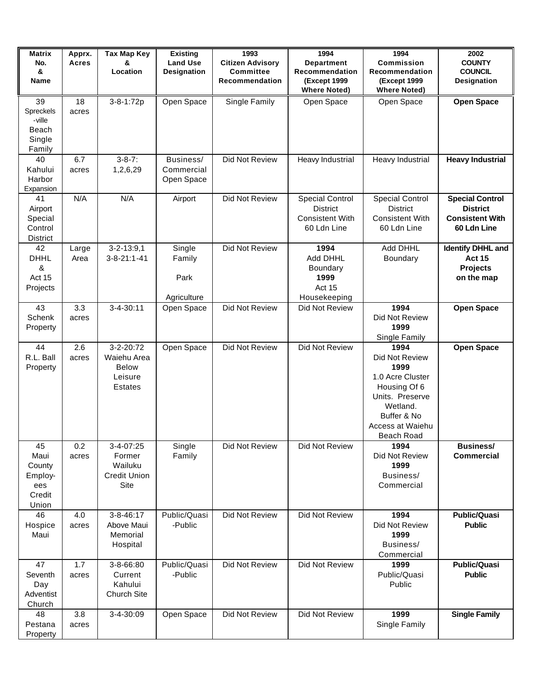| <b>Matrix</b><br>No.<br>&<br>Name                                | Apprx.<br><b>Acres</b> | <b>Tax Map Key</b><br>&<br>Location                                   | <b>Existing</b><br><b>Land Use</b><br><b>Designation</b> | 1993<br><b>Citizen Advisory</b><br><b>Committee</b><br>Recommendation | 1994<br><b>Department</b><br>Recommendation<br><b>(Except 1999)</b><br><b>Where Noted)</b> | 1994<br><b>Commission</b><br>Recommendation<br><b>(Except 1999</b><br><b>Where Noted)</b>                                                          | 2002<br><b>COUNTY</b><br><b>COUNCIL</b><br>Designation                             |
|------------------------------------------------------------------|------------------------|-----------------------------------------------------------------------|----------------------------------------------------------|-----------------------------------------------------------------------|--------------------------------------------------------------------------------------------|----------------------------------------------------------------------------------------------------------------------------------------------------|------------------------------------------------------------------------------------|
| 39<br>Spreckels<br>-ville<br>Beach<br>Single<br>Family           | 18<br>acres            | 3-8-1:72p                                                             | Open Space                                               | Single Family                                                         | Open Space                                                                                 | Open Space                                                                                                                                         | <b>Open Space</b>                                                                  |
| 40<br>Kahului<br>Harbor<br>Expansion                             | 6.7<br>acres           | $\overline{3} - 8 - 7$ :<br>1,2,6,29                                  | Business/<br>Commercial<br>Open Space                    | Did Not Review                                                        | Heavy Industrial                                                                           | Heavy Industrial                                                                                                                                   | <b>Heavy Industrial</b>                                                            |
| 41<br>Airport<br>Special<br>Control<br>District                  | N/A                    | N/A                                                                   | Airport                                                  | Did Not Review                                                        | <b>Special Control</b><br><b>District</b><br><b>Consistent With</b><br>60 Ldn Line         | <b>Special Control</b><br><b>District</b><br><b>Consistent With</b><br>60 Ldn Line                                                                 | <b>Special Control</b><br><b>District</b><br><b>Consistent With</b><br>60 Ldn Line |
| 42<br><b>DHHL</b><br>$\boldsymbol{\alpha}$<br>Act 15<br>Projects | Large<br>Area          | $3 - 2 - 13:9,1$<br>$3 - 8 - 21 : 1 - 41$                             | Single<br>Family<br>Park<br>Agriculture                  | Did Not Review                                                        | 1994<br>Add DHHL<br><b>Boundary</b><br>1999<br>Act 15<br>Housekeeping                      | Add DHHL<br>Boundary                                                                                                                               | <b>Identify DHHL and</b><br><b>Act 15</b><br><b>Projects</b><br>on the map         |
| 43<br>Schenk<br>Property                                         | 3.3<br>acres           | $3 - 4 - 30:11$                                                       | Open Space                                               | Did Not Review                                                        | Did Not Review                                                                             | 1994<br>Did Not Review<br>1999<br>Single Family                                                                                                    | <b>Open Space</b>                                                                  |
| 44<br>R.L. Ball<br>Property                                      | 2.6<br>acres           | 3-2-20:72<br>Waiehu Area<br><b>Below</b><br>Leisure<br><b>Estates</b> | Open Space                                               | Did Not Review                                                        | Did Not Review                                                                             | 1994<br>Did Not Review<br>1999<br>1.0 Acre Cluster<br>Housing Of 6<br>Units. Preserve<br>Wetland.<br>Buffer & No<br>Access at Waiehu<br>Beach Road | <b>Open Space</b>                                                                  |
| 45<br>Maui<br>County<br>Employ-<br>ees<br>Credit<br>Union        | 0.2<br>acres           | 3-4-07:25<br>Former<br>Wailuku<br><b>Credit Union</b><br>Site         | Single<br>Family                                         | Did Not Review                                                        | Did Not Review                                                                             | 1994<br>Did Not Review<br>1999<br>Business/<br>Commercial                                                                                          | <b>Business/</b><br><b>Commercial</b>                                              |
| 46<br>Hospice<br>Maui                                            | 4.0<br>acres           | $3 - 8 - 46:17$<br>Above Maui<br>Memorial<br>Hospital                 | Public/Quasi<br>-Public                                  | Did Not Review                                                        | Did Not Review                                                                             | 1994<br>Did Not Review<br>1999<br>Business/<br>Commercial                                                                                          | <b>Public/Quasi</b><br><b>Public</b>                                               |
| 47<br>Seventh<br>Day<br>Adventist<br>Church                      | 1.7<br>acres           | 3-8-66:80<br>Current<br>Kahului<br><b>Church Site</b>                 | Public/Quasi<br>-Public                                  | Did Not Review                                                        | Did Not Review                                                                             | 1999<br>Public/Quasi<br>Public                                                                                                                     | <b>Public/Quasi</b><br><b>Public</b>                                               |
| 48<br>Pestana<br>Property                                        | 3.8<br>acres           | 3-4-30:09                                                             | Open Space                                               | Did Not Review                                                        | Did Not Review                                                                             | 1999<br>Single Family                                                                                                                              | <b>Single Family</b>                                                               |